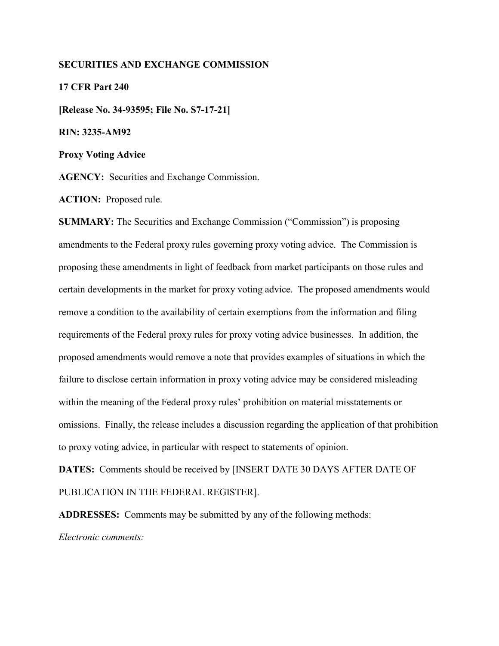#### **SECURITIES AND EXCHANGE COMMISSION**

**17 CFR Part 240 [Release No. 34-93595; File No. S7-17-21] RIN: 3235-AM92 Proxy Voting Advice**

**AGENCY:** Securities and Exchange Commission.

**ACTION:** Proposed rule.

**SUMMARY:** The Securities and Exchange Commission ("Commission") is proposing amendments to the Federal proxy rules governing proxy voting advice. The Commission is proposing these amendments in light of feedback from market participants on those rules and certain developments in the market for proxy voting advice. The proposed amendments would remove a condition to the availability of certain exemptions from the information and filing requirements of the Federal proxy rules for proxy voting advice businesses. In addition, the proposed amendments would remove a note that provides examples of situations in which the failure to disclose certain information in proxy voting advice may be considered misleading within the meaning of the Federal proxy rules' prohibition on material misstatements or omissions. Finally, the release includes a discussion regarding the application of that prohibition to proxy voting advice, in particular with respect to statements of opinion.

**DATES:** Comments should be received by [INSERT DATE 30 DAYS AFTER DATE OF PUBLICATION IN THE FEDERAL REGISTER].

**ADDRESSES:** Comments may be submitted by any of the following methods: *Electronic comments:*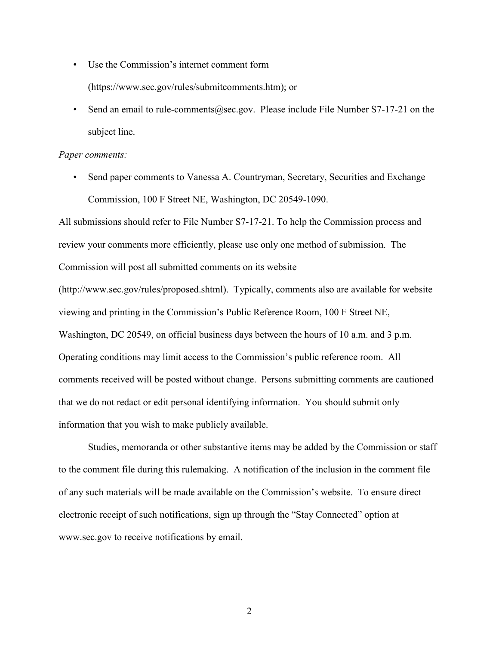- Use the Commission's internet comment form (https://www.sec.gov/rules/submitcomments.htm); or
- Send an email to rule-comments  $@sec.gov$ . Please include File Number S7-17-21 on the subject line.

#### *Paper comments:*

• Send paper comments to Vanessa A. Countryman, Secretary, Securities and Exchange Commission, 100 F Street NE, Washington, DC 20549-1090.

All submissions should refer to File Number S7-17-21. To help the Commission process and review your comments more efficiently, please use only one method of submission. The Commission will post all submitted comments on its website

(http://www.sec.gov/rules/proposed.shtml). Typically, comments also are available for website viewing and printing in the Commission's Public Reference Room, 100 F Street NE, Washington, DC 20549, on official business days between the hours of 10 a.m. and 3 p.m. Operating conditions may limit access to the Commission's public reference room. All comments received will be posted without change. Persons submitting comments are cautioned that we do not redact or edit personal identifying information. You should submit only information that you wish to make publicly available.

Studies, memoranda or other substantive items may be added by the Commission or staff to the comment file during this rulemaking. A notification of the inclusion in the comment file of any such materials will be made available on the Commission's website. To ensure direct electronic receipt of such notifications, sign up through the "Stay Connected" option at www.sec.gov to receive notifications by email.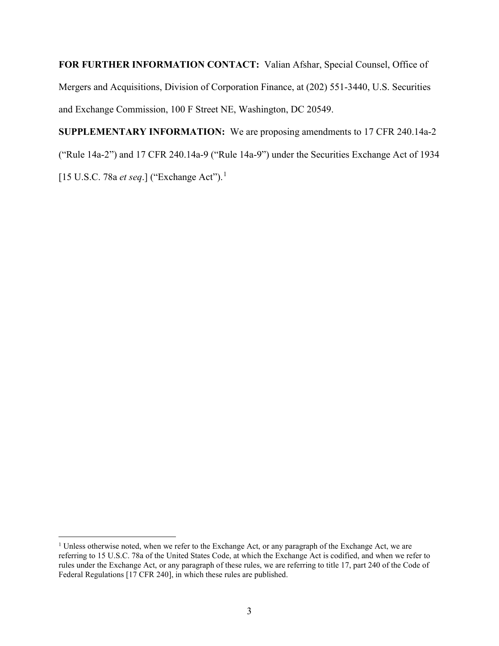**FOR FURTHER INFORMATION CONTACT:** Valian Afshar, Special Counsel, Office of Mergers and Acquisitions, Division of Corporation Finance, at (202) 551-3440, U.S. Securities and Exchange Commission, 100 F Street NE, Washington, DC 20549.

**SUPPLEMENTARY INFORMATION:** We are proposing amendments to 17 CFR 240.14a-2 ("Rule 14a-2") and 17 CFR 240.14a-9 ("Rule 14a-9") under the Securities Exchange Act of 1934 [15 U.S.C. 78a *et seq*.] ("Exchange Act").[1](#page-2-0)

<span id="page-2-0"></span><sup>&</sup>lt;sup>1</sup> Unless otherwise noted, when we refer to the Exchange Act, or any paragraph of the Exchange Act, we are referring to 15 U.S.C. 78a of the United States Code, at which the Exchange Act is codified, and when we refer to rules under the Exchange Act, or any paragraph of these rules, we are referring to title 17, part 240 of the Code of Federal Regulations [17 CFR 240], in which these rules are published.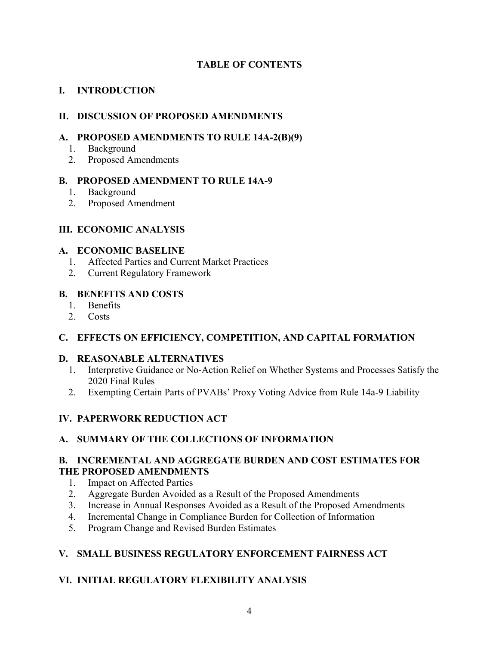# **TABLE OF CONTENTS**

# **I. INTRODUCTION**

# **II. DISCUSSION OF PROPOSED AMENDMENTS**

# **A. PROPOSED AMENDMENTS TO RULE 14A-2(B)(9)**

- 1. Background
- 2. Proposed Amendments

# **B. PROPOSED AMENDMENT TO RULE 14A-9**

- 1. Background
- 2. Proposed Amendment

# **III. ECONOMIC ANALYSIS**

## **A. ECONOMIC BASELINE**

- 1. Affected Parties and Current Market Practices
- 2. Current Regulatory Framework

# **B. BENEFITS AND COSTS**

- 1. Benefits
- 2. Costs

# **C. EFFECTS ON EFFICIENCY, COMPETITION, AND CAPITAL FORMATION**

# **D. REASONABLE ALTERNATIVES**

- 1. Interpretive Guidance or No-Action Relief on Whether Systems and Processes Satisfy the 2020 Final Rules
- 2. Exempting Certain Parts of PVABs' Proxy Voting Advice from Rule 14a-9 Liability

# **IV. PAPERWORK REDUCTION ACT**

# **A. SUMMARY OF THE COLLECTIONS OF INFORMATION**

# **B. INCREMENTAL AND AGGREGATE BURDEN AND COST ESTIMATES FOR THE PROPOSED AMENDMENTS**

- 1. Impact on Affected Parties
- 2. Aggregate Burden Avoided as a Result of the Proposed Amendments
- 3. Increase in Annual Responses Avoided as a Result of the Proposed Amendments
- 4. Incremental Change in Compliance Burden for Collection of Information
- 5. Program Change and Revised Burden Estimates

# **V. SMALL BUSINESS REGULATORY ENFORCEMENT FAIRNESS ACT**

# **VI. INITIAL REGULATORY FLEXIBILITY ANALYSIS**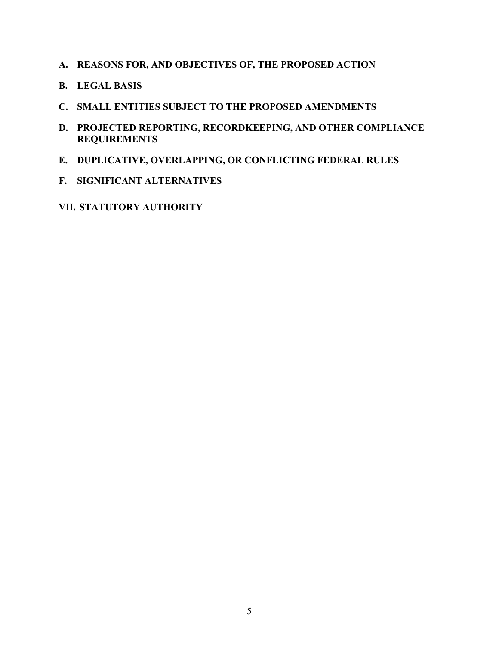- **A. REASONS FOR, AND OBJECTIVES OF, THE PROPOSED ACTION**
- **B. LEGAL BASIS**
- **C. SMALL ENTITIES SUBJECT TO THE PROPOSED AMENDMENTS**
- **D. PROJECTED REPORTING, RECORDKEEPING, AND OTHER COMPLIANCE REQUIREMENTS**
- **E. DUPLICATIVE, OVERLAPPING, OR CONFLICTING FEDERAL RULES**
- **F. SIGNIFICANT ALTERNATIVES**
- **VII. STATUTORY AUTHORITY**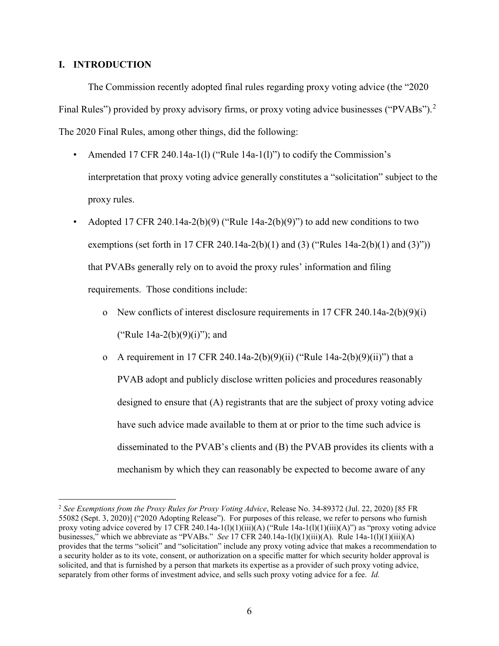## **I. INTRODUCTION**

The Commission recently adopted final rules regarding proxy voting advice (the "2020 Final Rules") provided by proxy advisory firms, or proxy voting advice businesses ("PVABs").<sup>[2](#page-5-0)</sup> The 2020 Final Rules, among other things, did the following:

- Amended 17 CFR 240.14a-1(1) ("Rule 14a-1(1)") to codify the Commission's interpretation that proxy voting advice generally constitutes a "solicitation" subject to the proxy rules.
- Adopted 17 CFR 240.14a-2(b)(9) ("Rule 14a-2(b)(9)") to add new conditions to two exemptions (set forth in 17 CFR 240.14a-2(b)(1) and (3) ("Rules  $14a-2(b)(1)$  and (3)")) that PVABs generally rely on to avoid the proxy rules' information and filing requirements. Those conditions include:
	- o New conflicts of interest disclosure requirements in 17 CFR 240.14a-2(b)(9)(i) ("Rule 14a-2(b)(9)(i)"); and
	- o A requirement in 17 CFR 240.14a-2(b)(9)(ii) ("Rule 14a-2(b)(9)(ii)") that a PVAB adopt and publicly disclose written policies and procedures reasonably designed to ensure that (A) registrants that are the subject of proxy voting advice have such advice made available to them at or prior to the time such advice is disseminated to the PVAB's clients and (B) the PVAB provides its clients with a mechanism by which they can reasonably be expected to become aware of any

<span id="page-5-0"></span> <sup>2</sup> *See Exemptions from the Proxy Rules for Proxy Voting Advice*, Release No. 34-89372 (Jul. 22, 2020) [85 FR 55082 (Sept. 3, 2020)] ("2020 Adopting Release"). For purposes of this release, we refer to persons who furnish proxy voting advice covered by 17 CFR 240.14a-1(l)(1)(iii)(A) ("Rule 14a-1(l)(1)(iii)(A)") as "proxy voting advice businesses," which we abbreviate as "PVABs." *See* 17 CFR 240.14a-1(l)(1)(iii)(A). Rule 14a-1(l)(1)(iii)(A) provides that the terms "solicit" and "solicitation" include any proxy voting advice that makes a recommendation to a security holder as to its vote, consent, or authorization on a specific matter for which security holder approval is solicited, and that is furnished by a person that markets its expertise as a provider of such proxy voting advice, separately from other forms of investment advice, and sells such proxy voting advice for a fee. *Id.*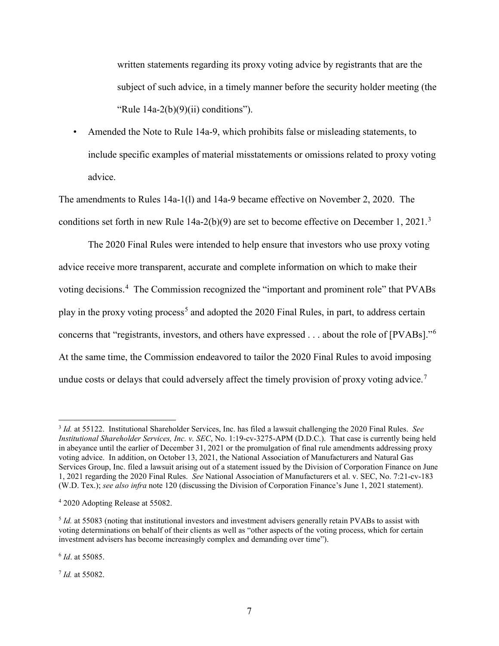written statements regarding its proxy voting advice by registrants that are the subject of such advice, in a timely manner before the security holder meeting (the "Rule  $14a-2(b)(9)(ii)$  conditions").

• Amended the Note to Rule 14a-9, which prohibits false or misleading statements, to include specific examples of material misstatements or omissions related to proxy voting advice.

The amendments to Rules 14a-1(l) and 14a-9 became effective on November 2, 2020. The conditions set forth in new Rule  $14a-2(b)(9)$  are set to become effective on December 1, 2021.<sup>[3](#page-6-0)</sup>

The 2020 Final Rules were intended to help ensure that investors who use proxy voting advice receive more transparent, accurate and complete information on which to make their voting decisions.<sup>[4](#page-6-1)</sup> The Commission recognized the "important and prominent role" that PVABs play in the proxy voting process<sup>[5](#page-6-2)</sup> and adopted the 2020 Final Rules, in part, to address certain concerns that "registrants, investors, and others have expressed . . . about the role of [PVABs]."[6](#page-6-3) At the same time, the Commission endeavored to tailor the 2020 Final Rules to avoid imposing undue costs or delays that could adversely affect the timely provision of proxy voting advice.<sup>[7](#page-6-4)</sup>

<span id="page-6-3"></span><sup>6</sup> *Id*. at 55085.

<span id="page-6-4"></span><sup>7</sup> *Id.* at 55082.

<span id="page-6-0"></span> <sup>3</sup> *Id.* at 55122. Institutional Shareholder Services, Inc. has filed a lawsuit challenging the 2020 Final Rules. *See Institutional Shareholder Services, Inc. v. SEC*, No. 1:19-cv-3275-APM (D.D.C.). That case is currently being held in abeyance until the earlier of December 31, 2021 or the promulgation of final rule amendments addressing proxy voting advice. In addition, on October 13, 2021, the National Association of Manufacturers and Natural Gas Services Group, Inc. filed a lawsuit arising out of a statement issued by the Division of Corporation Finance on June 1, 2021 regarding the 2020 Final Rules. *See* National Association of Manufacturers et al. v. SEC, No. 7:21-cv-183 (W.D. Tex.); *see also infra* note 120 (discussing the Division of Corporation Finance's June 1, 2021 statement).

<span id="page-6-1"></span><sup>4</sup> 2020 Adopting Release at 55082.

<span id="page-6-2"></span><sup>5</sup> *Id.* at 55083 (noting that institutional investors and investment advisers generally retain PVABs to assist with voting determinations on behalf of their clients as well as "other aspects of the voting process, which for certain investment advisers has become increasingly complex and demanding over time").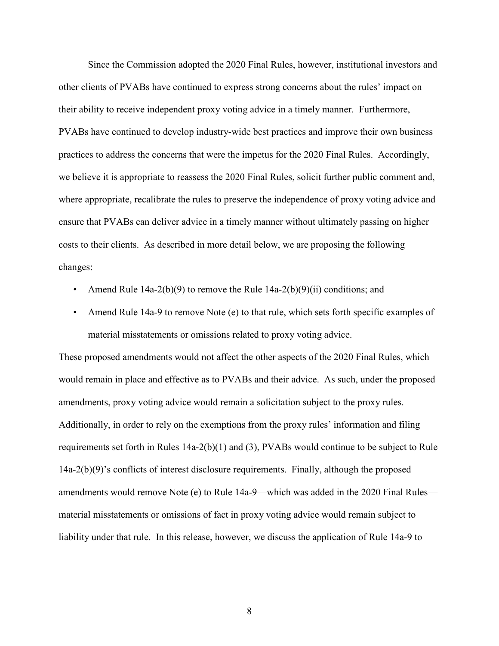Since the Commission adopted the 2020 Final Rules, however, institutional investors and other clients of PVABs have continued to express strong concerns about the rules' impact on their ability to receive independent proxy voting advice in a timely manner. Furthermore, PVABs have continued to develop industry-wide best practices and improve their own business practices to address the concerns that were the impetus for the 2020 Final Rules. Accordingly, we believe it is appropriate to reassess the 2020 Final Rules, solicit further public comment and, where appropriate, recalibrate the rules to preserve the independence of proxy voting advice and ensure that PVABs can deliver advice in a timely manner without ultimately passing on higher costs to their clients. As described in more detail below, we are proposing the following changes:

- Amend Rule 14a-2(b)(9) to remove the Rule 14a-2(b)(9)(ii) conditions; and
- Amend Rule 14a-9 to remove Note (e) to that rule, which sets forth specific examples of material misstatements or omissions related to proxy voting advice.

These proposed amendments would not affect the other aspects of the 2020 Final Rules, which would remain in place and effective as to PVABs and their advice. As such, under the proposed amendments, proxy voting advice would remain a solicitation subject to the proxy rules. Additionally, in order to rely on the exemptions from the proxy rules' information and filing requirements set forth in Rules 14a-2(b)(1) and (3), PVABs would continue to be subject to Rule 14a-2(b)(9)'s conflicts of interest disclosure requirements. Finally, although the proposed amendments would remove Note (e) to Rule 14a-9—which was added in the 2020 Final Rules material misstatements or omissions of fact in proxy voting advice would remain subject to liability under that rule. In this release, however, we discuss the application of Rule 14a-9 to

8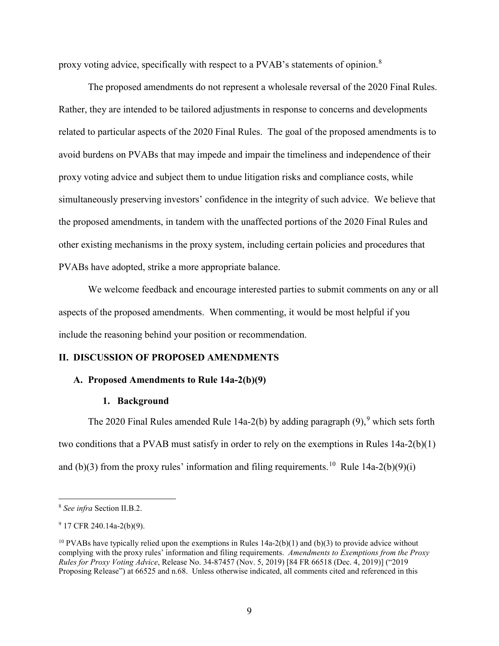proxy voting advice, specifically with respect to a PVAB's statements of opinion.[8](#page-8-0)

The proposed amendments do not represent a wholesale reversal of the 2020 Final Rules. Rather, they are intended to be tailored adjustments in response to concerns and developments related to particular aspects of the 2020 Final Rules. The goal of the proposed amendments is to avoid burdens on PVABs that may impede and impair the timeliness and independence of their proxy voting advice and subject them to undue litigation risks and compliance costs, while simultaneously preserving investors' confidence in the integrity of such advice. We believe that the proposed amendments, in tandem with the unaffected portions of the 2020 Final Rules and other existing mechanisms in the proxy system, including certain policies and procedures that PVABs have adopted, strike a more appropriate balance.

We welcome feedback and encourage interested parties to submit comments on any or all aspects of the proposed amendments. When commenting, it would be most helpful if you include the reasoning behind your position or recommendation.

## **II. DISCUSSION OF PROPOSED AMENDMENTS**

#### **A. Proposed Amendments to Rule 14a-2(b)(9)**

#### **1. Background**

The 2020 Final Rules amended Rule 14a-2(b) by adding paragraph  $(9)$  $(9)$  $(9)$ ,  $(9)$  which sets forth two conditions that a PVAB must satisfy in order to rely on the exemptions in Rules 14a-2(b)(1) and (b)(3) from the proxy rules' information and filing requirements.<sup>10</sup> Rule 14a-2(b)(9)(i)

<span id="page-8-0"></span> <sup>8</sup> *See infra* Section II.B.2.

<span id="page-8-1"></span> $9$  17 CFR 240.14a-2(b)(9).

<span id="page-8-2"></span><sup>&</sup>lt;sup>10</sup> PVABs have typically relied upon the exemptions in Rules  $14a-2(b)(1)$  and (b)(3) to provide advice without complying with the proxy rules' information and filing requirements. *Amendments to Exemptions from the Proxy Rules for Proxy Voting Advice*, Release No. 34-87457 (Nov. 5, 2019) [84 FR 66518 (Dec. 4, 2019)] ("2019 Proposing Release") at 66525 and n.68. Unless otherwise indicated, all comments cited and referenced in this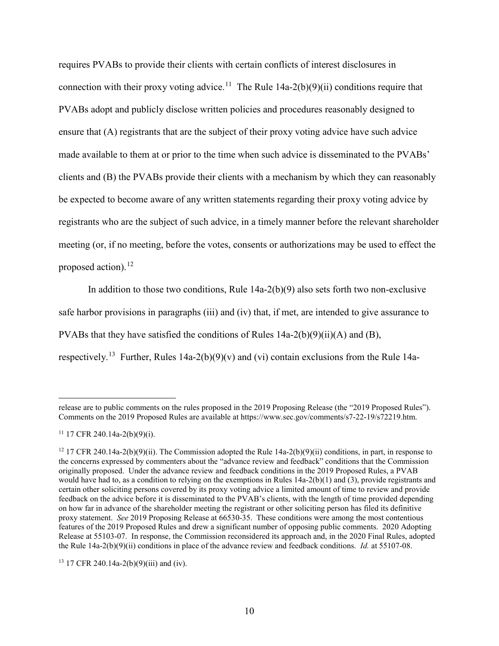requires PVABs to provide their clients with certain conflicts of interest disclosures in connection with their proxy voting advice.<sup>11</sup> The Rule  $14a-2(b)(9)(ii)$  conditions require that PVABs adopt and publicly disclose written policies and procedures reasonably designed to ensure that (A) registrants that are the subject of their proxy voting advice have such advice made available to them at or prior to the time when such advice is disseminated to the PVABs' clients and (B) the PVABs provide their clients with a mechanism by which they can reasonably be expected to become aware of any written statements regarding their proxy voting advice by registrants who are the subject of such advice, in a timely manner before the relevant shareholder meeting (or, if no meeting, before the votes, consents or authorizations may be used to effect the proposed action). $^{12}$  $^{12}$  $^{12}$ 

In addition to those two conditions, Rule  $14a-2(b)(9)$  also sets forth two non-exclusive safe harbor provisions in paragraphs (iii) and (iv) that, if met, are intended to give assurance to PVABs that they have satisfied the conditions of Rules 14a-2(b)(9)(ii)(A) and (B), respectively.<sup>13</sup> Further, Rules 14a-2(b)(9)(v) and (vi) contain exclusions from the Rule 14a-

release are to public comments on the rules proposed in the 2019 Proposing Release (the "2019 Proposed Rules"). Comments on the 2019 Proposed Rules are available at https://www.sec.gov/comments/s7-22-19/s72219.htm.

<span id="page-9-0"></span> $11$  17 CFR 240.14a-2(b)(9)(i).

<span id="page-9-1"></span><sup>&</sup>lt;sup>12</sup> 17 CFR 240.14a-2(b)(9)(ii). The Commission adopted the Rule 14a-2(b)(9)(ii) conditions, in part, in response to the concerns expressed by commenters about the "advance review and feedback" conditions that the Commission originally proposed. Under the advance review and feedback conditions in the 2019 Proposed Rules, a PVAB would have had to, as a condition to relying on the exemptions in Rules 14a-2(b)(1) and (3), provide registrants and certain other soliciting persons covered by its proxy voting advice a limited amount of time to review and provide feedback on the advice before it is disseminated to the PVAB's clients, with the length of time provided depending on how far in advance of the shareholder meeting the registrant or other soliciting person has filed its definitive proxy statement. *See* 2019 Proposing Release at 66530-35. These conditions were among the most contentious features of the 2019 Proposed Rules and drew a significant number of opposing public comments. 2020 Adopting Release at 55103-07. In response, the Commission reconsidered its approach and, in the 2020 Final Rules, adopted the Rule 14a-2(b)(9)(ii) conditions in place of the advance review and feedback conditions. *Id.* at 55107-08.

<span id="page-9-2"></span><sup>&</sup>lt;sup>13</sup> 17 CFR 240.14a-2(b)(9)(iii) and (iv).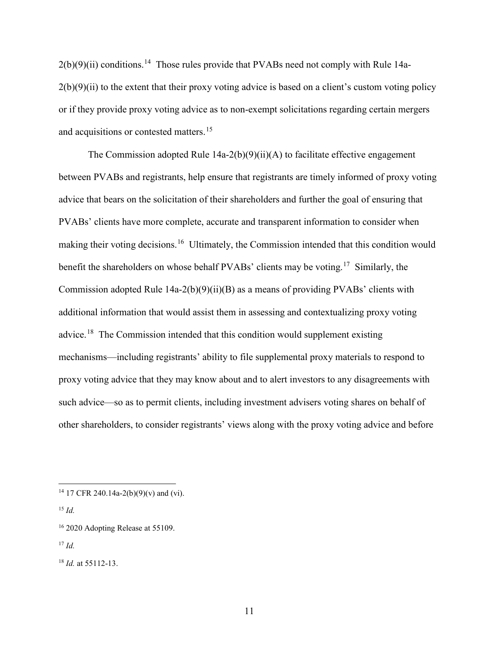$2(b)(9)(ii)$  conditions.<sup>[14](#page-10-0)</sup> Those rules provide that PVABs need not comply with Rule 14a- $2(b)(9)(ii)$  to the extent that their proxy voting advice is based on a client's custom voting policy or if they provide proxy voting advice as to non-exempt solicitations regarding certain mergers and acquisitions or contested matters.<sup>[15](#page-10-1)</sup>

The Commission adopted Rule  $14a-2(b)(9)(ii)(A)$  to facilitate effective engagement between PVABs and registrants, help ensure that registrants are timely informed of proxy voting advice that bears on the solicitation of their shareholders and further the goal of ensuring that PVABs' clients have more complete, accurate and transparent information to consider when making their voting decisions.<sup>16</sup> Ultimately, the Commission intended that this condition would benefit the shareholders on whose behalf PVABs' clients may be voting.<sup>[17](#page-10-3)</sup> Similarly, the Commission adopted Rule  $14a-2(b)(9)(ii)(B)$  as a means of providing PVABs' clients with additional information that would assist them in assessing and contextualizing proxy voting advice.[18](#page-10-4) The Commission intended that this condition would supplement existing mechanisms—including registrants' ability to file supplemental proxy materials to respond to proxy voting advice that they may know about and to alert investors to any disagreements with such advice—so as to permit clients, including investment advisers voting shares on behalf of other shareholders, to consider registrants' views along with the proxy voting advice and before

<span id="page-10-0"></span><sup>&</sup>lt;sup>14</sup> 17 CFR 240.14a-2(b)(9)(v) and (vi).

<span id="page-10-1"></span><sup>15</sup> *Id.*

<span id="page-10-2"></span><sup>&</sup>lt;sup>16</sup> 2020 Adopting Release at 55109.

<span id="page-10-3"></span><sup>17</sup> *Id.*

<span id="page-10-4"></span><sup>18</sup> *Id.* at 55112-13.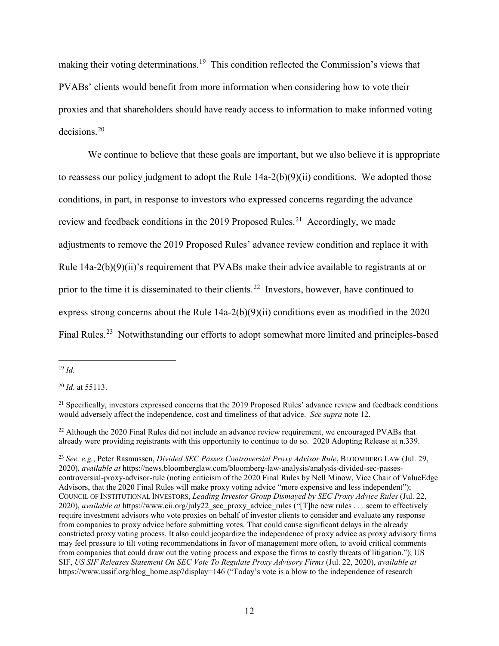making their voting determinations.[19](#page-11-0) This condition reflected the Commission's views that PVABs' clients would benefit from more information when considering how to vote their proxies and that shareholders should have ready access to information to make informed voting decisions.[20](#page-11-1)

We continue to believe that these goals are important, but we also believe it is appropriate to reassess our policy judgment to adopt the Rule 14a-2(b)(9)(ii) conditions. We adopted those conditions, in part, in response to investors who expressed concerns regarding the advance review and feedback conditions in the 2019 Proposed Rules.<sup>21</sup> Accordingly, we made adjustments to remove the 2019 Proposed Rules' advance review condition and replace it with Rule 14a-2(b)(9)(ii)'s requirement that PVABs make their advice available to registrants at or prior to the time it is disseminated to their clients.<sup>[22](#page-11-3)</sup> Investors, however, have continued to express strong concerns about the Rule 14a-2(b)(9)(ii) conditions even as modified in the 2020 Final Rules.<sup>[23](#page-11-4)</sup> Notwithstanding our efforts to adopt somewhat more limited and principles-based

<span id="page-11-1"></span><sup>20</sup> *Id*. at 55113.

<span id="page-11-4"></span><sup>23</sup> *See, e.g.*, Peter Rasmussen, *Divided SEC Passes Controversial Proxy Advisor Rule*, BLOOMBERG LAW (Jul. 29, 2020), *available at* https://news.bloomberglaw.com/bloomberg-law-analysis/analysis-divided-sec-passescontroversial-proxy-advisor-rule (noting criticism of the 2020 Final Rules by Nell Minow, Vice Chair of ValueEdge Advisors, that the 2020 Final Rules will make proxy voting advice "more expensive and less independent"); COUNCIL OF INSTITUTIONAL INVESTORS, *Leading Investor Group Dismayed by SEC Proxy Advice Rules* (Jul. 22, 2020), *available at* https://www.cii.org/july22\_sec\_proxy\_advice\_rules ("[T]he new rules . . . seem to effectively require investment advisors who vote proxies on behalf of investor clients to consider and evaluate any response from companies to proxy advice before submitting votes. That could cause significant delays in the already constricted proxy voting process. It also could jeopardize the independence of proxy advice as proxy advisory firms may feel pressure to tilt voting recommendations in favor of management more often, to avoid critical comments from companies that could draw out the voting process and expose the firms to costly threats of litigation."); US SIF, *US SIF Releases Statement On SEC Vote To Regulate Proxy Advisory Firms* (Jul. 22, 2020), *available at*  https://www.ussif.org/blog\_home.asp?display=146 ("Today's vote is a blow to the independence of research

<span id="page-11-0"></span> <sup>19</sup> *Id.*

<span id="page-11-2"></span><sup>&</sup>lt;sup>21</sup> Specifically, investors expressed concerns that the 2019 Proposed Rules' advance review and feedback conditions would adversely affect the independence, cost and timeliness of that advice. *See supra* note 12.

<span id="page-11-3"></span> $^{22}$  Although the 2020 Final Rules did not include an advance review requirement, we encouraged PVABs that already were providing registrants with this opportunity to continue to do so. 2020 Adopting Release at n.339.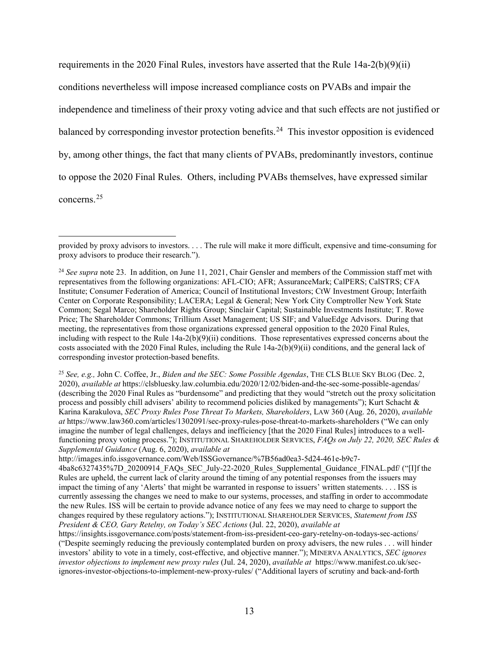requirements in the 2020 Final Rules, investors have asserted that the Rule  $14a-2(b)(9)(ii)$ conditions nevertheless will impose increased compliance costs on PVABs and impair the independence and timeliness of their proxy voting advice and that such effects are not justified or balanced by corresponding investor protection benefits.<sup>[24](#page-12-0)</sup> This investor opposition is evidenced by, among other things, the fact that many clients of PVABs, predominantly investors, continue to oppose the 2020 Final Rules. Others, including PVABs themselves, have expressed similar concerns.[25](#page-12-1)

 $\overline{a}$ 

<span id="page-12-1"></span><sup>25</sup> *See, e.g.,* John C. Coffee, Jr., *Biden and the SEC: Some Possible Agendas*, THE CLS BLUE SKY BLOG (Dec. 2, 2020), *available at* https://clsbluesky.law.columbia.edu/2020/12/02/biden-and-the-sec-some-possible-agendas/ (describing the 2020 Final Rules as "burdensome" and predicting that they would "stretch out the proxy solicitation process and possibly chill advisers' ability to recommend policies disliked by managements"); Kurt Schacht & Karina Karakulova, *SEC Proxy Rules Pose Threat To Markets, Shareholders*, LAW 360 (Aug. 26, 2020), *available at* https://www.law360.com/articles/1302091/sec-proxy-rules-pose-threat-to-markets-shareholders ("We can only imagine the number of legal challenges, delays and inefficiency [that the 2020 Final Rules] introduces to a wellfunctioning proxy voting process."); INSTITUTIONAL SHAREHOLDER SERVICES, *FAQs on July 22, 2020, SEC Rules & Supplemental Guidance* (Aug. 6, 2020), *available at* 

http://images.info.issgovernance.com/Web/ISSGovernance/%7B56ad0ea3-5d24-461e-b9c7-

4ba8c6327435%7D\_20200914\_FAQs\_SEC\_July-22-2020\_Rules\_Supplemental\_Guidance\_FINAL.pdf/ ("[I]f the Rules are upheld, the current lack of clarity around the timing of any potential responses from the issuers may impact the timing of any 'Alerts' that might be warranted in response to issuers' written statements. . . . ISS is currently assessing the changes we need to make to our systems, processes, and staffing in order to accommodate the new Rules. ISS will be certain to provide advance notice of any fees we may need to charge to support the changes required by these regulatory actions."); INSTITUTIONAL SHAREHOLDER SERVICES, *Statement from ISS President & CEO, Gary Retelny, on Today's SEC Actions* (Jul. 22, 2020), *available at* 

https://insights.issgovernance.com/posts/statement-from-iss-president-ceo-gary-retelny-on-todays-sec-actions/ ("Despite seemingly reducing the previously contemplated burden on proxy advisers, the new rules . . . will hinder investors' ability to vote in a timely, cost-effective, and objective manner."); MINERVA ANALYTICS, *SEC ignores investor objections to implement new proxy rules* (Jul. 24, 2020), *available at* https://www.manifest.co.uk/secignores-investor-objections-to-implement-new-proxy-rules/ ("Additional layers of scrutiny and back-and-forth

provided by proxy advisors to investors. . . . The rule will make it more difficult, expensive and time-consuming for proxy advisors to produce their research.").

<span id="page-12-0"></span><sup>&</sup>lt;sup>24</sup> See supra note 23. In addition, on June 11, 2021, Chair Gensler and members of the Commission staff met with representatives from the following organizations: AFL-CIO; AFR; AssuranceMark; CalPERS; CalSTRS; CFA Institute; Consumer Federation of America; Council of Institutional Investors; CtW Investment Group; Interfaith Center on Corporate Responsibility; LACERA; Legal & General; New York City Comptroller New York State Common; Segal Marco; Shareholder Rights Group; Sinclair Capital; Sustainable Investments Institute; T. Rowe Price; The Shareholder Commons; Trillium Asset Management; US SIF; and ValueEdge Advisors. During that meeting, the representatives from those organizations expressed general opposition to the 2020 Final Rules, including with respect to the Rule  $14a-2(b)(9)(ii)$  conditions. Those representatives expressed concerns about the costs associated with the 2020 Final Rules, including the Rule 14a-2(b)(9)(ii) conditions, and the general lack of corresponding investor protection-based benefits.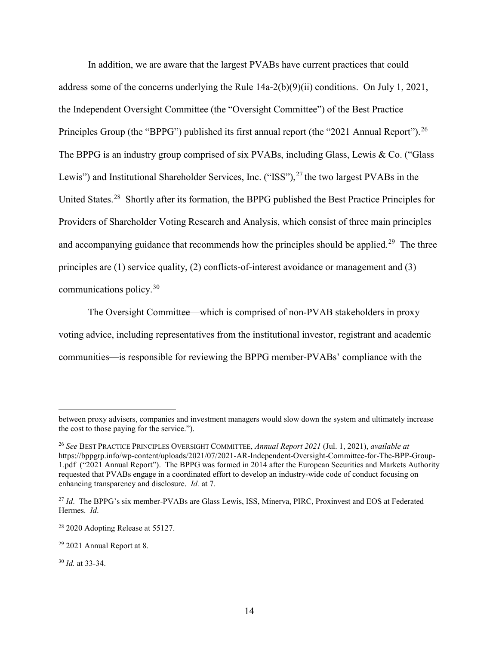In addition, we are aware that the largest PVABs have current practices that could address some of the concerns underlying the Rule 14a-2(b)(9)(ii) conditions. On July 1, 2021, the Independent Oversight Committee (the "Oversight Committee") of the Best Practice Principles Group (the "BPPG") published its first annual report (the "2021 Annual Report").<sup>[26](#page-13-0)</sup> The BPPG is an industry group comprised of six PVABs, including Glass, Lewis & Co. ("Glass Lewis") and Institutional Shareholder Services, Inc. ("ISS"), $^{27}$  $^{27}$  $^{27}$  the two largest PVABs in the United States.[28](#page-13-2) Shortly after its formation, the BPPG published the Best Practice Principles for Providers of Shareholder Voting Research and Analysis, which consist of three main principles and accompanying guidance that recommends how the principles should be applied.<sup>29</sup> The three principles are (1) service quality, (2) conflicts-of-interest avoidance or management and (3) communications policy.[30](#page-13-4) 

The Oversight Committee—which is comprised of non-PVAB stakeholders in proxy voting advice, including representatives from the institutional investor, registrant and academic communities—is responsible for reviewing the BPPG member-PVABs' compliance with the

 $\overline{a}$ 

between proxy advisers, companies and investment managers would slow down the system and ultimately increase the cost to those paying for the service.").

<span id="page-13-0"></span><sup>26</sup> *See* BEST PRACTICE PRINCIPLES OVERSIGHT COMMITTEE, *Annual Report 2021* (Jul. 1, 2021), *available at*  https://bppgrp.info/wp-content/uploads/2021/07/2021-AR-Independent-Oversight-Committee-for-The-BPP-Group-1.pdf ("2021 Annual Report"). The BPPG was formed in 2014 after the European Securities and Markets Authority requested that PVABs engage in a coordinated effort to develop an industry-wide code of conduct focusing on enhancing transparency and disclosure. *Id.* at 7.

<span id="page-13-1"></span><sup>&</sup>lt;sup>27</sup> *Id*. The BPPG's six member-PVABs are Glass Lewis, ISS, Minerva, PIRC, Proxinvest and EOS at Federated Hermes. *Id*.

<span id="page-13-2"></span><sup>&</sup>lt;sup>28</sup> 2020 Adopting Release at 55127.

<span id="page-13-3"></span><sup>29</sup> 2021 Annual Report at 8.

<span id="page-13-4"></span><sup>30</sup> *Id.* at 33-34.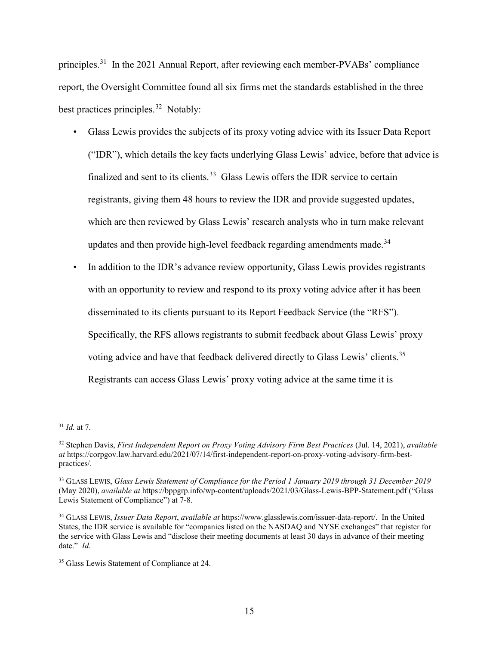principles.[31](#page-14-0) In the 2021 Annual Report, after reviewing each member-PVABs' compliance report, the Oversight Committee found all six firms met the standards established in the three best practices principles.<sup>32</sup> Notably:

- Glass Lewis provides the subjects of its proxy voting advice with its Issuer Data Report ("IDR"), which details the key facts underlying Glass Lewis' advice, before that advice is finalized and sent to its clients.<sup>[33](#page-14-2)</sup> Glass Lewis offers the IDR service to certain registrants, giving them 48 hours to review the IDR and provide suggested updates, which are then reviewed by Glass Lewis' research analysts who in turn make relevant updates and then provide high-level feedback regarding amendments made.<sup>34</sup>
- In addition to the IDR's advance review opportunity, Glass Lewis provides registrants with an opportunity to review and respond to its proxy voting advice after it has been disseminated to its clients pursuant to its Report Feedback Service (the "RFS"). Specifically, the RFS allows registrants to submit feedback about Glass Lewis' proxy voting advice and have that feedback delivered directly to Glass Lewis' clients.<sup>35</sup> Registrants can access Glass Lewis' proxy voting advice at the same time it is

<span id="page-14-0"></span> <sup>31</sup> *Id.* at 7.

<span id="page-14-1"></span><sup>32</sup> Stephen Davis, *First Independent Report on Proxy Voting Advisory Firm Best Practices* (Jul. 14, 2021), *available at* https://corpgov.law.harvard.edu/2021/07/14/first-independent-report-on-proxy-voting-advisory-firm-bestpractices/.

<span id="page-14-2"></span><sup>33</sup> GLASS LEWIS, *Glass Lewis Statement of Compliance for the Period 1 January 2019 through 31 December 2019* (May 2020), *available at* https://bppgrp.info/wp-content/uploads/2021/03/Glass-Lewis-BPP-Statement.pdf ("Glass Lewis Statement of Compliance") at 7-8.

<span id="page-14-3"></span><sup>34</sup> GLASS LEWIS, *Issuer Data Report*, *available at* https://www.glasslewis.com/issuer-data-report/. In the United States, the IDR service is available for "companies listed on the NASDAQ and NYSE exchanges" that register for the service with Glass Lewis and "disclose their meeting documents at least 30 days in advance of their meeting date." *Id*.

<span id="page-14-4"></span><sup>&</sup>lt;sup>35</sup> Glass Lewis Statement of Compliance at 24.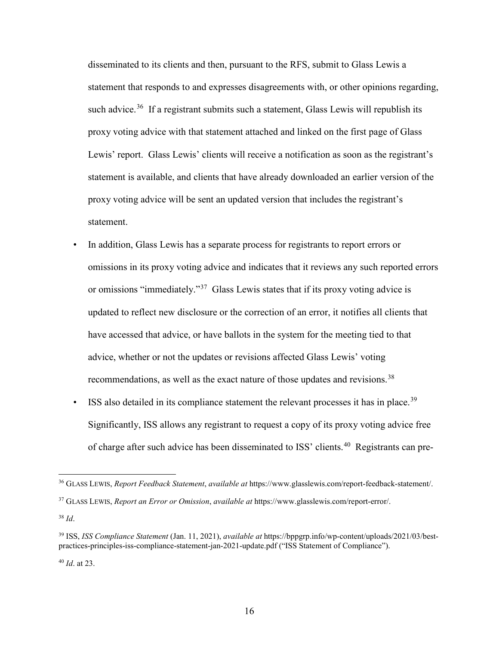disseminated to its clients and then, pursuant to the RFS, submit to Glass Lewis a statement that responds to and expresses disagreements with, or other opinions regarding, such advice.<sup>[36](#page-15-0)</sup> If a registrant submits such a statement, Glass Lewis will republish its proxy voting advice with that statement attached and linked on the first page of Glass Lewis' report. Glass Lewis' clients will receive a notification as soon as the registrant's statement is available, and clients that have already downloaded an earlier version of the proxy voting advice will be sent an updated version that includes the registrant's statement.

- In addition, Glass Lewis has a separate process for registrants to report errors or omissions in its proxy voting advice and indicates that it reviews any such reported errors or omissions "immediately."[37](#page-15-1) Glass Lewis states that if its proxy voting advice is updated to reflect new disclosure or the correction of an error, it notifies all clients that have accessed that advice, or have ballots in the system for the meeting tied to that advice, whether or not the updates or revisions affected Glass Lewis' voting recommendations, as well as the exact nature of those updates and revisions.<sup>[38](#page-15-2)</sup>
- ISS also detailed in its compliance statement the relevant processes it has in place.<sup>39</sup> Significantly, ISS allows any registrant to request a copy of its proxy voting advice free of charge after such advice has been disseminated to ISS' clients.<sup>[40](#page-15-4)</sup> Registrants can pre-

<span id="page-15-0"></span> <sup>36</sup> GLASS LEWIS, *Report Feedback Statement*, *available at* https://www.glasslewis.com/report-feedback-statement/.

<span id="page-15-1"></span><sup>37</sup> GLASS LEWIS, *Report an Error or Omission*, *available at* https://www.glasslewis.com/report-error/.

<span id="page-15-2"></span><sup>38</sup> *Id*.

<span id="page-15-3"></span><sup>39</sup> ISS, *ISS Compliance Statement* (Jan. 11, 2021), *available at* https://bppgrp.info/wp-content/uploads/2021/03/bestpractices-principles-iss-compliance-statement-jan-2021-update.pdf ("ISS Statement of Compliance").

<span id="page-15-4"></span><sup>40</sup> *Id*. at 23.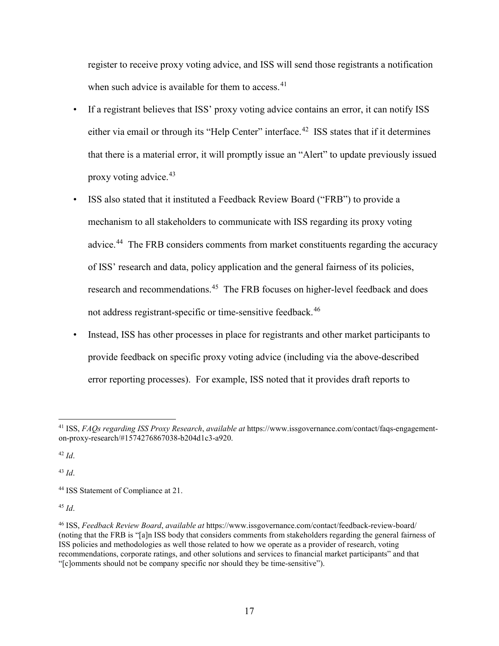register to receive proxy voting advice, and ISS will send those registrants a notification when such advice is available for them to access.<sup>[41](#page-16-0)</sup>

- If a registrant believes that ISS' proxy voting advice contains an error, it can notify ISS either via email or through its "Help Center" interface.<sup>42</sup> ISS states that if it determines that there is a material error, it will promptly issue an "Alert" to update previously issued proxy voting advice.[43](#page-16-2)
- ISS also stated that it instituted a Feedback Review Board ("FRB") to provide a mechanism to all stakeholders to communicate with ISS regarding its proxy voting advice.<sup>[44](#page-16-3)</sup> The FRB considers comments from market constituents regarding the accuracy of ISS' research and data, policy application and the general fairness of its policies, research and recommendations.<sup>[45](#page-16-4)</sup> The FRB focuses on higher-level feedback and does not address registrant-specific or time-sensitive feedback.<sup>[46](#page-16-5)</sup>
- Instead, ISS has other processes in place for registrants and other market participants to provide feedback on specific proxy voting advice (including via the above-described error reporting processes). For example, ISS noted that it provides draft reports to

<span id="page-16-2"></span><sup>43</sup> *Id*.

<span id="page-16-4"></span><sup>45</sup> *Id*.

<span id="page-16-0"></span> <sup>41</sup> ISS, *FAQs regarding ISS Proxy Research*, *available at* https://www.issgovernance.com/contact/faqs-engagementon-proxy-research/#1574276867038-b204d1c3-a920.

<span id="page-16-1"></span><sup>42</sup> *Id*.

<span id="page-16-3"></span><sup>44</sup> ISS Statement of Compliance at 21.

<span id="page-16-5"></span><sup>46</sup> ISS, *Feedback Review Board*, *available at* https://www.issgovernance.com/contact/feedback-review-board/ (noting that the FRB is "[a]n ISS body that considers comments from stakeholders regarding the general fairness of ISS policies and methodologies as well those related to how we operate as a provider of research, voting recommendations, corporate ratings, and other solutions and services to financial market participants" and that "[c]omments should not be company specific nor should they be time-sensitive").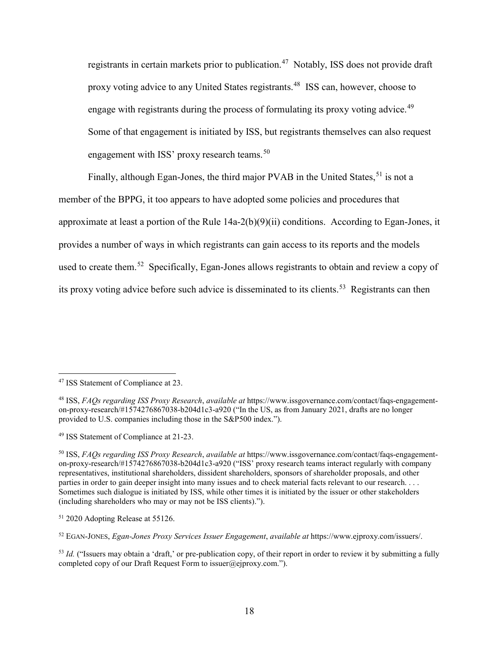registrants in certain markets prior to publication.<sup>[47](#page-17-0)</sup> Notably, ISS does not provide draft proxy voting advice to any United States registrants. [48](#page-17-1) ISS can, however, choose to engage with registrants during the process of formulating its proxy voting advice.<sup>[49](#page-17-2)</sup> Some of that engagement is initiated by ISS, but registrants themselves can also request engagement with ISS' proxy research teams.  $50$ 

Finally, although Egan-Jones, the third major PVAB in the United States,  $51$  is not a member of the BPPG, it too appears to have adopted some policies and procedures that approximate at least a portion of the Rule 14a-2(b)(9)(ii) conditions. According to Egan-Jones, it provides a number of ways in which registrants can gain access to its reports and the models used to create them.<sup>52</sup> Specifically, Egan-Jones allows registrants to obtain and review a copy of its proxy voting advice before such advice is disseminated to its clients.<sup>53</sup> Registrants can then

<span id="page-17-0"></span><sup>&</sup>lt;sup>47</sup> ISS Statement of Compliance at 23.

<span id="page-17-1"></span><sup>48</sup> ISS, *FAQs regarding ISS Proxy Research*, *available at* https://www.issgovernance.com/contact/faqs-engagementon-proxy-research/#1574276867038-b204d1c3-a920 ("In the US, as from January 2021, drafts are no longer provided to U.S. companies including those in the S&P500 index.").

<span id="page-17-2"></span><sup>49</sup> ISS Statement of Compliance at 21-23.

<span id="page-17-3"></span><sup>50</sup> ISS, *FAQs regarding ISS Proxy Research*, *available at* https://www.issgovernance.com/contact/faqs-engagementon-proxy-research/#1574276867038-b204d1c3-a920 ("ISS' proxy research teams interact regularly with company representatives, institutional shareholders, dissident shareholders, sponsors of shareholder proposals, and other parties in order to gain deeper insight into many issues and to check material facts relevant to our research. . . . Sometimes such dialogue is initiated by ISS, while other times it is initiated by the issuer or other stakeholders (including shareholders who may or may not be ISS clients).").

<span id="page-17-4"></span><sup>51</sup> 2020 Adopting Release at 55126.

<span id="page-17-5"></span><sup>52</sup> EGAN-JONES, *Egan-Jones Proxy Services Issuer Engagement*, *available at* https://www.ejproxy.com/issuers/.

<span id="page-17-6"></span><sup>&</sup>lt;sup>53</sup> *Id.* ("Issuers may obtain a 'draft,' or pre-publication copy, of their report in order to review it by submitting a fully completed copy of our Draft Request Form to issuer@ejproxy.com.").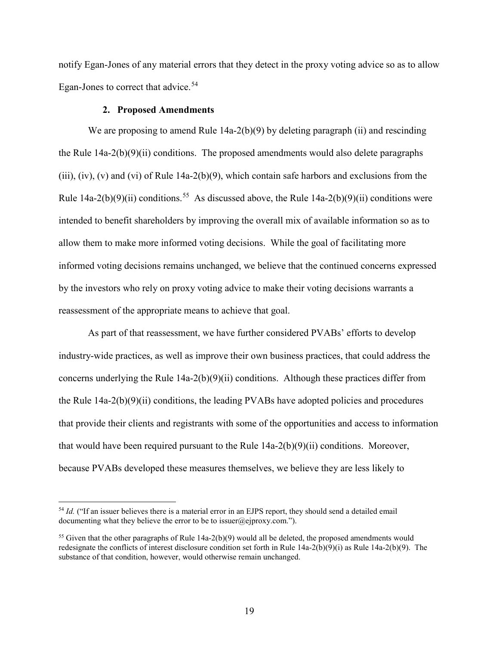notify Egan-Jones of any material errors that they detect in the proxy voting advice so as to allow Egan-Jones to correct that advice.<sup>[54](#page-18-0)</sup>

## **2. Proposed Amendments**

We are proposing to amend Rule 14a-2(b)(9) by deleting paragraph (ii) and rescinding the Rule  $14a-2(b)(9)(ii)$  conditions. The proposed amendments would also delete paragraphs (iii), (iv), (v) and (vi) of Rule 14a-2(b)(9), which contain safe harbors and exclusions from the Rule  $14a-2(b)(9)(ii)$  conditions.<sup>[55](#page-18-1)</sup> As discussed above, the Rule  $14a-2(b)(9)(ii)$  conditions were intended to benefit shareholders by improving the overall mix of available information so as to allow them to make more informed voting decisions. While the goal of facilitating more informed voting decisions remains unchanged, we believe that the continued concerns expressed by the investors who rely on proxy voting advice to make their voting decisions warrants a reassessment of the appropriate means to achieve that goal.

As part of that reassessment, we have further considered PVABs' efforts to develop industry-wide practices, as well as improve their own business practices, that could address the concerns underlying the Rule 14a-2(b)(9)(ii) conditions. Although these practices differ from the Rule 14a-2(b)(9)(ii) conditions, the leading PVABs have adopted policies and procedures that provide their clients and registrants with some of the opportunities and access to information that would have been required pursuant to the Rule  $14a-2(b)(9)(ii)$  conditions. Moreover, because PVABs developed these measures themselves, we believe they are less likely to

<span id="page-18-0"></span><sup>&</sup>lt;sup>54</sup> *Id.* ("If an issuer believes there is a material error in an EJPS report, they should send a detailed email documenting what they believe the error to be to issuer@ejproxy.com.").

<span id="page-18-1"></span><sup>&</sup>lt;sup>55</sup> Given that the other paragraphs of Rule  $14a-2(b)(9)$  would all be deleted, the proposed amendments would redesignate the conflicts of interest disclosure condition set forth in Rule 14a-2(b)(9)(i) as Rule 14a-2(b)(9). The substance of that condition, however, would otherwise remain unchanged.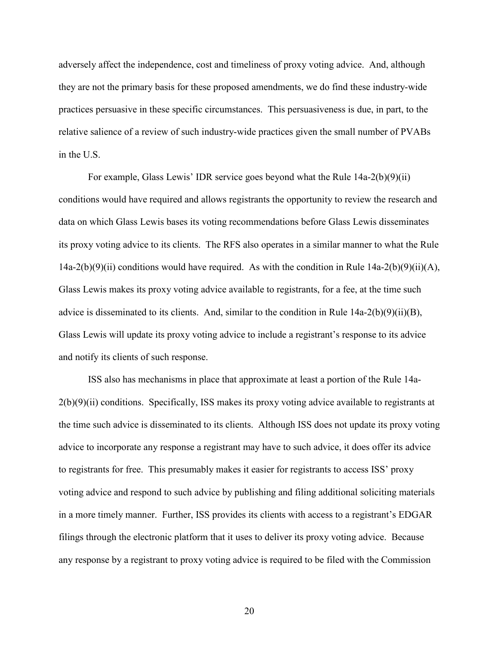adversely affect the independence, cost and timeliness of proxy voting advice. And, although they are not the primary basis for these proposed amendments, we do find these industry-wide practices persuasive in these specific circumstances. This persuasiveness is due, in part, to the relative salience of a review of such industry-wide practices given the small number of PVABs in the U.S.

For example, Glass Lewis' IDR service goes beyond what the Rule 14a-2(b)(9)(ii) conditions would have required and allows registrants the opportunity to review the research and data on which Glass Lewis bases its voting recommendations before Glass Lewis disseminates its proxy voting advice to its clients. The RFS also operates in a similar manner to what the Rule 14a-2(b)(9)(ii) conditions would have required. As with the condition in Rule  $14a-2(b)(9)(ii)(A)$ , Glass Lewis makes its proxy voting advice available to registrants, for a fee, at the time such advice is disseminated to its clients. And, similar to the condition in Rule  $14a-2(b)(9)(ii)(B)$ , Glass Lewis will update its proxy voting advice to include a registrant's response to its advice and notify its clients of such response.

ISS also has mechanisms in place that approximate at least a portion of the Rule 14a- $2(b)(9)(ii)$  conditions. Specifically, ISS makes its proxy voting advice available to registrants at the time such advice is disseminated to its clients. Although ISS does not update its proxy voting advice to incorporate any response a registrant may have to such advice, it does offer its advice to registrants for free. This presumably makes it easier for registrants to access ISS' proxy voting advice and respond to such advice by publishing and filing additional soliciting materials in a more timely manner. Further, ISS provides its clients with access to a registrant's EDGAR filings through the electronic platform that it uses to deliver its proxy voting advice. Because any response by a registrant to proxy voting advice is required to be filed with the Commission

20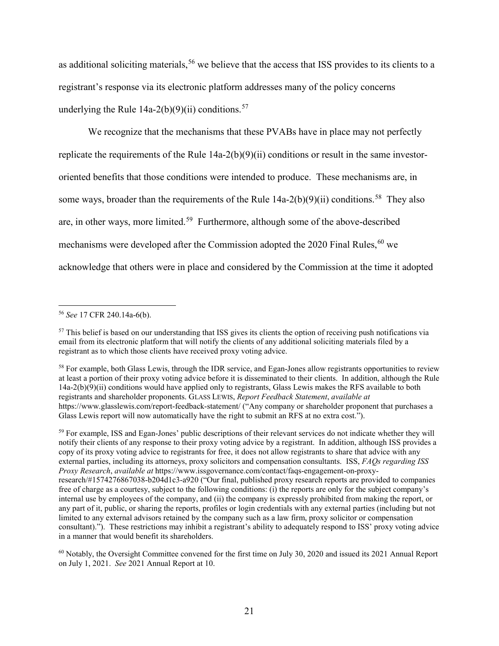as additional soliciting materials,<sup>[56](#page-20-0)</sup> we believe that the access that ISS provides to its clients to a registrant's response via its electronic platform addresses many of the policy concerns underlying the Rule  $14a-2(b)(9)(ii)$  conditions.<sup>[57](#page-20-1)</sup>

We recognize that the mechanisms that these PVABs have in place may not perfectly replicate the requirements of the Rule 14a-2(b)(9)(ii) conditions or result in the same investororiented benefits that those conditions were intended to produce. These mechanisms are, in some ways, broader than the requirements of the Rule  $14a-2(b)(9)(ii)$  conditions.<sup>[58](#page-20-2)</sup> They also are, in other ways, more limited.[59](#page-20-3) Furthermore, although some of the above-described mechanisms were developed after the Commission adopted the  $2020$  Final Rules,  $60$  we acknowledge that others were in place and considered by the Commission at the time it adopted

<span id="page-20-0"></span> <sup>56</sup> *See* 17 CFR 240.14a-6(b).

<span id="page-20-1"></span><sup>&</sup>lt;sup>57</sup> This belief is based on our understanding that ISS gives its clients the option of receiving push notifications via email from its electronic platform that will notify the clients of any additional soliciting materials filed by a registrant as to which those clients have received proxy voting advice.

<span id="page-20-2"></span><sup>&</sup>lt;sup>58</sup> For example, both Glass Lewis, through the IDR service, and Egan-Jones allow registrants opportunities to review at least a portion of their proxy voting advice before it is disseminated to their clients. In addition, although the Rule 14a-2(b)(9)(ii) conditions would have applied only to registrants, Glass Lewis makes the RFS available to both registrants and shareholder proponents. GLASS LEWIS, *Report Feedback Statement*, *available at* https://www.glasslewis.com/report-feedback-statement/ ("Any company or shareholder proponent that purchases a Glass Lewis report will now automatically have the right to submit an RFS at no extra cost.").

<span id="page-20-3"></span><sup>59</sup> For example, ISS and Egan-Jones' public descriptions of their relevant services do not indicate whether they will notify their clients of any response to their proxy voting advice by a registrant. In addition, although ISS provides a copy of its proxy voting advice to registrants for free, it does not allow registrants to share that advice with any external parties, including its attorneys, proxy solicitors and compensation consultants. ISS, *FAQs regarding ISS Proxy Research*, *available at* https://www.issgovernance.com/contact/faqs-engagement-on-proxyresearch/#1574276867038-b204d1c3-a920 ("Our final, published proxy research reports are provided to companies free of charge as a courtesy, subject to the following conditions: (i) the reports are only for the subject company's internal use by employees of the company, and (ii) the company is expressly prohibited from making the report, or any part of it, public, or sharing the reports, profiles or login credentials with any external parties (including but not limited to any external advisors retained by the company such as a law firm, proxy solicitor or compensation consultant)."). These restrictions may inhibit a registrant's ability to adequately respond to ISS' proxy voting advice in a manner that would benefit its shareholders.

<span id="page-20-4"></span> $60$  Notably, the Oversight Committee convened for the first time on July 30, 2020 and issued its 2021 Annual Report on July 1, 2021. *See* 2021 Annual Report at 10.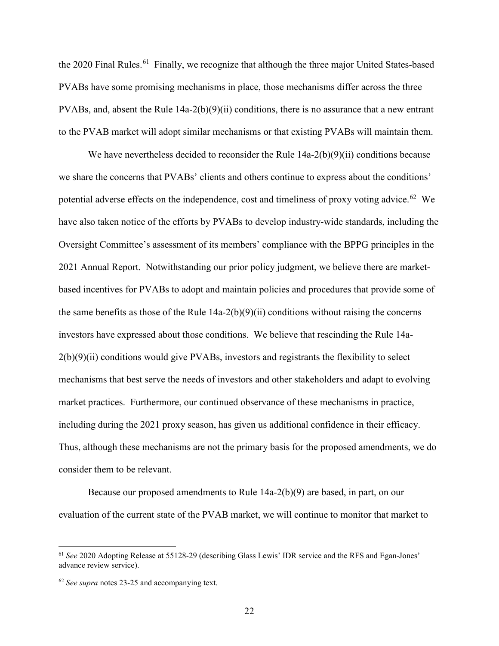the 2020 Final Rules.<sup>[61](#page-21-0)</sup> Finally, we recognize that although the three major United States-based PVABs have some promising mechanisms in place, those mechanisms differ across the three PVABs, and, absent the Rule  $14a-2(b)(9)(ii)$  conditions, there is no assurance that a new entrant to the PVAB market will adopt similar mechanisms or that existing PVABs will maintain them.

We have nevertheless decided to reconsider the Rule  $14a-2(b)(9)(ii)$  conditions because we share the concerns that PVABs' clients and others continue to express about the conditions' potential adverse effects on the independence, cost and timeliness of proxy voting advice.<sup>[62](#page-21-1)</sup> We have also taken notice of the efforts by PVABs to develop industry-wide standards, including the Oversight Committee's assessment of its members' compliance with the BPPG principles in the 2021 Annual Report. Notwithstanding our prior policy judgment, we believe there are marketbased incentives for PVABs to adopt and maintain policies and procedures that provide some of the same benefits as those of the Rule  $14a-2(b)(9)(ii)$  conditions without raising the concerns investors have expressed about those conditions. We believe that rescinding the Rule 14a- $2(b)(9)(ii)$  conditions would give PVABs, investors and registrants the flexibility to select mechanisms that best serve the needs of investors and other stakeholders and adapt to evolving market practices. Furthermore, our continued observance of these mechanisms in practice, including during the 2021 proxy season, has given us additional confidence in their efficacy. Thus, although these mechanisms are not the primary basis for the proposed amendments, we do consider them to be relevant.

Because our proposed amendments to Rule 14a-2(b)(9) are based, in part, on our evaluation of the current state of the PVAB market, we will continue to monitor that market to

<span id="page-21-0"></span> <sup>61</sup> *See* 2020 Adopting Release at 55128-29 (describing Glass Lewis' IDR service and the RFS and Egan-Jones' advance review service).

<span id="page-21-1"></span><sup>62</sup> *See supra* notes 23-25 and accompanying text.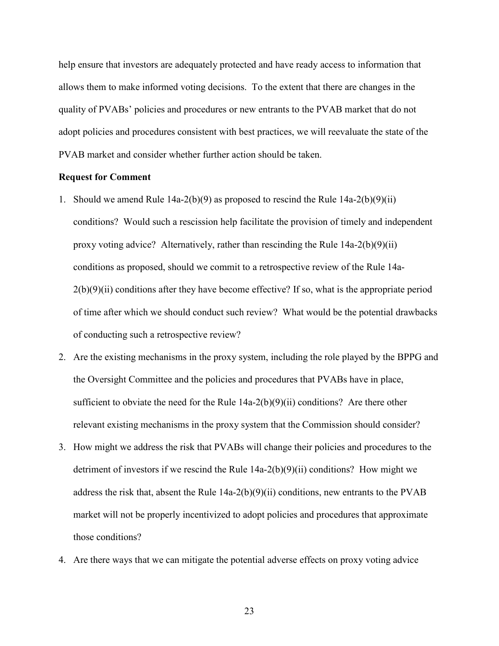help ensure that investors are adequately protected and have ready access to information that allows them to make informed voting decisions. To the extent that there are changes in the quality of PVABs' policies and procedures or new entrants to the PVAB market that do not adopt policies and procedures consistent with best practices, we will reevaluate the state of the PVAB market and consider whether further action should be taken.

### **Request for Comment**

- 1. Should we amend Rule  $14a-2(b)(9)$  as proposed to rescind the Rule  $14a-2(b)(9)(ii)$ conditions? Would such a rescission help facilitate the provision of timely and independent proxy voting advice? Alternatively, rather than rescinding the Rule 14a-2(b)(9)(ii) conditions as proposed, should we commit to a retrospective review of the Rule 14a- $2(b)(9)(ii)$  conditions after they have become effective? If so, what is the appropriate period of time after which we should conduct such review? What would be the potential drawbacks of conducting such a retrospective review?
- 2. Are the existing mechanisms in the proxy system, including the role played by the BPPG and the Oversight Committee and the policies and procedures that PVABs have in place, sufficient to obviate the need for the Rule  $14a-2(b)(9)(ii)$  conditions? Are there other relevant existing mechanisms in the proxy system that the Commission should consider?
- 3. How might we address the risk that PVABs will change their policies and procedures to the detriment of investors if we rescind the Rule  $14a-2(b)(9)(ii)$  conditions? How might we address the risk that, absent the Rule 14a-2(b)(9)(ii) conditions, new entrants to the PVAB market will not be properly incentivized to adopt policies and procedures that approximate those conditions?
- 4. Are there ways that we can mitigate the potential adverse effects on proxy voting advice

23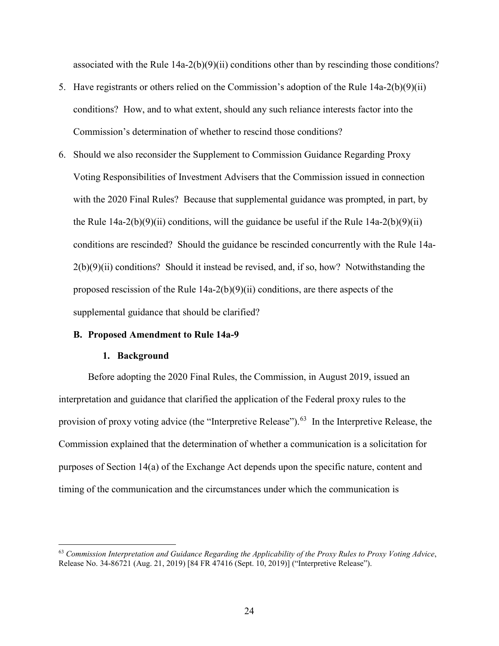associated with the Rule  $14a-2(b)(9)(ii)$  conditions other than by rescinding those conditions?

- 5. Have registrants or others relied on the Commission's adoption of the Rule 14a-2(b)(9)(ii) conditions? How, and to what extent, should any such reliance interests factor into the Commission's determination of whether to rescind those conditions?
- 6. Should we also reconsider the Supplement to Commission Guidance Regarding Proxy Voting Responsibilities of Investment Advisers that the Commission issued in connection with the 2020 Final Rules? Because that supplemental guidance was prompted, in part, by the Rule  $14a-2(b)(9)(ii)$  conditions, will the guidance be useful if the Rule  $14a-2(b)(9)(ii)$ conditions are rescinded? Should the guidance be rescinded concurrently with the Rule 14a- $2(b)(9)(ii)$  conditions? Should it instead be revised, and, if so, how? Notwithstanding the proposed rescission of the Rule  $14a-2(b)(9)(ii)$  conditions, are there aspects of the supplemental guidance that should be clarified?

## **B. Proposed Amendment to Rule 14a-9**

#### **1. Background**

Before adopting the 2020 Final Rules, the Commission, in August 2019, issued an interpretation and guidance that clarified the application of the Federal proxy rules to the provision of proxy voting advice (the "Interpretive Release").<sup>63</sup> In the Interpretive Release, the Commission explained that the determination of whether a communication is a solicitation for purposes of Section 14(a) of the Exchange Act depends upon the specific nature, content and timing of the communication and the circumstances under which the communication is

<span id="page-23-0"></span> <sup>63</sup> *Commission Interpretation and Guidance Regarding the Applicability of the Proxy Rules to Proxy Voting Advice*, Release No. 34-86721 (Aug. 21, 2019) [84 FR 47416 (Sept. 10, 2019)] ("Interpretive Release").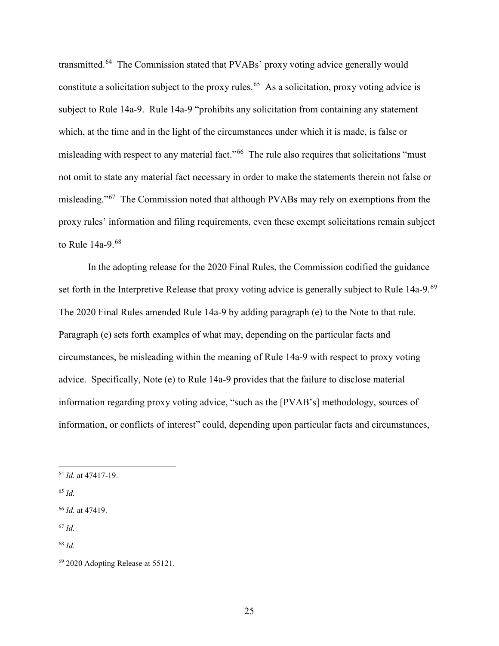transmitted.[64](#page-24-0) The Commission stated that PVABs' proxy voting advice generally would constitute a solicitation subject to the proxy rules.<sup>[65](#page-24-1)</sup> As a solicitation, proxy voting advice is subject to Rule 14a-9. Rule 14a-9 "prohibits any solicitation from containing any statement which, at the time and in the light of the circumstances under which it is made, is false or misleading with respect to any material fact."<sup>[66](#page-24-2)</sup> The rule also requires that solicitations "must not omit to state any material fact necessary in order to make the statements therein not false or misleading."[67](#page-24-3) The Commission noted that although PVABs may rely on exemptions from the proxy rules' information and filing requirements, even these exempt solicitations remain subject to Rule 14a-9.[68](#page-24-4)

In the adopting release for the 2020 Final Rules, the Commission codified the guidance set forth in the Interpretive Release that proxy voting advice is generally subject to Rule 14a-9.<sup>69</sup> The 2020 Final Rules amended Rule 14a-9 by adding paragraph (e) to the Note to that rule. Paragraph (e) sets forth examples of what may, depending on the particular facts and circumstances, be misleading within the meaning of Rule 14a-9 with respect to proxy voting advice. Specifically, Note (e) to Rule 14a-9 provides that the failure to disclose material information regarding proxy voting advice, "such as the [PVAB's] methodology, sources of information, or conflicts of interest" could, depending upon particular facts and circumstances,

<span id="page-24-1"></span><sup>65</sup> *Id.*

<span id="page-24-0"></span> <sup>64</sup> *Id.* at 47417-19.

<span id="page-24-2"></span><sup>66</sup> *Id.* at 47419.

<span id="page-24-3"></span><sup>67</sup> *Id.*

<span id="page-24-4"></span><sup>68</sup> *Id.*

<span id="page-24-5"></span><sup>69</sup> 2020 Adopting Release at 55121.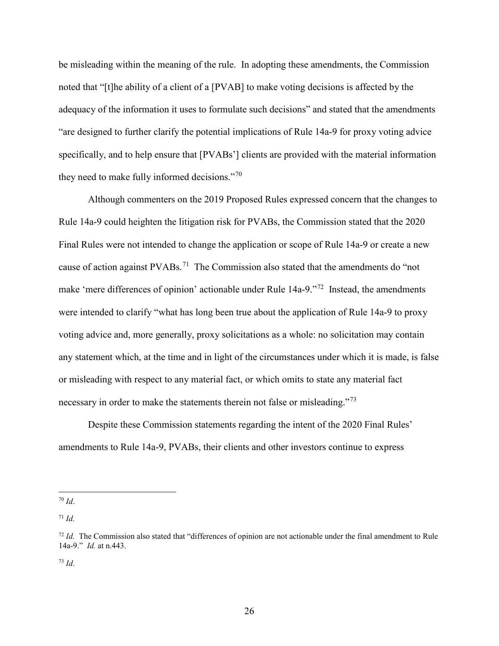be misleading within the meaning of the rule. In adopting these amendments, the Commission noted that "[t]he ability of a client of a [PVAB] to make voting decisions is affected by the adequacy of the information it uses to formulate such decisions" and stated that the amendments "are designed to further clarify the potential implications of Rule 14a-9 for proxy voting advice specifically, and to help ensure that [PVABs'] clients are provided with the material information they need to make fully informed decisions."[70](#page-25-0)

Although commenters on the 2019 Proposed Rules expressed concern that the changes to Rule 14a-9 could heighten the litigation risk for PVABs, the Commission stated that the 2020 Final Rules were not intended to change the application or scope of Rule 14a-9 or create a new cause of action against  $PVABs$ <sup>[71](#page-25-1)</sup>. The Commission also stated that the amendments do "not" make 'mere differences of opinion' actionable under Rule 14a-9."[72](#page-25-2) Instead, the amendments were intended to clarify "what has long been true about the application of Rule 14a-9 to proxy voting advice and, more generally, proxy solicitations as a whole: no solicitation may contain any statement which, at the time and in light of the circumstances under which it is made, is false or misleading with respect to any material fact, or which omits to state any material fact necessary in order to make the statements therein not false or misleading."[73](#page-25-3)

Despite these Commission statements regarding the intent of the 2020 Final Rules' amendments to Rule 14a-9, PVABs, their clients and other investors continue to express

<span id="page-25-0"></span> <sup>70</sup> *Id*.

<span id="page-25-1"></span><sup>71</sup> *Id.*

<span id="page-25-2"></span><sup>&</sup>lt;sup>72</sup> *Id.* The Commission also stated that "differences of opinion are not actionable under the final amendment to Rule 14a-9." *Id.* at n.443.

<span id="page-25-3"></span><sup>73</sup> *Id*.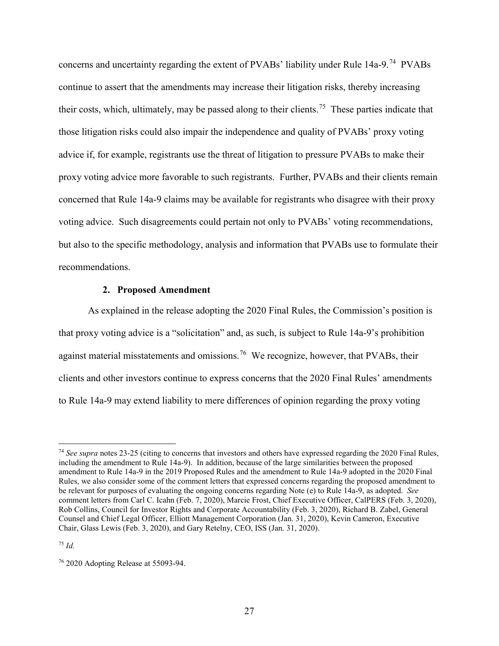concerns and uncertainty regarding the extent of PVABs' liability under Rule 14a-9.[74](#page-26-0) PVABs continue to assert that the amendments may increase their litigation risks, thereby increasing their costs, which, ultimately, may be passed along to their clients.<sup>75</sup> These parties indicate that those litigation risks could also impair the independence and quality of PVABs' proxy voting advice if, for example, registrants use the threat of litigation to pressure PVABs to make their proxy voting advice more favorable to such registrants. Further, PVABs and their clients remain concerned that Rule 14a-9 claims may be available for registrants who disagree with their proxy voting advice. Such disagreements could pertain not only to PVABs' voting recommendations, but also to the specific methodology, analysis and information that PVABs use to formulate their recommendations.

#### **2. Proposed Amendment**

As explained in the release adopting the 2020 Final Rules, the Commission's position is that proxy voting advice is a "solicitation" and, as such, is subject to Rule 14a-9's prohibition against material misstatements and omissions.<sup>[76](#page-26-2)</sup> We recognize, however, that PVABs, their clients and other investors continue to express concerns that the 2020 Final Rules' amendments to Rule 14a-9 may extend liability to mere differences of opinion regarding the proxy voting

<span id="page-26-1"></span><sup>75</sup> *Id.*

<span id="page-26-0"></span> <sup>74</sup> *See supra* notes 23-25 (citing to concerns that investors and others have expressed regarding the 2020 Final Rules, including the amendment to Rule 14a-9). In addition, because of the large similarities between the proposed amendment to Rule 14a-9 in the 2019 Proposed Rules and the amendment to Rule 14a-9 adopted in the 2020 Final Rules, we also consider some of the comment letters that expressed concerns regarding the proposed amendment to be relevant for purposes of evaluating the ongoing concerns regarding Note (e) to Rule 14a-9, as adopted. *See*  comment letters from Carl C. Icahn (Feb. 7, 2020), Marcie Frost, Chief Executive Officer, CalPERS (Feb. 3, 2020), Rob Collins, Council for Investor Rights and Corporate Accountability (Feb. 3, 2020), Richard B. Zabel, General Counsel and Chief Legal Officer, Elliott Management Corporation (Jan. 31, 2020), Kevin Cameron, Executive Chair, Glass Lewis (Feb. 3, 2020), and Gary Retelny, CEO, ISS (Jan. 31, 2020).

<span id="page-26-2"></span><sup>76</sup> 2020 Adopting Release at 55093-94.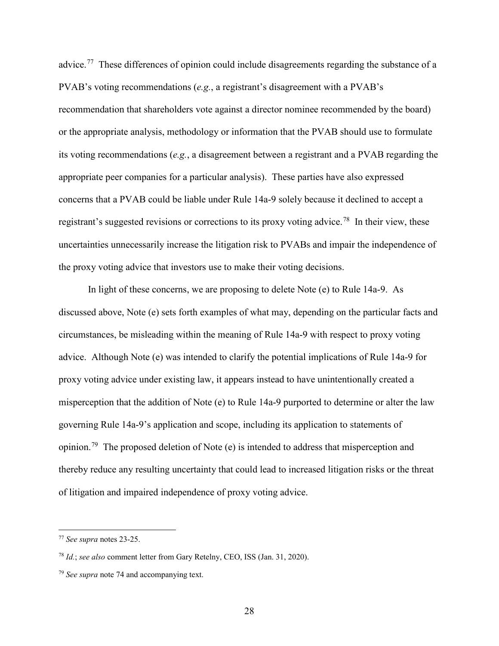advice.<sup>77</sup> These differences of opinion could include disagreements regarding the substance of a PVAB's voting recommendations (*e.g.*, a registrant's disagreement with a PVAB's recommendation that shareholders vote against a director nominee recommended by the board) or the appropriate analysis, methodology or information that the PVAB should use to formulate its voting recommendations (*e.g.*, a disagreement between a registrant and a PVAB regarding the appropriate peer companies for a particular analysis). These parties have also expressed concerns that a PVAB could be liable under Rule 14a-9 solely because it declined to accept a registrant's suggested revisions or corrections to its proxy voting advice.<sup>[78](#page-27-1)</sup> In their view, these uncertainties unnecessarily increase the litigation risk to PVABs and impair the independence of the proxy voting advice that investors use to make their voting decisions.

In light of these concerns, we are proposing to delete Note (e) to Rule 14a-9. As discussed above, Note (e) sets forth examples of what may, depending on the particular facts and circumstances, be misleading within the meaning of Rule 14a-9 with respect to proxy voting advice. Although Note (e) was intended to clarify the potential implications of Rule 14a-9 for proxy voting advice under existing law, it appears instead to have unintentionally created a misperception that the addition of Note (e) to Rule 14a-9 purported to determine or alter the law governing Rule 14a-9's application and scope, including its application to statements of opinion.<sup>[79](#page-27-2)</sup> The proposed deletion of Note (e) is intended to address that misperception and thereby reduce any resulting uncertainty that could lead to increased litigation risks or the threat of litigation and impaired independence of proxy voting advice.

<span id="page-27-0"></span> <sup>77</sup> *See supra* notes 23-25.

<span id="page-27-1"></span><sup>78</sup> *Id.*; *see also* comment letter from Gary Retelny, CEO, ISS (Jan. 31, 2020).

<span id="page-27-2"></span><sup>79</sup> *See supra* note 74 and accompanying text.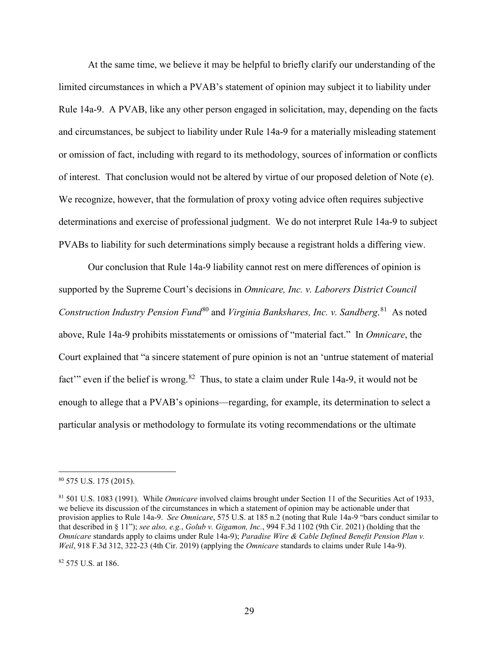At the same time, we believe it may be helpful to briefly clarify our understanding of the limited circumstances in which a PVAB's statement of opinion may subject it to liability under Rule 14a-9. A PVAB, like any other person engaged in solicitation, may, depending on the facts and circumstances, be subject to liability under Rule 14a-9 for a materially misleading statement or omission of fact, including with regard to its methodology, sources of information or conflicts of interest. That conclusion would not be altered by virtue of our proposed deletion of Note (e). We recognize, however, that the formulation of proxy voting advice often requires subjective determinations and exercise of professional judgment. We do not interpret Rule 14a-9 to subject PVABs to liability for such determinations simply because a registrant holds a differing view.

Our conclusion that Rule 14a-9 liability cannot rest on mere differences of opinion is supported by the Supreme Court's decisions in *Omnicare, Inc. v. Laborers District Council*  Construction Industry Pension Fund<sup>[80](#page-28-0)</sup> and *Virginia Bankshares, Inc. v. Sandberg*.<sup>[81](#page-28-1)</sup> As noted above, Rule 14a-9 prohibits misstatements or omissions of "material fact." In *Omnicare*, the Court explained that "a sincere statement of pure opinion is not an 'untrue statement of material fact'" even if the belief is wrong.<sup>82</sup> Thus, to state a claim under Rule 14a-9, it would not be enough to allege that a PVAB's opinions—regarding, for example, its determination to select a particular analysis or methodology to formulate its voting recommendations or the ultimate

<span id="page-28-2"></span><sup>82</sup> 575 U.S. at 186.

<span id="page-28-0"></span> <sup>80</sup> 575 U.S. 175 (2015).

<span id="page-28-1"></span><sup>81</sup> 501 U.S. 1083 (1991). While *Omnicare* involved claims brought under Section 11 of the Securities Act of 1933, we believe its discussion of the circumstances in which a statement of opinion may be actionable under that provision applies to Rule 14a-9. *See Omnicare*, 575 U.S. at 185 n.2 (noting that Rule 14a-9 "bars conduct similar to that described in § 11"); *see also, e.g.*, *Golub v. Gigamon, Inc.*, 994 F.3d 1102 (9th Cir. 2021) (holding that the *Omnicare* standards apply to claims under Rule 14a-9); *Paradise Wire & Cable Defined Benefit Pension Plan v. Weil*, 918 F.3d 312, 322-23 (4th Cir. 2019) (applying the *Omnicare* standards to claims under Rule 14a-9).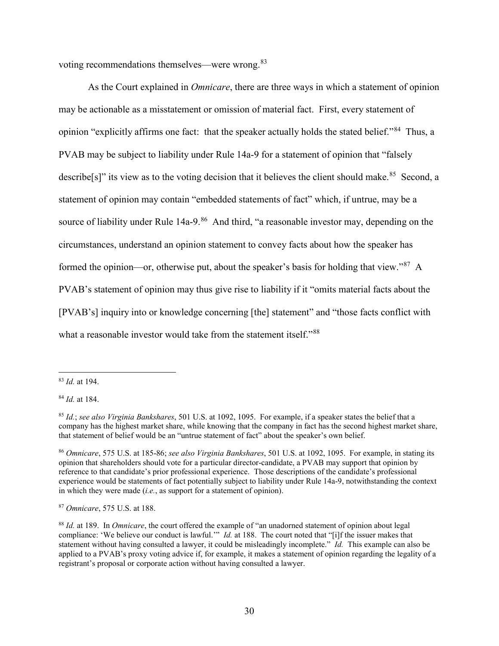voting recommendations themselves—were wrong.[83](#page-29-0)

As the Court explained in *Omnicare*, there are three ways in which a statement of opinion may be actionable as a misstatement or omission of material fact. First, every statement of opinion "explicitly affirms one fact: that the speaker actually holds the stated belief."[84](#page-29-1) Thus, a PVAB may be subject to liability under Rule 14a-9 for a statement of opinion that "falsely describe[s]" its view as to the voting decision that it believes the client should make.<sup>[85](#page-29-2)</sup> Second, a statement of opinion may contain "embedded statements of fact" which, if untrue, may be a source of liability under Rule 14a-9.<sup>86</sup> And third, "a reasonable investor may, depending on the circumstances, understand an opinion statement to convey facts about how the speaker has formed the opinion—or, otherwise put, about the speaker's basis for holding that view."<sup>87</sup> A PVAB's statement of opinion may thus give rise to liability if it "omits material facts about the [PVAB's] inquiry into or knowledge concerning [the] statement" and "those facts conflict with what a reasonable investor would take from the statement itself."<sup>[88](#page-29-5)</sup>

<span id="page-29-0"></span> <sup>83</sup> *Id.* at 194.

<span id="page-29-1"></span><sup>84</sup> *Id.* at 184.

<span id="page-29-2"></span><sup>85</sup> *Id.*; *see also Virginia Bankshares*, 501 U.S. at 1092, 1095. For example, if a speaker states the belief that a company has the highest market share, while knowing that the company in fact has the second highest market share, that statement of belief would be an "untrue statement of fact" about the speaker's own belief.

<span id="page-29-3"></span><sup>86</sup> *Omnicare*, 575 U.S. at 185-86; *see also Virginia Bankshares*, 501 U.S. at 1092, 1095. For example, in stating its opinion that shareholders should vote for a particular director-candidate, a PVAB may support that opinion by reference to that candidate's prior professional experience. Those descriptions of the candidate's professional experience would be statements of fact potentially subject to liability under Rule 14a-9, notwithstanding the context in which they were made (*i.e.*, as support for a statement of opinion).

<span id="page-29-4"></span><sup>87</sup> *Omnicare*, 575 U.S. at 188.

<span id="page-29-5"></span><sup>88</sup> *Id.* at 189. In *Omnicare*, the court offered the example of "an unadorned statement of opinion about legal compliance: 'We believe our conduct is lawful.'" *Id.* at 188. The court noted that "[i]f the issuer makes that statement without having consulted a lawyer, it could be misleadingly incomplete." *Id.* This example can also be applied to a PVAB's proxy voting advice if, for example, it makes a statement of opinion regarding the legality of a registrant's proposal or corporate action without having consulted a lawyer.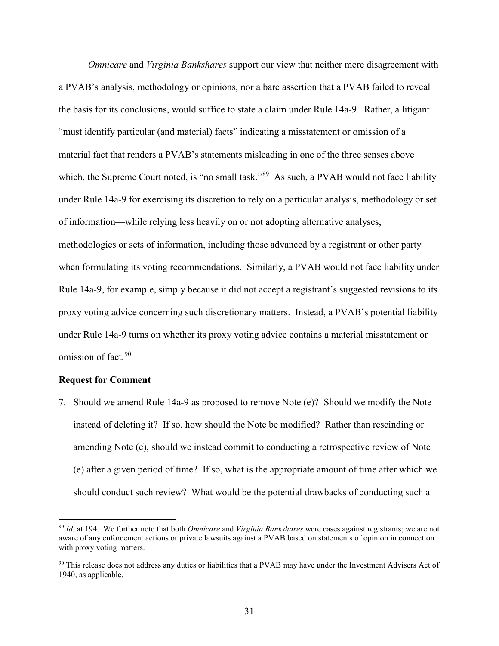*Omnicare* and *Virginia Bankshares* support our view that neither mere disagreement with a PVAB's analysis, methodology or opinions, nor a bare assertion that a PVAB failed to reveal the basis for its conclusions, would suffice to state a claim under Rule 14a-9. Rather, a litigant "must identify particular (and material) facts" indicating a misstatement or omission of a material fact that renders a PVAB's statements misleading in one of the three senses above— which, the Supreme Court noted, is "no small task."<sup>[89](#page-30-0)</sup> As such, a PVAB would not face liability under Rule 14a-9 for exercising its discretion to rely on a particular analysis, methodology or set of information—while relying less heavily on or not adopting alternative analyses, methodologies or sets of information, including those advanced by a registrant or other party when formulating its voting recommendations. Similarly, a PVAB would not face liability under Rule 14a-9, for example, simply because it did not accept a registrant's suggested revisions to its proxy voting advice concerning such discretionary matters. Instead, a PVAB's potential liability under Rule 14a-9 turns on whether its proxy voting advice contains a material misstatement or omission of fact. [90](#page-30-1)

#### **Request for Comment**

7. Should we amend Rule 14a-9 as proposed to remove Note (e)? Should we modify the Note instead of deleting it? If so, how should the Note be modified? Rather than rescinding or amending Note (e), should we instead commit to conducting a retrospective review of Note (e) after a given period of time? If so, what is the appropriate amount of time after which we should conduct such review? What would be the potential drawbacks of conducting such a

<span id="page-30-0"></span> <sup>89</sup> *Id.* at 194. We further note that both *Omnicare* and *Virginia Bankshares* were cases against registrants; we are not aware of any enforcement actions or private lawsuits against a PVAB based on statements of opinion in connection with proxy voting matters.

<span id="page-30-1"></span><sup>&</sup>lt;sup>90</sup> This release does not address any duties or liabilities that a PVAB may have under the Investment Advisers Act of 1940, as applicable.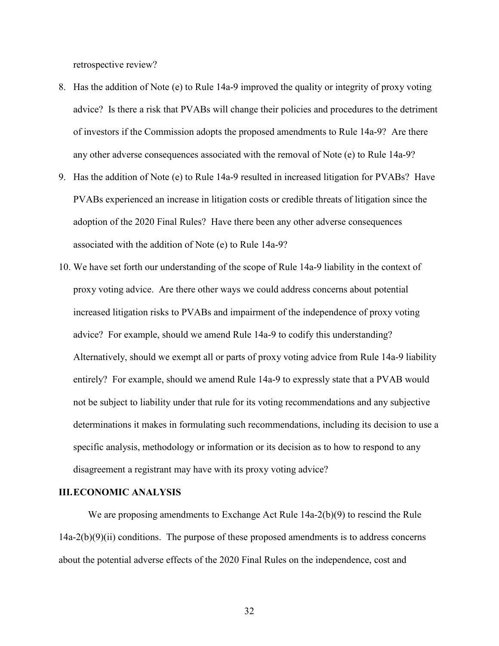retrospective review?

- 8. Has the addition of Note (e) to Rule 14a-9 improved the quality or integrity of proxy voting advice? Is there a risk that PVABs will change their policies and procedures to the detriment of investors if the Commission adopts the proposed amendments to Rule 14a-9? Are there any other adverse consequences associated with the removal of Note (e) to Rule 14a-9?
- 9. Has the addition of Note (e) to Rule 14a-9 resulted in increased litigation for PVABs? Have PVABs experienced an increase in litigation costs or credible threats of litigation since the adoption of the 2020 Final Rules? Have there been any other adverse consequences associated with the addition of Note (e) to Rule 14a-9?
- 10. We have set forth our understanding of the scope of Rule 14a-9 liability in the context of proxy voting advice. Are there other ways we could address concerns about potential increased litigation risks to PVABs and impairment of the independence of proxy voting advice? For example, should we amend Rule 14a-9 to codify this understanding? Alternatively, should we exempt all or parts of proxy voting advice from Rule 14a-9 liability entirely? For example, should we amend Rule 14a-9 to expressly state that a PVAB would not be subject to liability under that rule for its voting recommendations and any subjective determinations it makes in formulating such recommendations, including its decision to use a specific analysis, methodology or information or its decision as to how to respond to any disagreement a registrant may have with its proxy voting advice?

#### **III.ECONOMIC ANALYSIS**

We are proposing amendments to Exchange Act Rule 14a-2(b)(9) to rescind the Rule  $14a-2(b)(9)(ii)$  conditions. The purpose of these proposed amendments is to address concerns about the potential adverse effects of the 2020 Final Rules on the independence, cost and

32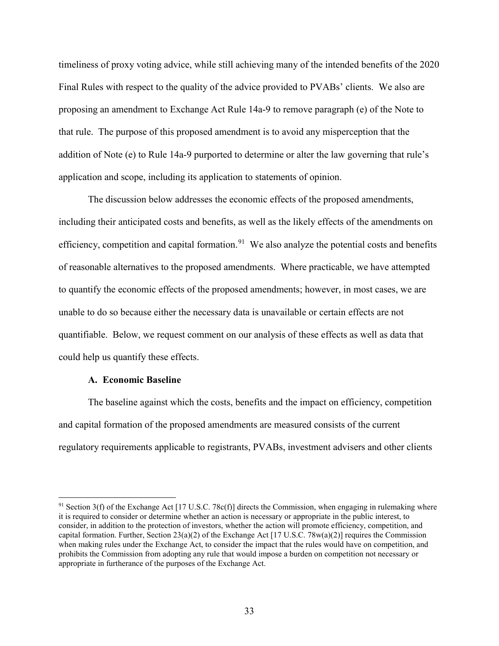timeliness of proxy voting advice, while still achieving many of the intended benefits of the 2020 Final Rules with respect to the quality of the advice provided to PVABs' clients. We also are proposing an amendment to Exchange Act Rule 14a-9 to remove paragraph (e) of the Note to that rule. The purpose of this proposed amendment is to avoid any misperception that the addition of Note (e) to Rule 14a-9 purported to determine or alter the law governing that rule's application and scope, including its application to statements of opinion.

The discussion below addresses the economic effects of the proposed amendments, including their anticipated costs and benefits, as well as the likely effects of the amendments on efficiency, competition and capital formation.<sup>91</sup> We also analyze the potential costs and benefits of reasonable alternatives to the proposed amendments. Where practicable, we have attempted to quantify the economic effects of the proposed amendments; however, in most cases, we are unable to do so because either the necessary data is unavailable or certain effects are not quantifiable. Below, we request comment on our analysis of these effects as well as data that could help us quantify these effects.

#### **A. Economic Baseline**

The baseline against which the costs, benefits and the impact on efficiency, competition and capital formation of the proposed amendments are measured consists of the current regulatory requirements applicable to registrants, PVABs, investment advisers and other clients

<span id="page-32-0"></span><sup>&</sup>lt;sup>91</sup> Section 3(f) of the Exchange Act [17 U.S.C. 78c(f)] directs the Commission, when engaging in rulemaking where it is required to consider or determine whether an action is necessary or appropriate in the public interest, to consider, in addition to the protection of investors, whether the action will promote efficiency, competition, and capital formation. Further, Section 23(a)(2) of the Exchange Act [17 U.S.C. 78w(a)(2)] requires the Commission when making rules under the Exchange Act, to consider the impact that the rules would have on competition, and prohibits the Commission from adopting any rule that would impose a burden on competition not necessary or appropriate in furtherance of the purposes of the Exchange Act.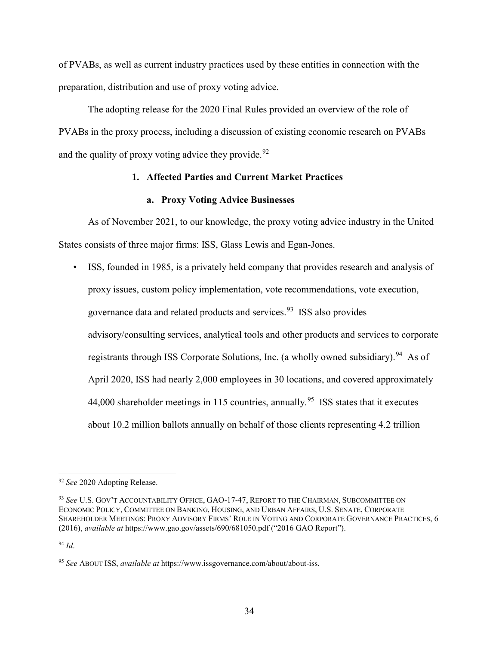of PVABs, as well as current industry practices used by these entities in connection with the preparation, distribution and use of proxy voting advice.

The adopting release for the 2020 Final Rules provided an overview of the role of PVABs in the proxy process, including a discussion of existing economic research on PVABs and the quality of proxy voting advice they provide.  $92$ 

## **1. Affected Parties and Current Market Practices**

## **a. Proxy Voting Advice Businesses**

As of November 2021, to our knowledge, the proxy voting advice industry in the United States consists of three major firms: ISS, Glass Lewis and Egan-Jones.

• ISS, founded in 1985, is a privately held company that provides research and analysis of proxy issues, custom policy implementation, vote recommendations, vote execution, governance data and related products and services.[93](#page-33-1) ISS also provides advisory/consulting services, analytical tools and other products and services to corporate registrants through ISS Corporate Solutions, Inc. (a wholly owned subsidiary). <sup>[94](#page-33-2)</sup> As of April 2020, ISS had nearly 2,000 employees in 30 locations, and covered approximately 44,000 shareholder meetings in 115 countries, annually.<sup>95</sup> ISS states that it executes about 10.2 million ballots annually on behalf of those clients representing 4.2 trillion

<span id="page-33-0"></span> <sup>92</sup> *See* 2020 Adopting Release.

<span id="page-33-1"></span><sup>93</sup> *See* U.S. GOV'T ACCOUNTABILITY OFFICE, GAO-17-47, REPORT TO THE CHAIRMAN, SUBCOMMITTEE ON ECONOMIC POLICY, COMMITTEE ON BANKING, HOUSING, AND URBAN AFFAIRS, U.S. SENATE, CORPORATE SHAREHOLDER MEETINGS: PROXY ADVISORY FIRMS' ROLE IN VOTING AND CORPORATE GOVERNANCE PRACTICES, 6 (2016), *available at* https://www.gao.gov/assets/690/681050.pdf ("2016 GAO Report").

<span id="page-33-2"></span><sup>94</sup> *Id*.

<span id="page-33-3"></span><sup>95</sup> *See* ABOUT ISS, *available at* https://www.issgovernance.com/about/about-iss.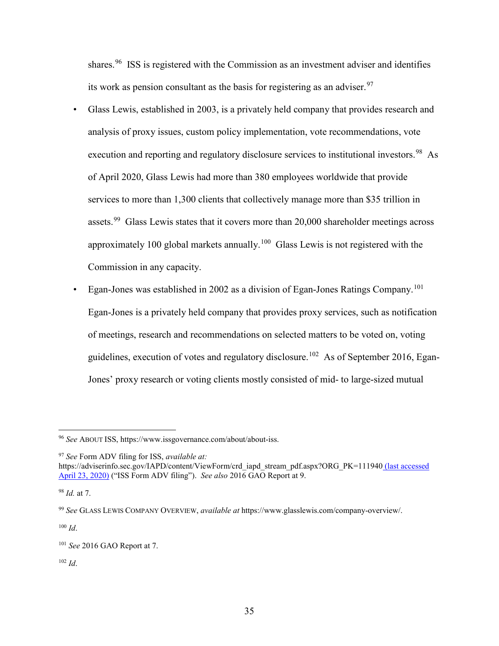shares.<sup>96</sup> ISS is registered with the Commission as an investment adviser and identifies its work as pension consultant as the basis for registering as an adviser.<sup>[97](#page-34-1)</sup>

- Glass Lewis, established in 2003, is a privately held company that provides research and analysis of proxy issues, custom policy implementation, vote recommendations, vote execution and reporting and regulatory disclosure services to institutional investors.<sup>98</sup> As of April 2020, Glass Lewis had more than 380 employees worldwide that provide services to more than 1,300 clients that collectively manage more than \$35 trillion in assets.<sup>99</sup> Glass Lewis states that it covers more than 20,000 shareholder meetings across approximately [100](#page-34-4) global markets annually.<sup>100</sup> Glass Lewis is not registered with the Commission in any capacity.
- Egan-Jones was established in 2002 as a division of Egan-Jones Ratings Company.[101](#page-34-5) Egan-Jones is a privately held company that provides proxy services, such as notification of meetings, research and recommendations on selected matters to be voted on, voting guidelines, execution of votes and regulatory disclosure.<sup>[102](#page-34-6)</sup> As of September 2016, Egan-Jones' proxy research or voting clients mostly consisted of mid- to large-sized mutual

<span id="page-34-4"></span> $100$  *Id.* 

<span id="page-34-6"></span><sup>102</sup> *Id*.

<span id="page-34-0"></span> <sup>96</sup> *See* ABOUT ISS, https://www.issgovernance.com/about/about-iss.

<span id="page-34-1"></span><sup>97</sup> *See* Form ADV filing for ISS, *available at:* 

https://adviserinfo.sec.gov/IAPD/content/ViewForm/crd\_iapd\_stream\_pdf.aspx?ORG\_PK=111940 (last accessed April 23, 2020) ("ISS Form ADV filing"). *See also* 2016 GAO Report at 9.

<span id="page-34-2"></span><sup>98</sup> *Id.* at 7.

<span id="page-34-3"></span><sup>99</sup> *See* GLASS LEWIS COMPANY OVERVIEW, *available at* https://www.glasslewis.com/company-overview/.

<span id="page-34-5"></span><sup>101</sup> *See* 2016 GAO Report at 7.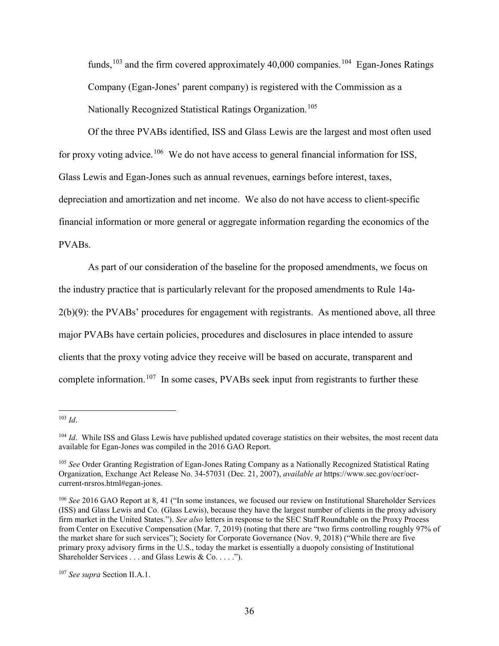funds,<sup>[103](#page-35-0)</sup> and the firm covered approximately 40,000 companies.<sup>[104](#page-35-1)</sup> Egan-Jones Ratings Company (Egan-Jones' parent company) is registered with the Commission as a Nationally Recognized Statistical Ratings Organization.<sup>[105](#page-35-2)</sup>

Of the three PVABs identified, ISS and Glass Lewis are the largest and most often used for proxy voting advice.<sup>106</sup> We do not have access to general financial information for ISS, Glass Lewis and Egan-Jones such as annual revenues, earnings before interest, taxes, depreciation and amortization and net income. We also do not have access to client-specific financial information or more general or aggregate information regarding the economics of the PVABs.

As part of our consideration of the baseline for the proposed amendments, we focus on the industry practice that is particularly relevant for the proposed amendments to Rule 14a-2(b)(9): the PVABs' procedures for engagement with registrants. As mentioned above, all three major PVABs have certain policies, procedures and disclosures in place intended to assure clients that the proxy voting advice they receive will be based on accurate, transparent and complete information.<sup>[107](#page-35-4)</sup> In some cases, PVABs seek input from registrants to further these

<span id="page-35-0"></span> <sup>103</sup> *Id*.

<span id="page-35-1"></span><sup>&</sup>lt;sup>104</sup> *Id*. While ISS and Glass Lewis have published updated coverage statistics on their websites, the most recent data available for Egan-Jones was compiled in the 2016 GAO Report.

<span id="page-35-2"></span><sup>105</sup> *See* Order Granting Registration of Egan-Jones Rating Company as a Nationally Recognized Statistical Rating Organization, Exchange Act Release No. 34-57031 (Dec. 21, 2007), *available at* https://www.sec.gov/ocr/ocrcurrent-nrsros.html#egan-jones.

<span id="page-35-3"></span><sup>106</sup> *See* 2016 GAO Report at 8, 41 ("In some instances, we focused our review on Institutional Shareholder Services (ISS) and Glass Lewis and Co. (Glass Lewis), because they have the largest number of clients in the proxy advisory firm market in the United States."). *See also* letters in response to the SEC Staff Roundtable on the Proxy Process from Center on Executive Compensation (Mar. 7, 2019) (noting that there are "two firms controlling roughly 97% of the market share for such services"); Society for Corporate Governance (Nov. 9, 2018) ("While there are five primary proxy advisory firms in the U.S., today the market is essentially a duopoly consisting of Institutional Shareholder Services . . . and Glass Lewis & Co. . . . .").

<span id="page-35-4"></span><sup>107</sup> *See supra* Section II.A.1.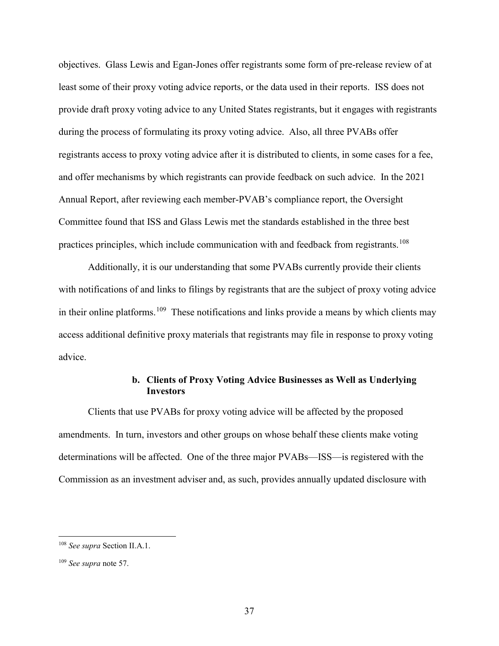objectives. Glass Lewis and Egan-Jones offer registrants some form of pre-release review of at least some of their proxy voting advice reports, or the data used in their reports. ISS does not provide draft proxy voting advice to any United States registrants, but it engages with registrants during the process of formulating its proxy voting advice. Also, all three PVABs offer registrants access to proxy voting advice after it is distributed to clients, in some cases for a fee, and offer mechanisms by which registrants can provide feedback on such advice. In the 2021 Annual Report, after reviewing each member-PVAB's compliance report, the Oversight Committee found that ISS and Glass Lewis met the standards established in the three best practices principles, which include communication with and feedback from registrants.<sup>[108](#page-36-0)</sup>

Additionally, it is our understanding that some PVABs currently provide their clients with notifications of and links to filings by registrants that are the subject of proxy voting advice in their online platforms.<sup>[109](#page-36-1)</sup> These notifications and links provide a means by which clients may access additional definitive proxy materials that registrants may file in response to proxy voting advice.

# **b. Clients of Proxy Voting Advice Businesses as Well as Underlying Investors**

Clients that use PVABs for proxy voting advice will be affected by the proposed amendments. In turn, investors and other groups on whose behalf these clients make voting determinations will be affected. One of the three major PVABs—ISS—is registered with the Commission as an investment adviser and, as such, provides annually updated disclosure with

<span id="page-36-0"></span> <sup>108</sup> *See supra* Section II.A.1.

<span id="page-36-1"></span><sup>109</sup> *See supra* note 57.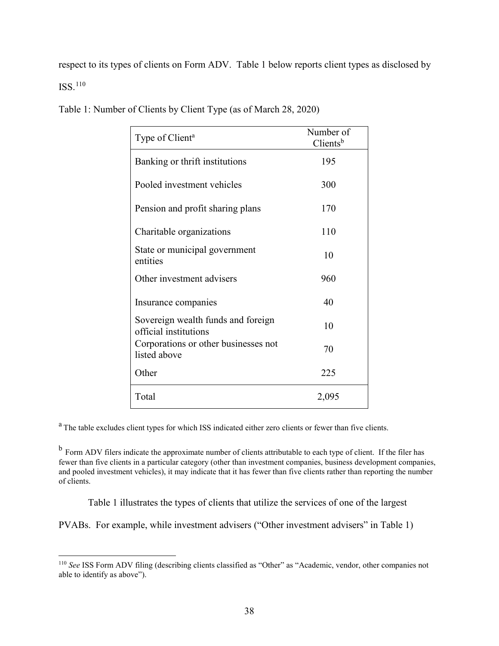respect to its types of clients on Form ADV. Table 1 below reports client types as disclosed by ISS.[110](#page-37-0)

| Type of Client <sup>a</sup>                                 | Number of<br>$C$ lients <sup>b</sup> |
|-------------------------------------------------------------|--------------------------------------|
| Banking or thrift institutions                              | 195                                  |
| Pooled investment vehicles                                  | 300                                  |
| Pension and profit sharing plans                            | 170                                  |
| Charitable organizations                                    | 110                                  |
| State or municipal government<br>entities                   | 10                                   |
| Other investment advisers                                   | 960                                  |
| Insurance companies                                         | 40                                   |
| Sovereign wealth funds and foreign<br>official institutions | 10                                   |
| Corporations or other businesses not<br>listed above        | 70                                   |
| Other                                                       | 225                                  |
| Total                                                       | 2,095                                |

Table 1: Number of Clients by Client Type (as of March 28, 2020)

<sup>a</sup> The table excludes client types for which ISS indicated either zero clients or fewer than five clients.

<sup>b</sup> Form ADV filers indicate the approximate number of clients attributable to each type of client. If the filer has fewer than five clients in a particular category (other than investment companies, business development companies, and pooled investment vehicles), it may indicate that it has fewer than five clients rather than reporting the number of clients.

Table 1 illustrates the types of clients that utilize the services of one of the largest

PVABs. For example, while investment advisers ("Other investment advisers" in Table 1)

<span id="page-37-0"></span> <sup>110</sup> *See* ISS Form ADV filing (describing clients classified as "Other" as "Academic, vendor, other companies not able to identify as above").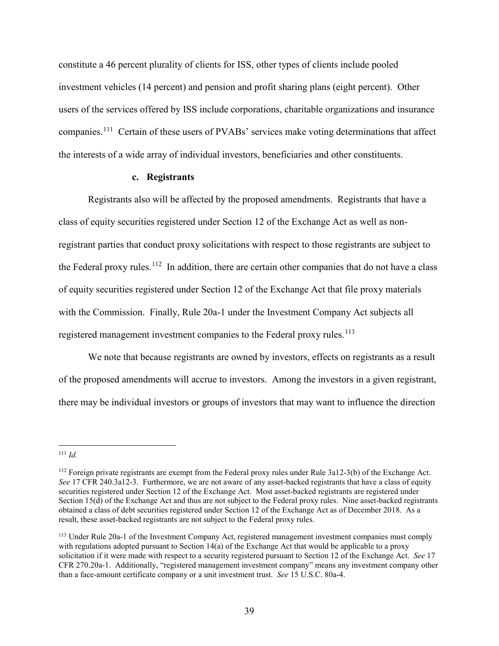constitute a 46 percent plurality of clients for ISS, other types of clients include pooled investment vehicles (14 percent) and pension and profit sharing plans (eight percent). Other users of the services offered by ISS include corporations, charitable organizations and insurance companies.[111](#page-38-0) Certain of these users of PVABs' services make voting determinations that affect the interests of a wide array of individual investors, beneficiaries and other constituents.

## **c. Registrants**

Registrants also will be affected by the proposed amendments. Registrants that have a class of equity securities registered under Section 12 of the Exchange Act as well as nonregistrant parties that conduct proxy solicitations with respect to those registrants are subject to the Federal proxy rules.<sup>112</sup> In addition, there are certain other companies that do not have a class of equity securities registered under Section 12 of the Exchange Act that file proxy materials with the Commission. Finally, Rule 20a-1 under the Investment Company Act subjects all registered management investment companies to the Federal proxy rules.<sup>[113](#page-38-2)</sup>

We note that because registrants are owned by investors, effects on registrants as a result of the proposed amendments will accrue to investors. Among the investors in a given registrant, there may be individual investors or groups of investors that may want to influence the direction

<span id="page-38-0"></span> <sup>111</sup> *Id.*

<span id="page-38-1"></span> $112$  Foreign private registrants are exempt from the Federal proxy rules under Rule 3a12-3(b) of the Exchange Act. *See* 17 CFR 240.3a12-3. Furthermore, we are not aware of any asset-backed registrants that have a class of equity securities registered under Section 12 of the Exchange Act. Most asset-backed registrants are registered under Section 15(d) of the Exchange Act and thus are not subject to the Federal proxy rules. Nine asset-backed registrants obtained a class of debt securities registered under Section 12 of the Exchange Act as of December 2018. As a result, these asset-backed registrants are not subject to the Federal proxy rules.

<span id="page-38-2"></span><sup>113</sup> Under Rule 20a-1 of the Investment Company Act, registered management investment companies must comply with regulations adopted pursuant to Section 14(a) of the Exchange Act that would be applicable to a proxy solicitation if it were made with respect to a security registered pursuant to Section 12 of the Exchange Act. *See* 17 CFR 270.20a-1. Additionally, "registered management investment company" means any investment company other than a face-amount certificate company or a unit investment trust. *See* 15 U.S.C. 80a-4.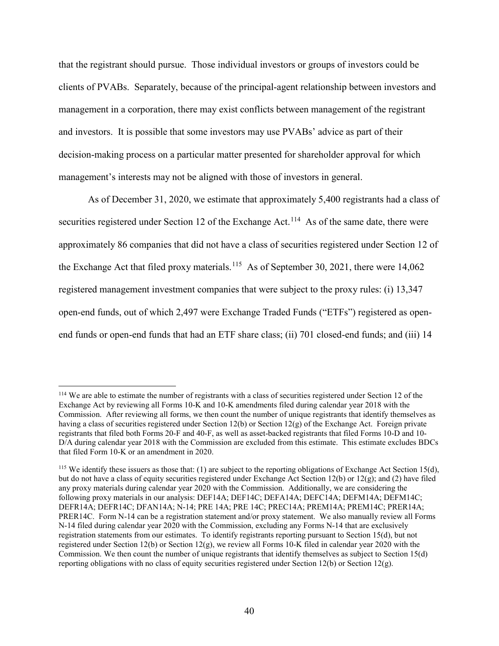that the registrant should pursue. Those individual investors or groups of investors could be clients of PVABs. Separately, because of the principal-agent relationship between investors and management in a corporation, there may exist conflicts between management of the registrant and investors. It is possible that some investors may use PVABs' advice as part of their decision-making process on a particular matter presented for shareholder approval for which management's interests may not be aligned with those of investors in general.

As of December 31, 2020, we estimate that approximately 5,400 registrants had a class of securities registered under Section 12 of the Exchange Act.<sup>[114](#page-39-0)</sup> As of the same date, there were approximately 86 companies that did not have a class of securities registered under Section 12 of the Exchange Act that filed proxy materials.<sup>[115](#page-39-1)</sup> As of September 30, 2021, there were 14,062 registered management investment companies that were subject to the proxy rules: (i) 13,347 open-end funds, out of which 2,497 were Exchange Traded Funds ("ETFs") registered as openend funds or open-end funds that had an ETF share class; (ii) 701 closed-end funds; and (iii) 14

<span id="page-39-0"></span> <sup>114</sup> We are able to estimate the number of registrants with a class of securities registered under Section 12 of the Exchange Act by reviewing all Forms 10-K and 10-K amendments filed during calendar year 2018 with the Commission. After reviewing all forms, we then count the number of unique registrants that identify themselves as having a class of securities registered under Section 12(b) or Section 12(g) of the Exchange Act. Foreign private registrants that filed both Forms 20-F and 40-F, as well as asset-backed registrants that filed Forms 10-D and 10- D/A during calendar year 2018 with the Commission are excluded from this estimate. This estimate excludes BDCs that filed Form 10-K or an amendment in 2020.

<span id="page-39-1"></span><sup>&</sup>lt;sup>115</sup> We identify these issuers as those that: (1) are subject to the reporting obligations of Exchange Act Section 15(d), but do not have a class of equity securities registered under Exchange Act Section 12(b) or 12(g); and (2) have filed any proxy materials during calendar year 2020 with the Commission. Additionally, we are considering the following proxy materials in our analysis: DEF14A; DEF14C; DEFA14A; DEFC14A; DEFM14A; DEFM14C; DEFR14A; DEFR14C; DFAN14A; N-14; PRE 14A; PRE 14C; PREC14A; PREM14A; PREM14C; PRER14A; PRER14C. Form N-14 can be a registration statement and/or proxy statement. We also manually review all Forms N-14 filed during calendar year 2020 with the Commission, excluding any Forms N-14 that are exclusively registration statements from our estimates. To identify registrants reporting pursuant to Section 15(d), but not registered under Section 12(b) or Section 12(g), we review all Forms 10-K filed in calendar year 2020 with the Commission. We then count the number of unique registrants that identify themselves as subject to Section 15(d) reporting obligations with no class of equity securities registered under Section 12(b) or Section 12(g).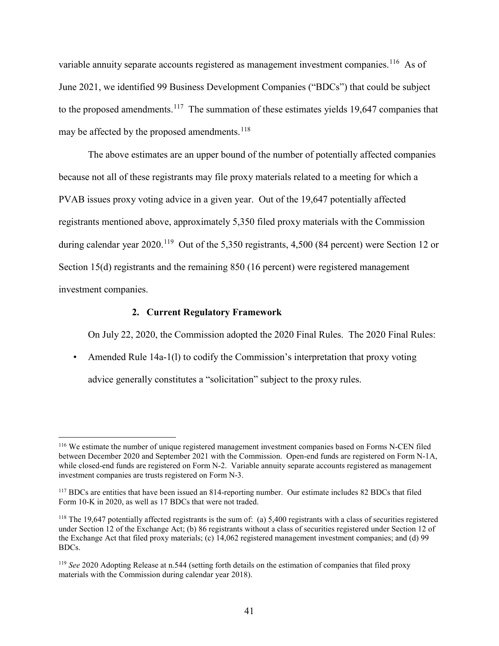variable annuity separate accounts registered as management investment companies.<sup>[116](#page-40-0)</sup> As of June 2021, we identified 99 Business Development Companies ("BDCs") that could be subject to the proposed amendments.<sup>[117](#page-40-1)</sup> The summation of these estimates yields 19,647 companies that may be affected by the proposed amendments.<sup>[118](#page-40-2)</sup>

The above estimates are an upper bound of the number of potentially affected companies because not all of these registrants may file proxy materials related to a meeting for which a PVAB issues proxy voting advice in a given year. Out of the 19,647 potentially affected registrants mentioned above, approximately 5,350 filed proxy materials with the Commission during calendar year 2020.<sup>[119](#page-40-3)</sup> Out of the 5,350 registrants, 4,500 (84 percent) were Section 12 or Section 15(d) registrants and the remaining 850 (16 percent) were registered management investment companies.

## **2. Current Regulatory Framework**

On July 22, 2020, the Commission adopted the 2020 Final Rules. The 2020 Final Rules:

• Amended Rule 14a-1(1) to codify the Commission's interpretation that proxy voting advice generally constitutes a "solicitation" subject to the proxy rules.

<span id="page-40-0"></span> <sup>116</sup> We estimate the number of unique registered management investment companies based on Forms N-CEN filed between December 2020 and September 2021 with the Commission. Open-end funds are registered on Form N-1A, while closed-end funds are registered on Form N-2. Variable annuity separate accounts registered as management investment companies are trusts registered on Form N-3.

<span id="page-40-1"></span><sup>117</sup> BDCs are entities that have been issued an 814-reporting number. Our estimate includes 82 BDCs that filed Form 10-K in 2020, as well as 17 BDCs that were not traded.

<span id="page-40-2"></span><sup>&</sup>lt;sup>118</sup> The 19,647 potentially affected registrants is the sum of: (a) 5,400 registrants with a class of securities registered under Section 12 of the Exchange Act; (b) 86 registrants without a class of securities registered under Section 12 of the Exchange Act that filed proxy materials; (c) 14,062 registered management investment companies; and (d) 99 BDCs.

<span id="page-40-3"></span><sup>&</sup>lt;sup>119</sup> *See* 2020 Adopting Release at n.544 (setting forth details on the estimation of companies that filed proxy materials with the Commission during calendar year 2018).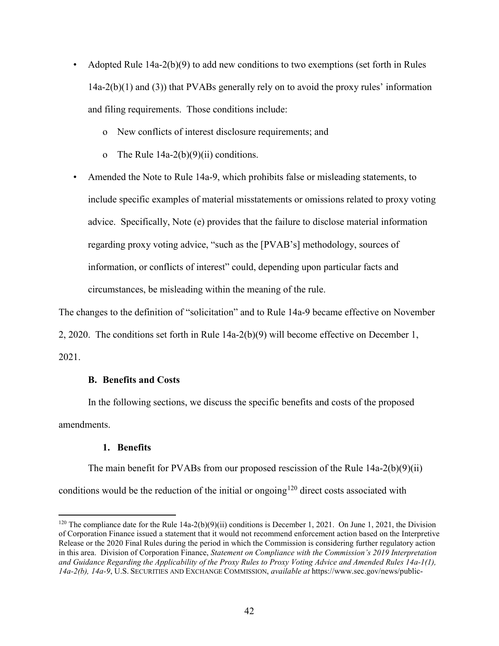- Adopted Rule  $14a-2(b)(9)$  to add new conditions to two exemptions (set forth in Rules 14a-2(b)(1) and (3)) that PVABs generally rely on to avoid the proxy rules' information and filing requirements. Those conditions include:
	- o New conflicts of interest disclosure requirements; and
	- o The Rule 14a-2(b)(9)(ii) conditions.
- Amended the Note to Rule 14a-9, which prohibits false or misleading statements, to include specific examples of material misstatements or omissions related to proxy voting advice. Specifically, Note (e) provides that the failure to disclose material information regarding proxy voting advice, "such as the [PVAB's] methodology, sources of information, or conflicts of interest" could, depending upon particular facts and circumstances, be misleading within the meaning of the rule.

The changes to the definition of "solicitation" and to Rule 14a-9 became effective on November

2, 2020. The conditions set forth in Rule 14a-2(b)(9) will become effective on December 1, 2021.

## **B. Benefits and Costs**

In the following sections, we discuss the specific benefits and costs of the proposed amendments.

## **1. Benefits**

The main benefit for PVABs from our proposed rescission of the Rule  $14a-2(b)(9)(ii)$ conditions would be the reduction of the initial or ongoing<sup>[120](#page-41-0)</sup> direct costs associated with

<span id="page-41-0"></span><sup>&</sup>lt;sup>120</sup> The compliance date for the Rule  $14a-2(b)(9)(ii)$  conditions is December 1, 2021. On June 1, 2021, the Division of Corporation Finance issued a statement that it would not recommend enforcement action based on the Interpretive Release or the 2020 Final Rules during the period in which the Commission is considering further regulatory action in this area. Division of Corporation Finance, *Statement on Compliance with the Commission's 2019 Interpretation and Guidance Regarding the Applicability of the Proxy Rules to Proxy Voting Advice and Amended Rules 14a-1(1), 14a-2(b), 14a-9*, U.S. SECURITIES AND EXCHANGE COMMISSION, *available at* https://www.sec.gov/news/public-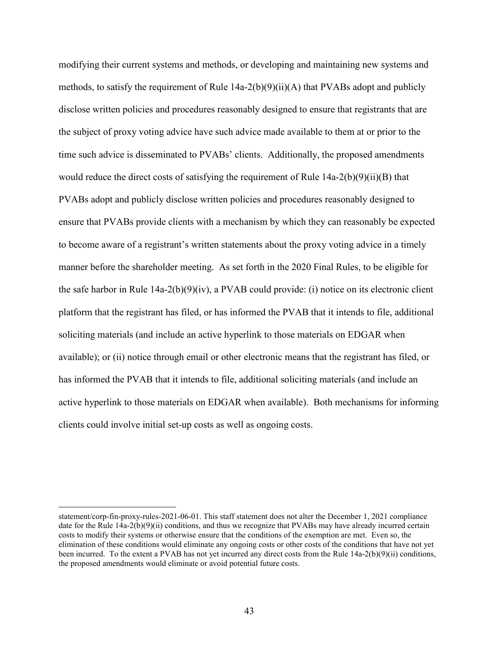modifying their current systems and methods, or developing and maintaining new systems and methods, to satisfy the requirement of Rule 14a-2(b)(9)(ii)(A) that PVABs adopt and publicly disclose written policies and procedures reasonably designed to ensure that registrants that are the subject of proxy voting advice have such advice made available to them at or prior to the time such advice is disseminated to PVABs' clients. Additionally, the proposed amendments would reduce the direct costs of satisfying the requirement of Rule  $14a-2(b)(9)(ii)(B)$  that PVABs adopt and publicly disclose written policies and procedures reasonably designed to ensure that PVABs provide clients with a mechanism by which they can reasonably be expected to become aware of a registrant's written statements about the proxy voting advice in a timely manner before the shareholder meeting. As set forth in the 2020 Final Rules, to be eligible for the safe harbor in Rule  $14a-2(b)(9)(iv)$ , a PVAB could provide: (i) notice on its electronic client platform that the registrant has filed, or has informed the PVAB that it intends to file, additional soliciting materials (and include an active hyperlink to those materials on EDGAR when available); or (ii) notice through email or other electronic means that the registrant has filed, or has informed the PVAB that it intends to file, additional soliciting materials (and include an active hyperlink to those materials on EDGAR when available). Both mechanisms for informing clients could involve initial set-up costs as well as ongoing costs.

statement/corp-fin-proxy-rules-2021-06-01. This staff statement does not alter the December 1, 2021 compliance date for the Rule 14a-2(b)(9)(ii) conditions, and thus we recognize that PVABs may have already incurred certain costs to modify their systems or otherwise ensure that the conditions of the exemption are met. Even so, the elimination of these conditions would eliminate any ongoing costs or other costs of the conditions that have not yet been incurred. To the extent a PVAB has not yet incurred any direct costs from the Rule 14a-2(b)(9)(ii) conditions, the proposed amendments would eliminate or avoid potential future costs.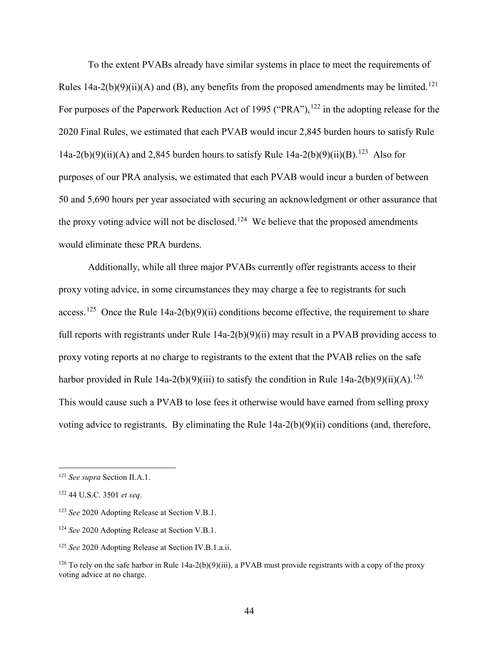To the extent PVABs already have similar systems in place to meet the requirements of Rules 14a-2(b)(9)(ii)(A) and (B), any benefits from the proposed amendments may be limited.<sup>121</sup> For purposes of the Paperwork Reduction Act of 1995 ("PRA"), <sup>[122](#page-43-1)</sup> in the adopting release for the 2020 Final Rules, we estimated that each PVAB would incur 2,845 burden hours to satisfy Rule 14a-2(b)(9)(ii)(A) and 2,845 burden hours to satisfy Rule 14a-2(b)(9)(ii)(B).<sup>[123](#page-43-2)</sup> Also for purposes of our PRA analysis, we estimated that each PVAB would incur a burden of between 50 and 5,690 hours per year associated with securing an acknowledgment or other assurance that the proxy voting advice will not be disclosed.<sup>[124](#page-43-3)</sup> We believe that the proposed amendments would eliminate these PRA burdens.

Additionally, while all three major PVABs currently offer registrants access to their proxy voting advice, in some circumstances they may charge a fee to registrants for such access.<sup>[125](#page-43-4)</sup> Once the Rule 14a-2(b)(9)(ii) conditions become effective, the requirement to share full reports with registrants under Rule 14a-2(b)(9)(ii) may result in a PVAB providing access to proxy voting reports at no charge to registrants to the extent that the PVAB relies on the safe harbor provided in Rule 14a-2(b)(9)(iii) to satisfy the condition in Rule 14a-2(b)(9)(ii)(A).<sup>[126](#page-43-5)</sup> This would cause such a PVAB to lose fees it otherwise would have earned from selling proxy voting advice to registrants. By eliminating the Rule 14a-2(b)(9)(ii) conditions (and, therefore,

<span id="page-43-0"></span> <sup>121</sup> *See supra* Section II.A.1.

<span id="page-43-1"></span><sup>122</sup> 44 U.S.C. 3501 *et seq*.

<span id="page-43-2"></span><sup>123</sup> *See* 2020 Adopting Release at Section V.B.1.

<span id="page-43-3"></span><sup>124</sup> *See* 2020 Adopting Release at Section V.B.1.

<span id="page-43-4"></span><sup>125</sup> *See* 2020 Adopting Release at Section IV.B.1.a.ii.

<span id="page-43-5"></span><sup>&</sup>lt;sup>126</sup> To rely on the safe harbor in Rule 14a-2(b)(9)(iii), a PVAB must provide registrants with a copy of the proxy voting advice at no charge.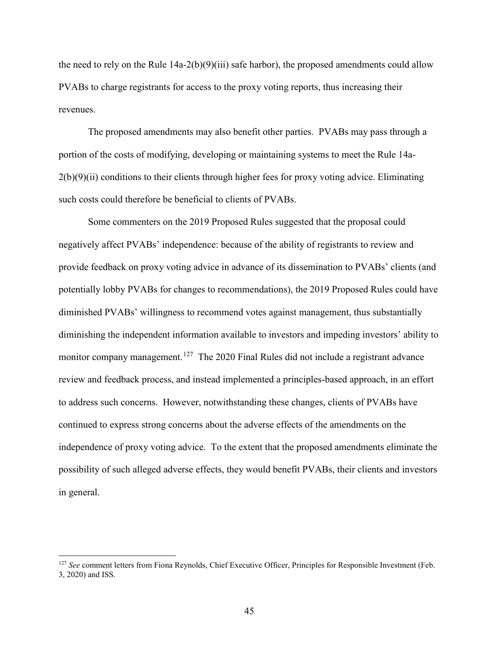the need to rely on the Rule 14a-2(b)(9)(iii) safe harbor), the proposed amendments could allow PVABs to charge registrants for access to the proxy voting reports, thus increasing their revenues.

The proposed amendments may also benefit other parties. PVABs may pass through a portion of the costs of modifying, developing or maintaining systems to meet the Rule 14a- $2(b)(9)(ii)$  conditions to their clients through higher fees for proxy voting advice. Eliminating such costs could therefore be beneficial to clients of PVABs.

Some commenters on the 2019 Proposed Rules suggested that the proposal could negatively affect PVABs' independence: because of the ability of registrants to review and provide feedback on proxy voting advice in advance of its dissemination to PVABs' clients (and potentially lobby PVABs for changes to recommendations), the 2019 Proposed Rules could have diminished PVABs' willingness to recommend votes against management, thus substantially diminishing the independent information available to investors and impeding investors' ability to monitor company management.<sup>[127](#page-44-0)</sup> The 2020 Final Rules did not include a registrant advance review and feedback process, and instead implemented a principles-based approach, in an effort to address such concerns. However, notwithstanding these changes, clients of PVABs have continued to express strong concerns about the adverse effects of the amendments on the independence of proxy voting advice. To the extent that the proposed amendments eliminate the possibility of such alleged adverse effects, they would benefit PVABs, their clients and investors in general.

<span id="page-44-0"></span><sup>&</sup>lt;sup>127</sup> See comment letters from Fiona Reynolds, Chief Executive Officer, Principles for Responsible Investment (Feb. 3, 2020) and ISS.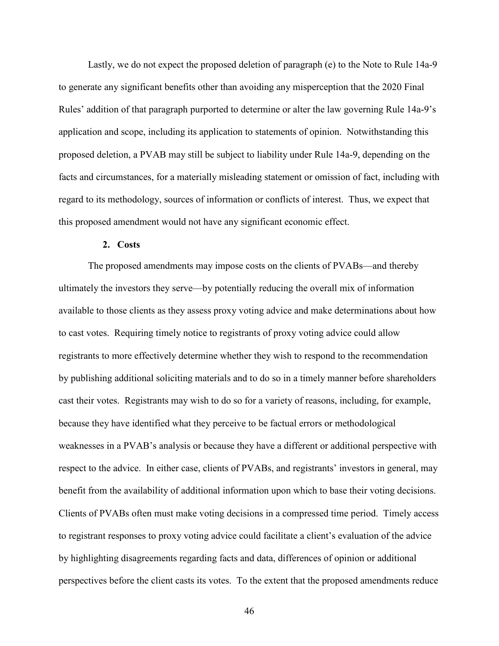Lastly, we do not expect the proposed deletion of paragraph (e) to the Note to Rule 14a-9 to generate any significant benefits other than avoiding any misperception that the 2020 Final Rules' addition of that paragraph purported to determine or alter the law governing Rule 14a-9's application and scope, including its application to statements of opinion. Notwithstanding this proposed deletion, a PVAB may still be subject to liability under Rule 14a-9, depending on the facts and circumstances, for a materially misleading statement or omission of fact, including with regard to its methodology, sources of information or conflicts of interest. Thus, we expect that this proposed amendment would not have any significant economic effect.

#### **2. Costs**

The proposed amendments may impose costs on the clients of PVABs—and thereby ultimately the investors they serve—by potentially reducing the overall mix of information available to those clients as they assess proxy voting advice and make determinations about how to cast votes. Requiring timely notice to registrants of proxy voting advice could allow registrants to more effectively determine whether they wish to respond to the recommendation by publishing additional soliciting materials and to do so in a timely manner before shareholders cast their votes. Registrants may wish to do so for a variety of reasons, including, for example, because they have identified what they perceive to be factual errors or methodological weaknesses in a PVAB's analysis or because they have a different or additional perspective with respect to the advice. In either case, clients of PVABs, and registrants' investors in general, may benefit from the availability of additional information upon which to base their voting decisions. Clients of PVABs often must make voting decisions in a compressed time period. Timely access to registrant responses to proxy voting advice could facilitate a client's evaluation of the advice by highlighting disagreements regarding facts and data, differences of opinion or additional perspectives before the client casts its votes. To the extent that the proposed amendments reduce

46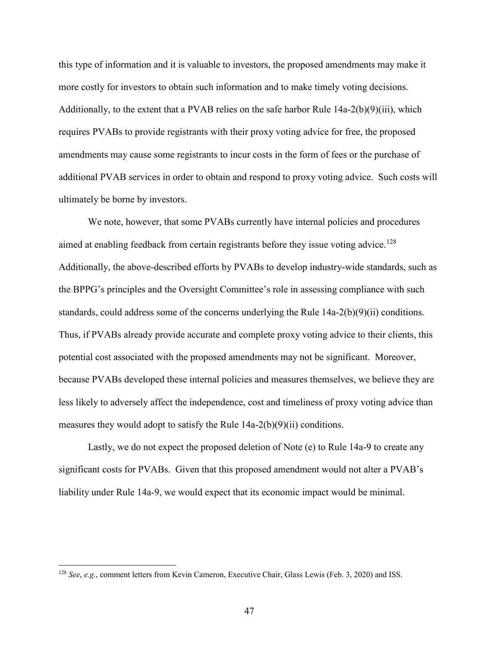this type of information and it is valuable to investors, the proposed amendments may make it more costly for investors to obtain such information and to make timely voting decisions. Additionally, to the extent that a PVAB relies on the safe harbor Rule 14a-2(b)(9)(iii), which requires PVABs to provide registrants with their proxy voting advice for free, the proposed amendments may cause some registrants to incur costs in the form of fees or the purchase of additional PVAB services in order to obtain and respond to proxy voting advice. Such costs will ultimately be borne by investors.

We note, however, that some PVABs currently have internal policies and procedures aimed at enabling feedback from certain registrants before they issue voting advice.<sup>[128](#page-46-0)</sup> Additionally, the above-described efforts by PVABs to develop industry-wide standards, such as the BPPG's principles and the Oversight Committee's role in assessing compliance with such standards, could address some of the concerns underlying the Rule  $14a-2(b)(9)(ii)$  conditions. Thus, if PVABs already provide accurate and complete proxy voting advice to their clients, this potential cost associated with the proposed amendments may not be significant. Moreover, because PVABs developed these internal policies and measures themselves, we believe they are less likely to adversely affect the independence, cost and timeliness of proxy voting advice than measures they would adopt to satisfy the Rule  $14a-2(b)(9)(ii)$  conditions.

Lastly, we do not expect the proposed deletion of Note (e) to Rule 14a-9 to create any significant costs for PVABs. Given that this proposed amendment would not alter a PVAB's liability under Rule 14a-9, we would expect that its economic impact would be minimal.

<span id="page-46-0"></span> <sup>128</sup> *See*, *e.g.*, comment letters from Kevin Cameron, Executive Chair, Glass Lewis (Feb. 3, 2020) and ISS.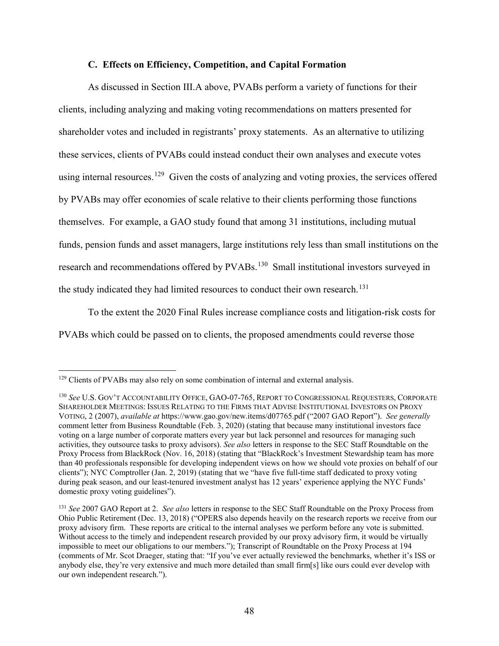#### **C. Effects on Efficiency, Competition, and Capital Formation**

As discussed in Section III.A above, PVABs perform a variety of functions for their clients, including analyzing and making voting recommendations on matters presented for shareholder votes and included in registrants' proxy statements. As an alternative to utilizing these services, clients of PVABs could instead conduct their own analyses and execute votes using internal resources.<sup>129</sup> Given the costs of analyzing and voting proxies, the services offered by PVABs may offer economies of scale relative to their clients performing those functions themselves. For example, a GAO study found that among 31 institutions, including mutual funds, pension funds and asset managers, large institutions rely less than small institutions on the research and recommendations offered by PVABs.<sup>130</sup> Small institutional investors surveyed in the study indicated they had limited resources to conduct their own research.<sup>131</sup>

To the extent the 2020 Final Rules increase compliance costs and litigation-risk costs for PVABs which could be passed on to clients, the proposed amendments could reverse those

<span id="page-47-0"></span><sup>&</sup>lt;sup>129</sup> Clients of PVABs may also rely on some combination of internal and external analysis.

<span id="page-47-1"></span><sup>130</sup> *See* U.S. GOV'T ACCOUNTABILITY OFFICE, GAO-07-765, REPORT TO CONGRESSIONAL REQUESTERS, CORPORATE SHAREHOLDER MEETINGS: ISSUES RELATING TO THE FIRMS THAT ADVISE INSTITUTIONAL INVESTORS ON PROXY VOTING, 2 (2007), *available at* https://www.gao.gov/new.items/d07765.pdf ("2007 GAO Report"). *See generally* comment letter from Business Roundtable (Feb. 3, 2020) (stating that because many institutional investors face voting on a large number of corporate matters every year but lack personnel and resources for managing such activities, they outsource tasks to proxy advisors). *See also* letters in response to the SEC Staff Roundtable on the Proxy Process from BlackRock (Nov. 16, 2018) (stating that "BlackRock's Investment Stewardship team has more than 40 professionals responsible for developing independent views on how we should vote proxies on behalf of our clients"); NYC Comptroller (Jan. 2, 2019) (stating that we "have five full-time staff dedicated to proxy voting during peak season, and our least-tenured investment analyst has 12 years' experience applying the NYC Funds' domestic proxy voting guidelines").

<span id="page-47-2"></span><sup>131</sup> *See* 2007 GAO Report at 2. *See also* letters in response to the SEC Staff Roundtable on the Proxy Process from Ohio Public Retirement (Dec. 13, 2018) ("OPERS also depends heavily on the research reports we receive from our proxy advisory firm. These reports are critical to the internal analyses we perform before any vote is submitted. Without access to the timely and independent research provided by our proxy advisory firm, it would be virtually impossible to meet our obligations to our members."); Transcript of Roundtable on the Proxy Process at 194 (comments of Mr. Scot Draeger, stating that: "If you've ever actually reviewed the benchmarks, whether it's ISS or anybody else, they're very extensive and much more detailed than small firm[s] like ours could ever develop with our own independent research.").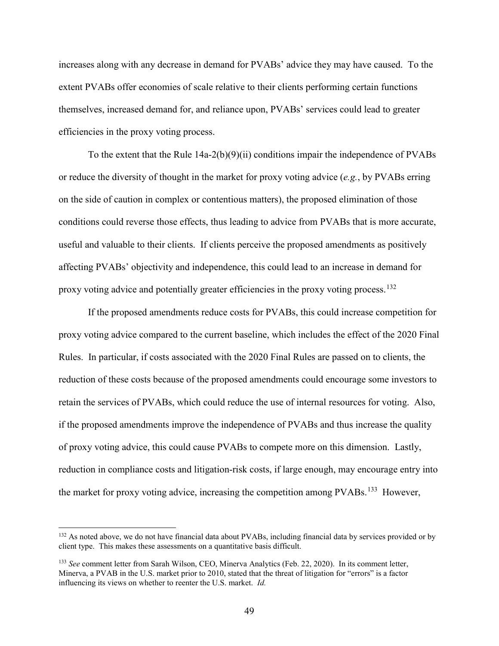increases along with any decrease in demand for PVABs' advice they may have caused. To the extent PVABs offer economies of scale relative to their clients performing certain functions themselves, increased demand for, and reliance upon, PVABs' services could lead to greater efficiencies in the proxy voting process.

To the extent that the Rule 14a-2(b)(9)(ii) conditions impair the independence of PVABs or reduce the diversity of thought in the market for proxy voting advice (*e.g.*, by PVABs erring on the side of caution in complex or contentious matters), the proposed elimination of those conditions could reverse those effects, thus leading to advice from PVABs that is more accurate, useful and valuable to their clients. If clients perceive the proposed amendments as positively affecting PVABs' objectivity and independence, this could lead to an increase in demand for proxy voting advice and potentially greater efficiencies in the proxy voting process.<sup>132</sup>

If the proposed amendments reduce costs for PVABs, this could increase competition for proxy voting advice compared to the current baseline, which includes the effect of the 2020 Final Rules. In particular, if costs associated with the 2020 Final Rules are passed on to clients, the reduction of these costs because of the proposed amendments could encourage some investors to retain the services of PVABs, which could reduce the use of internal resources for voting. Also, if the proposed amendments improve the independence of PVABs and thus increase the quality of proxy voting advice, this could cause PVABs to compete more on this dimension. Lastly, reduction in compliance costs and litigation-risk costs, if large enough, may encourage entry into the market for proxy voting advice, increasing the competition among PVABs.<sup>[133](#page-48-1)</sup> However,

<span id="page-48-0"></span><sup>&</sup>lt;sup>132</sup> As noted above, we do not have financial data about PVABs, including financial data by services provided or by client type. This makes these assessments on a quantitative basis difficult.

<span id="page-48-1"></span><sup>133</sup> *See* comment letter from Sarah Wilson, CEO, Minerva Analytics (Feb. 22, 2020). In its comment letter, Minerva, a PVAB in the U.S. market prior to 2010, stated that the threat of litigation for "errors" is a factor influencing its views on whether to reenter the U.S. market. *Id.*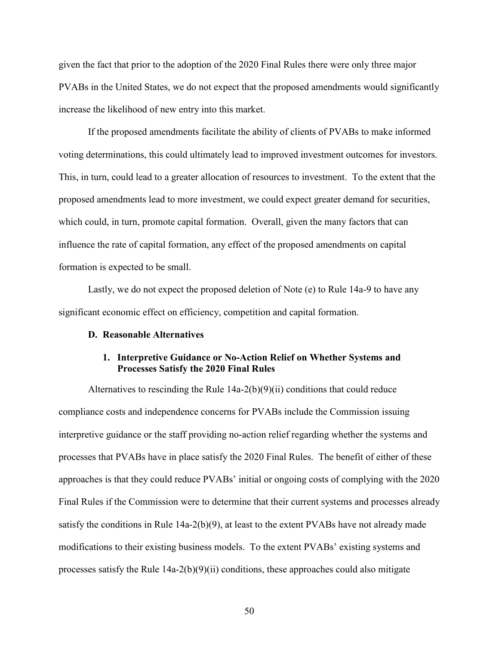given the fact that prior to the adoption of the 2020 Final Rules there were only three major PVABs in the United States, we do not expect that the proposed amendments would significantly increase the likelihood of new entry into this market.

If the proposed amendments facilitate the ability of clients of PVABs to make informed voting determinations, this could ultimately lead to improved investment outcomes for investors. This, in turn, could lead to a greater allocation of resources to investment. To the extent that the proposed amendments lead to more investment, we could expect greater demand for securities, which could, in turn, promote capital formation. Overall, given the many factors that can influence the rate of capital formation, any effect of the proposed amendments on capital formation is expected to be small.

Lastly, we do not expect the proposed deletion of Note (e) to Rule 14a-9 to have any significant economic effect on efficiency, competition and capital formation.

#### **D. Reasonable Alternatives**

## **1. Interpretive Guidance or No-Action Relief on Whether Systems and Processes Satisfy the 2020 Final Rules**

Alternatives to rescinding the Rule  $14a-2(b)(9)(ii)$  conditions that could reduce compliance costs and independence concerns for PVABs include the Commission issuing interpretive guidance or the staff providing no-action relief regarding whether the systems and processes that PVABs have in place satisfy the 2020 Final Rules. The benefit of either of these approaches is that they could reduce PVABs' initial or ongoing costs of complying with the 2020 Final Rules if the Commission were to determine that their current systems and processes already satisfy the conditions in Rule 14a-2(b)(9), at least to the extent PVABs have not already made modifications to their existing business models. To the extent PVABs' existing systems and processes satisfy the Rule  $14a-2(b)(9)(ii)$  conditions, these approaches could also mitigate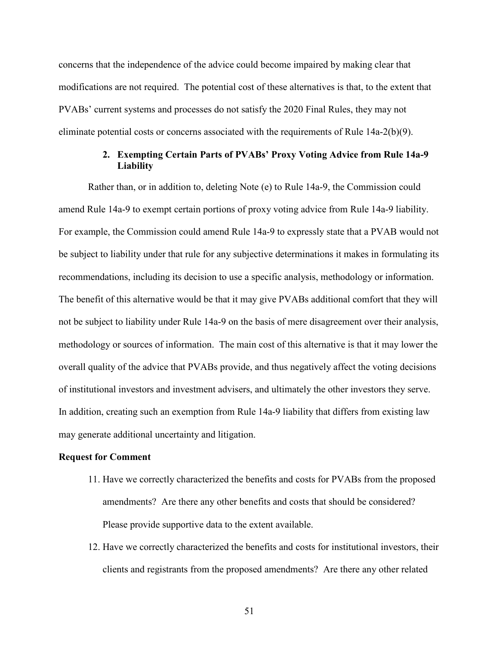concerns that the independence of the advice could become impaired by making clear that modifications are not required. The potential cost of these alternatives is that, to the extent that PVABs' current systems and processes do not satisfy the 2020 Final Rules, they may not eliminate potential costs or concerns associated with the requirements of Rule 14a-2(b)(9).

## **2. Exempting Certain Parts of PVABs' Proxy Voting Advice from Rule 14a-9 Liability**

Rather than, or in addition to, deleting Note (e) to Rule 14a-9, the Commission could amend Rule 14a-9 to exempt certain portions of proxy voting advice from Rule 14a-9 liability. For example, the Commission could amend Rule 14a-9 to expressly state that a PVAB would not be subject to liability under that rule for any subjective determinations it makes in formulating its recommendations, including its decision to use a specific analysis, methodology or information. The benefit of this alternative would be that it may give PVABs additional comfort that they will not be subject to liability under Rule 14a-9 on the basis of mere disagreement over their analysis, methodology or sources of information. The main cost of this alternative is that it may lower the overall quality of the advice that PVABs provide, and thus negatively affect the voting decisions of institutional investors and investment advisers, and ultimately the other investors they serve. In addition, creating such an exemption from Rule 14a-9 liability that differs from existing law may generate additional uncertainty and litigation.

## **Request for Comment**

- 11. Have we correctly characterized the benefits and costs for PVABs from the proposed amendments? Are there any other benefits and costs that should be considered? Please provide supportive data to the extent available.
- 12. Have we correctly characterized the benefits and costs for institutional investors, their clients and registrants from the proposed amendments? Are there any other related

51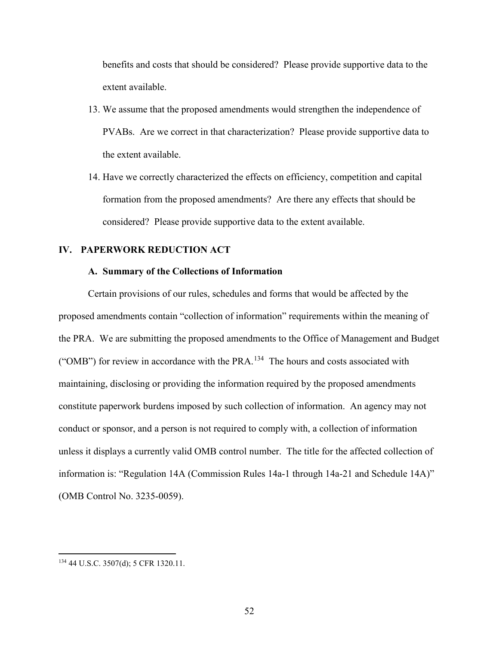benefits and costs that should be considered? Please provide supportive data to the extent available.

- 13. We assume that the proposed amendments would strengthen the independence of PVABs. Are we correct in that characterization? Please provide supportive data to the extent available.
- 14. Have we correctly characterized the effects on efficiency, competition and capital formation from the proposed amendments? Are there any effects that should be considered? Please provide supportive data to the extent available.

# **IV. PAPERWORK REDUCTION ACT**

## **A. Summary of the Collections of Information**

Certain provisions of our rules, schedules and forms that would be affected by the proposed amendments contain "collection of information" requirements within the meaning of the PRA. We are submitting the proposed amendments to the Office of Management and Budget ("OMB") for review in accordance with the PRA.<sup>[134](#page-51-0)</sup> The hours and costs associated with maintaining, disclosing or providing the information required by the proposed amendments constitute paperwork burdens imposed by such collection of information. An agency may not conduct or sponsor, and a person is not required to comply with, a collection of information unless it displays a currently valid OMB control number. The title for the affected collection of information is: "Regulation 14A (Commission Rules 14a-1 through 14a-21 and Schedule 14A)" (OMB Control No. 3235-0059).

<span id="page-51-0"></span> <sup>134</sup> 44 U.S.C. 3507(d); 5 CFR 1320.11.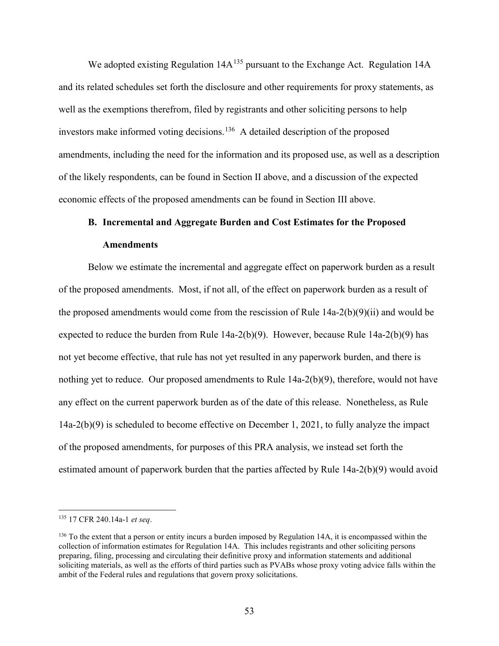We adopted existing Regulation  $14A^{135}$  $14A^{135}$  $14A^{135}$  pursuant to the Exchange Act. Regulation  $14A$ and its related schedules set forth the disclosure and other requirements for proxy statements, as well as the exemptions therefrom, filed by registrants and other soliciting persons to help investors make informed voting decisions.<sup>[136](#page-52-1)</sup> A detailed description of the proposed amendments, including the need for the information and its proposed use, as well as a description of the likely respondents, can be found in Section II above, and a discussion of the expected economic effects of the proposed amendments can be found in Section III above.

# **B. Incremental and Aggregate Burden and Cost Estimates for the Proposed Amendments**

Below we estimate the incremental and aggregate effect on paperwork burden as a result of the proposed amendments. Most, if not all, of the effect on paperwork burden as a result of the proposed amendments would come from the rescission of Rule  $14a-2(b)(9)(ii)$  and would be expected to reduce the burden from Rule 14a-2(b)(9). However, because Rule 14a-2(b)(9) has not yet become effective, that rule has not yet resulted in any paperwork burden, and there is nothing yet to reduce. Our proposed amendments to Rule  $14a-2(b)(9)$ , therefore, would not have any effect on the current paperwork burden as of the date of this release. Nonetheless, as Rule 14a-2(b)(9) is scheduled to become effective on December 1, 2021, to fully analyze the impact of the proposed amendments, for purposes of this PRA analysis, we instead set forth the estimated amount of paperwork burden that the parties affected by Rule 14a-2(b)(9) would avoid

<span id="page-52-0"></span> <sup>135</sup> 17 CFR 240.14a-1 *et seq*.

<span id="page-52-1"></span> $136$  To the extent that a person or entity incurs a burden imposed by Regulation 14A, it is encompassed within the collection of information estimates for Regulation 14A. This includes registrants and other soliciting persons preparing, filing, processing and circulating their definitive proxy and information statements and additional soliciting materials, as well as the efforts of third parties such as PVABs whose proxy voting advice falls within the ambit of the Federal rules and regulations that govern proxy solicitations.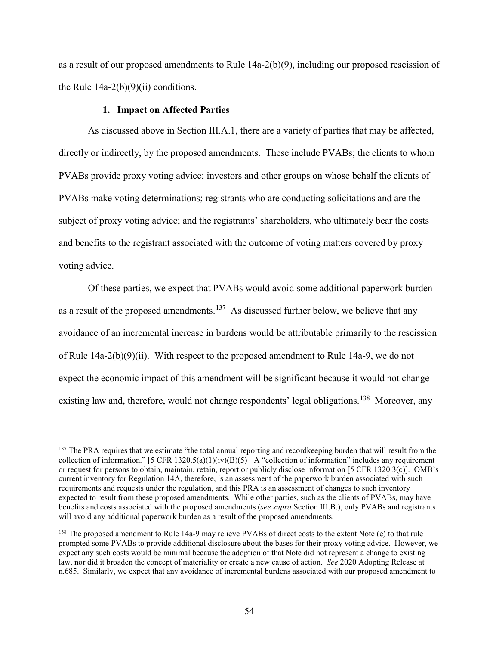as a result of our proposed amendments to Rule 14a-2(b)(9), including our proposed rescission of the Rule  $14a-2(b)(9)(ii)$  conditions.

## **1. Impact on Affected Parties**

As discussed above in Section III.A.1, there are a variety of parties that may be affected, directly or indirectly, by the proposed amendments. These include PVABs; the clients to whom PVABs provide proxy voting advice; investors and other groups on whose behalf the clients of PVABs make voting determinations; registrants who are conducting solicitations and are the subject of proxy voting advice; and the registrants' shareholders, who ultimately bear the costs and benefits to the registrant associated with the outcome of voting matters covered by proxy voting advice.

Of these parties, we expect that PVABs would avoid some additional paperwork burden as a result of the proposed amendments.<sup>[137](#page-53-0)</sup> As discussed further below, we believe that any avoidance of an incremental increase in burdens would be attributable primarily to the rescission of Rule  $14a-2(b)(9)(ii)$ . With respect to the proposed amendment to Rule 14a-9, we do not expect the economic impact of this amendment will be significant because it would not change existing law and, therefore, would not change respondents' legal obligations.<sup>138</sup> Moreover, any

<span id="page-53-0"></span><sup>&</sup>lt;sup>137</sup> The PRA requires that we estimate "the total annual reporting and recordkeeping burden that will result from the collection of information." [5 CFR 1320.5(a)(1)(iv)(B)(5)] A "collection of information" includes any requirement or request for persons to obtain, maintain, retain, report or publicly disclose information [5 CFR 1320.3(c)]. OMB's current inventory for Regulation 14A, therefore, is an assessment of the paperwork burden associated with such requirements and requests under the regulation, and this PRA is an assessment of changes to such inventory expected to result from these proposed amendments. While other parties, such as the clients of PVABs, may have benefits and costs associated with the proposed amendments (*see supra* Section III.B.), only PVABs and registrants will avoid any additional paperwork burden as a result of the proposed amendments.

<span id="page-53-1"></span><sup>&</sup>lt;sup>138</sup> The proposed amendment to Rule 14a-9 may relieve PVABs of direct costs to the extent Note (e) to that rule prompted some PVABs to provide additional disclosure about the bases for their proxy voting advice. However, we expect any such costs would be minimal because the adoption of that Note did not represent a change to existing law, nor did it broaden the concept of materiality or create a new cause of action. *See* 2020 Adopting Release at n.685. Similarly, we expect that any avoidance of incremental burdens associated with our proposed amendment to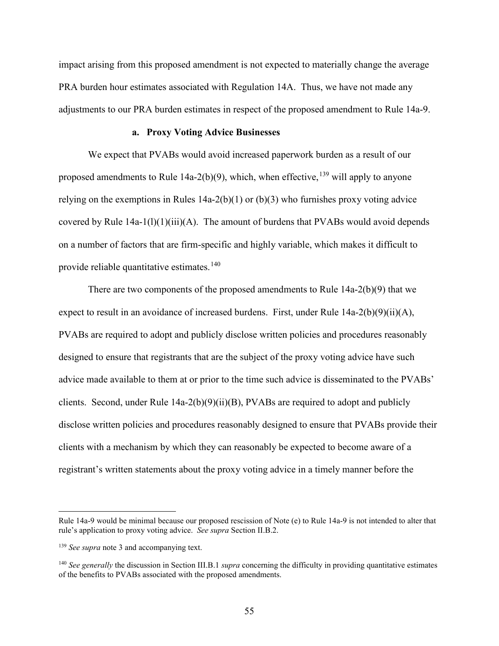impact arising from this proposed amendment is not expected to materially change the average PRA burden hour estimates associated with Regulation 14A. Thus, we have not made any adjustments to our PRA burden estimates in respect of the proposed amendment to Rule 14a-9.

## **a. Proxy Voting Advice Businesses**

We expect that PVABs would avoid increased paperwork burden as a result of our proposed amendments to Rule 14a-2(b)(9), which, when effective,  $^{139}$  $^{139}$  $^{139}$  will apply to anyone relying on the exemptions in Rules  $14a-2(b)(1)$  or  $(b)(3)$  who furnishes proxy voting advice covered by Rule  $14a-1(1)(1)(iii)(A)$ . The amount of burdens that PVABs would avoid depends on a number of factors that are firm-specific and highly variable, which makes it difficult to provide reliable quantitative estimates. $140$ 

There are two components of the proposed amendments to Rule 14a-2(b)(9) that we expect to result in an avoidance of increased burdens. First, under Rule 14a-2(b)(9)(ii)(A), PVABs are required to adopt and publicly disclose written policies and procedures reasonably designed to ensure that registrants that are the subject of the proxy voting advice have such advice made available to them at or prior to the time such advice is disseminated to the PVABs' clients. Second, under Rule 14a-2(b)(9)(ii)(B), PVABs are required to adopt and publicly disclose written policies and procedures reasonably designed to ensure that PVABs provide their clients with a mechanism by which they can reasonably be expected to become aware of a registrant's written statements about the proxy voting advice in a timely manner before the

 $\overline{a}$ 

Rule 14a-9 would be minimal because our proposed rescission of Note (e) to Rule 14a-9 is not intended to alter that rule's application to proxy voting advice. *See supra* Section II.B.2.

<span id="page-54-0"></span><sup>&</sup>lt;sup>139</sup> See supra note 3 and accompanying text.

<span id="page-54-1"></span><sup>140</sup> *See generally* the discussion in Section III.B.1 *supra* concerning the difficulty in providing quantitative estimates of the benefits to PVABs associated with the proposed amendments.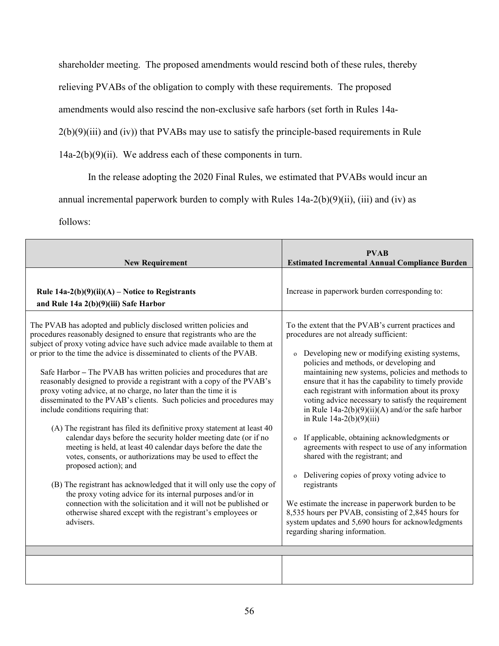shareholder meeting. The proposed amendments would rescind both of these rules, thereby

relieving PVABs of the obligation to comply with these requirements. The proposed

amendments would also rescind the non-exclusive safe harbors (set forth in Rules 14a-

2(b)(9)(iii) and (iv)) that PVABs may use to satisfy the principle-based requirements in Rule

 $14a-2(b)(9)(ii)$ . We address each of these components in turn.

In the release adopting the 2020 Final Rules, we estimated that PVABs would incur an

annual incremental paperwork burden to comply with Rules  $14a-2(b)(9)(ii)$ , (iii) and (iv) as

follows:

| <b>New Requirement</b>                                                                                                                                                                                                                                                                                                                                                                                                                                                                                                                                                                                                                                                                                                                                                                                                                                                                                                                                                                                                                                                                                                                                                                                                             | <b>PVAB</b><br><b>Estimated Incremental Annual Compliance Burden</b>                                                                                                                                                                                                                                                                                                                                                                                                                                                                                                                                                                                                                                                                                                                                                                                                                                                              |  |  |  |
|------------------------------------------------------------------------------------------------------------------------------------------------------------------------------------------------------------------------------------------------------------------------------------------------------------------------------------------------------------------------------------------------------------------------------------------------------------------------------------------------------------------------------------------------------------------------------------------------------------------------------------------------------------------------------------------------------------------------------------------------------------------------------------------------------------------------------------------------------------------------------------------------------------------------------------------------------------------------------------------------------------------------------------------------------------------------------------------------------------------------------------------------------------------------------------------------------------------------------------|-----------------------------------------------------------------------------------------------------------------------------------------------------------------------------------------------------------------------------------------------------------------------------------------------------------------------------------------------------------------------------------------------------------------------------------------------------------------------------------------------------------------------------------------------------------------------------------------------------------------------------------------------------------------------------------------------------------------------------------------------------------------------------------------------------------------------------------------------------------------------------------------------------------------------------------|--|--|--|
| Rule $14a-2(b)(9)(ii)(A)$ – Notice to Registrants<br>and Rule 14a 2(b)(9)(iii) Safe Harbor                                                                                                                                                                                                                                                                                                                                                                                                                                                                                                                                                                                                                                                                                                                                                                                                                                                                                                                                                                                                                                                                                                                                         | Increase in paperwork burden corresponding to:                                                                                                                                                                                                                                                                                                                                                                                                                                                                                                                                                                                                                                                                                                                                                                                                                                                                                    |  |  |  |
| The PVAB has adopted and publicly disclosed written policies and<br>procedures reasonably designed to ensure that registrants who are the<br>subject of proxy voting advice have such advice made available to them at<br>or prior to the time the advice is disseminated to clients of the PVAB.<br>Safe Harbor - The PVAB has written policies and procedures that are<br>reasonably designed to provide a registrant with a copy of the PVAB's<br>proxy voting advice, at no charge, no later than the time it is<br>disseminated to the PVAB's clients. Such policies and procedures may<br>include conditions requiring that:<br>(A) The registrant has filed its definitive proxy statement at least 40<br>calendar days before the security holder meeting date (or if no<br>meeting is held, at least 40 calendar days before the date the<br>votes, consents, or authorizations may be used to effect the<br>proposed action); and<br>(B) The registrant has acknowledged that it will only use the copy of<br>the proxy voting advice for its internal purposes and/or in<br>connection with the solicitation and it will not be published or<br>otherwise shared except with the registrant's employees or<br>advisers. | To the extent that the PVAB's current practices and<br>procedures are not already sufficient:<br>o Developing new or modifying existing systems,<br>policies and methods, or developing and<br>maintaining new systems, policies and methods to<br>ensure that it has the capability to timely provide<br>each registrant with information about its proxy<br>voting advice necessary to satisfy the requirement<br>in Rule $14a-2(b)(9)(ii)(A)$ and/or the safe harbor<br>in Rule $14a-2(b)(9)(iii)$<br>o If applicable, obtaining acknowledgments or<br>agreements with respect to use of any information<br>shared with the registrant; and<br>Delivering copies of proxy voting advice to<br>$\mathbf{o}$<br>registrants<br>We estimate the increase in paperwork burden to be<br>8,535 hours per PVAB, consisting of 2,845 hours for<br>system updates and 5,690 hours for acknowledgments<br>regarding sharing information. |  |  |  |
|                                                                                                                                                                                                                                                                                                                                                                                                                                                                                                                                                                                                                                                                                                                                                                                                                                                                                                                                                                                                                                                                                                                                                                                                                                    |                                                                                                                                                                                                                                                                                                                                                                                                                                                                                                                                                                                                                                                                                                                                                                                                                                                                                                                                   |  |  |  |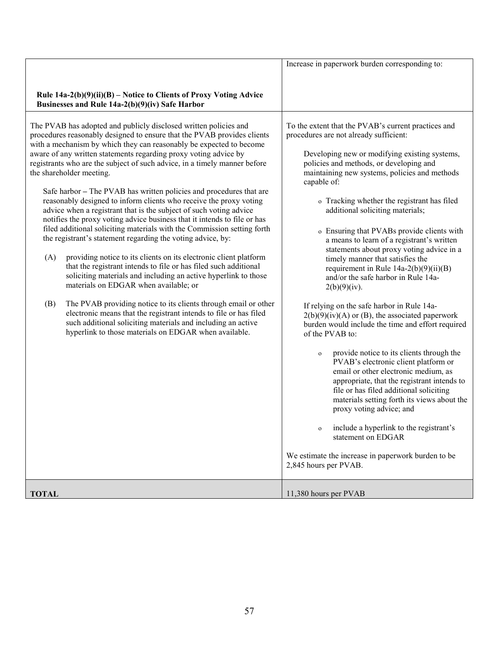|              |                                                                                                                                                                                                                                                                                                                                                                                                                                                                                                                                                                                                                                                                                                                                                                                                                                                                                                                                                                                                                                                                                                                                                                                                                                                                                                                                                                | Increase in paperwork burden corresponding to:                                                                                                                                                                                                                                                                                                                                                                                                                                                                                                                                                                                                                                                                                                                                                                                                                                                                                                                                                                                                                                                                                                                                                                                                                                          |  |  |  |
|--------------|----------------------------------------------------------------------------------------------------------------------------------------------------------------------------------------------------------------------------------------------------------------------------------------------------------------------------------------------------------------------------------------------------------------------------------------------------------------------------------------------------------------------------------------------------------------------------------------------------------------------------------------------------------------------------------------------------------------------------------------------------------------------------------------------------------------------------------------------------------------------------------------------------------------------------------------------------------------------------------------------------------------------------------------------------------------------------------------------------------------------------------------------------------------------------------------------------------------------------------------------------------------------------------------------------------------------------------------------------------------|-----------------------------------------------------------------------------------------------------------------------------------------------------------------------------------------------------------------------------------------------------------------------------------------------------------------------------------------------------------------------------------------------------------------------------------------------------------------------------------------------------------------------------------------------------------------------------------------------------------------------------------------------------------------------------------------------------------------------------------------------------------------------------------------------------------------------------------------------------------------------------------------------------------------------------------------------------------------------------------------------------------------------------------------------------------------------------------------------------------------------------------------------------------------------------------------------------------------------------------------------------------------------------------------|--|--|--|
|              | Rule $14a-2(b)(9)(ii)(B)$ – Notice to Clients of Proxy Voting Advice<br>Businesses and Rule 14a-2(b)(9)(iv) Safe Harbor                                                                                                                                                                                                                                                                                                                                                                                                                                                                                                                                                                                                                                                                                                                                                                                                                                                                                                                                                                                                                                                                                                                                                                                                                                        |                                                                                                                                                                                                                                                                                                                                                                                                                                                                                                                                                                                                                                                                                                                                                                                                                                                                                                                                                                                                                                                                                                                                                                                                                                                                                         |  |  |  |
| (A)<br>(B)   | The PVAB has adopted and publicly disclosed written policies and<br>procedures reasonably designed to ensure that the PVAB provides clients<br>with a mechanism by which they can reasonably be expected to become<br>aware of any written statements regarding proxy voting advice by<br>registrants who are the subject of such advice, in a timely manner before<br>the shareholder meeting.<br>Safe harbor – The PVAB has written policies and procedures that are<br>reasonably designed to inform clients who receive the proxy voting<br>advice when a registrant that is the subject of such voting advice<br>notifies the proxy voting advice business that it intends to file or has<br>filed additional soliciting materials with the Commission setting forth<br>the registrant's statement regarding the voting advice, by:<br>providing notice to its clients on its electronic client platform<br>that the registrant intends to file or has filed such additional<br>soliciting materials and including an active hyperlink to those<br>materials on EDGAR when available; or<br>The PVAB providing notice to its clients through email or other<br>electronic means that the registrant intends to file or has filed<br>such additional soliciting materials and including an active<br>hyperlink to those materials on EDGAR when available. | To the extent that the PVAB's current practices and<br>procedures are not already sufficient:<br>Developing new or modifying existing systems,<br>policies and methods, or developing and<br>maintaining new systems, policies and methods<br>capable of:<br>o Tracking whether the registrant has filed<br>additional soliciting materials;<br>o Ensuring that PVABs provide clients with<br>a means to learn of a registrant's written<br>statements about proxy voting advice in a<br>timely manner that satisfies the<br>requirement in Rule $14a-2(b)(9)(ii)(B)$<br>and/or the safe harbor in Rule 14a-<br>2(b)(9)(iv).<br>If relying on the safe harbor in Rule 14a-<br>$2(b)(9)(iv)(A)$ or (B), the associated paperwork<br>burden would include the time and effort required<br>of the PVAB to:<br>provide notice to its clients through the<br>$\mathbf O$<br>PVAB's electronic client platform or<br>email or other electronic medium, as<br>appropriate, that the registrant intends to<br>file or has filed additional soliciting<br>materials setting forth its views about the<br>proxy voting advice; and<br>include a hyperlink to the registrant's<br>$\mathbf O$<br>statement on EDGAR<br>We estimate the increase in paperwork burden to be<br>2,845 hours per PVAB. |  |  |  |
| <b>TOTAL</b> |                                                                                                                                                                                                                                                                                                                                                                                                                                                                                                                                                                                                                                                                                                                                                                                                                                                                                                                                                                                                                                                                                                                                                                                                                                                                                                                                                                | 11,380 hours per PVAB                                                                                                                                                                                                                                                                                                                                                                                                                                                                                                                                                                                                                                                                                                                                                                                                                                                                                                                                                                                                                                                                                                                                                                                                                                                                   |  |  |  |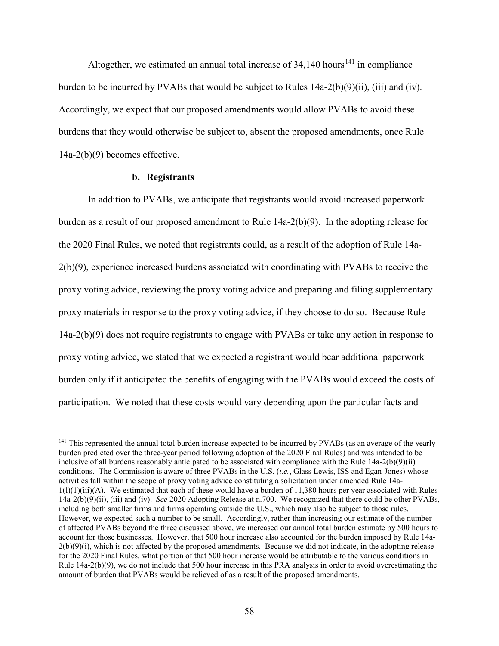Altogether, we estimated an annual total increase of  $34,140$  hours<sup>[141](#page-57-0)</sup> in compliance burden to be incurred by PVABs that would be subject to Rules 14a-2(b)(9)(ii), (iii) and (iv). Accordingly, we expect that our proposed amendments would allow PVABs to avoid these burdens that they would otherwise be subject to, absent the proposed amendments, once Rule 14a-2(b)(9) becomes effective.

### **b. Registrants**

In addition to PVABs, we anticipate that registrants would avoid increased paperwork burden as a result of our proposed amendment to Rule 14a-2(b)(9). In the adopting release for the 2020 Final Rules, we noted that registrants could, as a result of the adoption of Rule 14a-2(b)(9), experience increased burdens associated with coordinating with PVABs to receive the proxy voting advice, reviewing the proxy voting advice and preparing and filing supplementary proxy materials in response to the proxy voting advice, if they choose to do so. Because Rule 14a-2(b)(9) does not require registrants to engage with PVABs or take any action in response to proxy voting advice, we stated that we expected a registrant would bear additional paperwork burden only if it anticipated the benefits of engaging with the PVABs would exceed the costs of participation. We noted that these costs would vary depending upon the particular facts and

<span id="page-57-0"></span><sup>&</sup>lt;sup>141</sup> This represented the annual total burden increase expected to be incurred by PVABs (as an average of the yearly burden predicted over the three-year period following adoption of the 2020 Final Rules) and was intended to be inclusive of all burdens reasonably anticipated to be associated with compliance with the Rule 14a-2(b)(9)(ii) conditions. The Commission is aware of three PVABs in the U.S. (*i.e.*, Glass Lewis, ISS and Egan-Jones) whose activities fall within the scope of proxy voting advice constituting a solicitation under amended Rule 14a- $1(1)(1)(iii)(A)$ . We estimated that each of these would have a burden of 11,380 hours per year associated with Rules 14a-2(b)(9)(ii), (iii) and (iv). *See* 2020 Adopting Release at n.700. We recognized that there could be other PVABs, including both smaller firms and firms operating outside the U.S., which may also be subject to those rules. However, we expected such a number to be small. Accordingly, rather than increasing our estimate of the number of affected PVABs beyond the three discussed above, we increased our annual total burden estimate by 500 hours to account for those businesses. However, that 500 hour increase also accounted for the burden imposed by Rule 14a- $2(b)(9)(i)$ , which is not affected by the proposed amendments. Because we did not indicate, in the adopting release for the 2020 Final Rules, what portion of that 500 hour increase would be attributable to the various conditions in Rule 14a-2(b)(9), we do not include that 500 hour increase in this PRA analysis in order to avoid overestimating the amount of burden that PVABs would be relieved of as a result of the proposed amendments.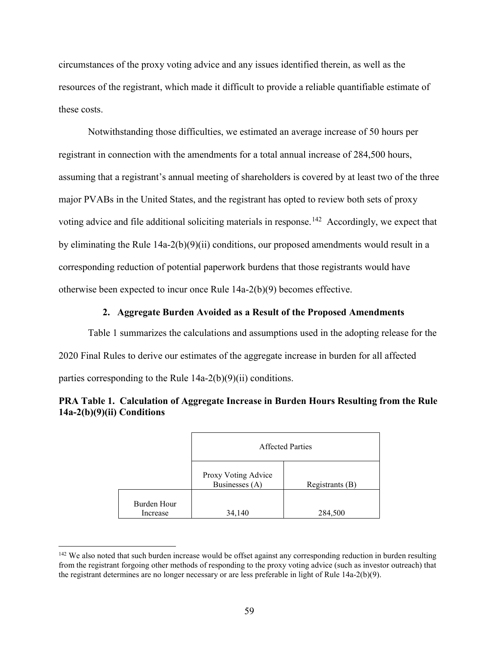circumstances of the proxy voting advice and any issues identified therein, as well as the resources of the registrant, which made it difficult to provide a reliable quantifiable estimate of these costs.

Notwithstanding those difficulties, we estimated an average increase of 50 hours per registrant in connection with the amendments for a total annual increase of 284,500 hours, assuming that a registrant's annual meeting of shareholders is covered by at least two of the three major PVABs in the United States, and the registrant has opted to review both sets of proxy voting advice and file additional soliciting materials in response.<sup>[142](#page-58-0)</sup> Accordingly, we expect that by eliminating the Rule 14a-2(b)(9)(ii) conditions, our proposed amendments would result in a corresponding reduction of potential paperwork burdens that those registrants would have otherwise been expected to incur once Rule 14a-2(b)(9) becomes effective.

## **2. Aggregate Burden Avoided as a Result of the Proposed Amendments**

Table 1 summarizes the calculations and assumptions used in the adopting release for the 2020 Final Rules to derive our estimates of the aggregate increase in burden for all affected parties corresponding to the Rule 14a-2(b)(9)(ii) conditions.

# **PRA Table 1. Calculation of Aggregate Increase in Burden Hours Resulting from the Rule 14a-2(b)(9)(ii) Conditions**

|                         | Affected Parties                      |                 |  |  |
|-------------------------|---------------------------------------|-----------------|--|--|
|                         | Proxy Voting Advice<br>Businesses (A) | Registrants (B) |  |  |
| Burden Hour<br>Increase | 34,140                                | 284,500         |  |  |

<span id="page-58-0"></span><sup>&</sup>lt;sup>142</sup> We also noted that such burden increase would be offset against any corresponding reduction in burden resulting from the registrant forgoing other methods of responding to the proxy voting advice (such as investor outreach) that the registrant determines are no longer necessary or are less preferable in light of Rule 14a-2(b)(9).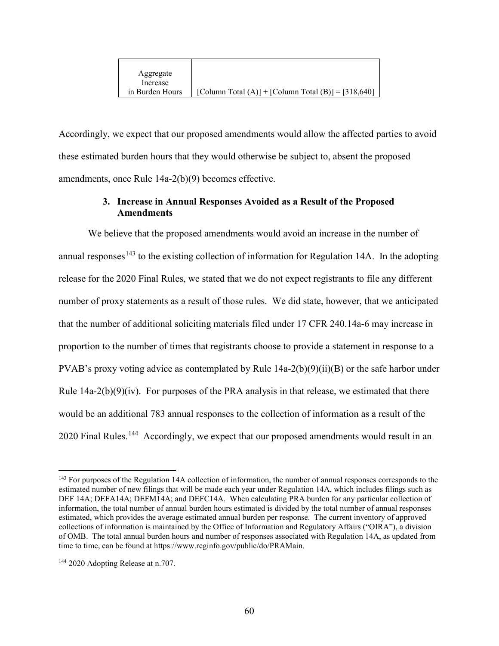| Aggregate       |                                                     |
|-----------------|-----------------------------------------------------|
| Increase        |                                                     |
| in Burden Hours | [Column Total (A)] + [Column Total (B)] = [318,640] |

Accordingly, we expect that our proposed amendments would allow the affected parties to avoid these estimated burden hours that they would otherwise be subject to, absent the proposed amendments, once Rule 14a-2(b)(9) becomes effective.

# **3. Increase in Annual Responses Avoided as a Result of the Proposed Amendments**

We believe that the proposed amendments would avoid an increase in the number of annual responses<sup>[143](#page-59-0)</sup> to the existing collection of information for Regulation 14A. In the adopting release for the 2020 Final Rules, we stated that we do not expect registrants to file any different number of proxy statements as a result of those rules. We did state, however, that we anticipated that the number of additional soliciting materials filed under 17 CFR 240.14a-6 may increase in proportion to the number of times that registrants choose to provide a statement in response to a PVAB's proxy voting advice as contemplated by Rule  $14a-2(b)(9)(ii)(B)$  or the safe harbor under Rule  $14a-2(b)(9)(iv)$ . For purposes of the PRA analysis in that release, we estimated that there would be an additional 783 annual responses to the collection of information as a result of the 2020 Final Rules.<sup>144</sup> Accordingly, we expect that our proposed amendments would result in an

<span id="page-59-0"></span><sup>&</sup>lt;sup>143</sup> For purposes of the Regulation 14A collection of information, the number of annual responses corresponds to the estimated number of new filings that will be made each year under Regulation 14A, which includes filings such as DEF 14A; DEFA14A; DEFM14A; and DEFC14A. When calculating PRA burden for any particular collection of information, the total number of annual burden hours estimated is divided by the total number of annual responses estimated, which provides the average estimated annual burden per response. The current inventory of approved collections of information is maintained by the Office of Information and Regulatory Affairs ("OIRA"), a division of OMB. The total annual burden hours and number of responses associated with Regulation 14A, as updated from time to time, can be found at https://www.reginfo.gov/public/do/PRAMain.

<span id="page-59-1"></span><sup>&</sup>lt;sup>144</sup> 2020 Adopting Release at n.707.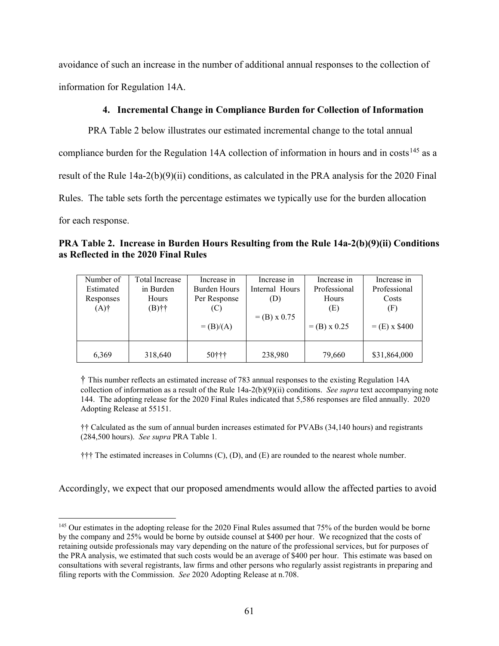avoidance of such an increase in the number of additional annual responses to the collection of information for Regulation 14A.

## **4. Incremental Change in Compliance Burden for Collection of Information**

PRA Table 2 below illustrates our estimated incremental change to the total annual compliance burden for the Regulation 14A collection of information in hours and in costs<sup>[145](#page-60-0)</sup> as a result of the Rule 14a-2(b)(9)(ii) conditions, as calculated in the PRA analysis for the 2020 Final Rules. The table sets forth the percentage estimates we typically use for the burden allocation for each response.

**PRA Table 2. Increase in Burden Hours Resulting from the Rule 14a-2(b)(9)(ii) Conditions as Reflected in the 2020 Final Rules**

| Number of | Total Increase | Increase in         | Increase in    | Increase in    | Increase in     |  |
|-----------|----------------|---------------------|----------------|----------------|-----------------|--|
| Estimated | in Burden      | <b>Burden Hours</b> | Internal Hours | Professional   | Professional    |  |
| Responses | Hours          |                     | (D)            | Hours          | Costs           |  |
| $(A)$ †   | $(B)$ ††       | Per Response<br>(C) |                | (E)            | (F)             |  |
|           |                |                     | $=$ (B) x 0.75 |                |                 |  |
|           |                | $= (B)/(A)$         |                | $=$ (B) x 0.25 | $=$ (E) x \$400 |  |
|           |                |                     |                |                |                 |  |
|           |                |                     |                |                |                 |  |
| 6,369     | 318,640        | 50†††               | 238,980        | 79,660         | \$31,864,000    |  |

† This number reflects an estimated increase of 783 annual responses to the existing Regulation 14A collection of information as a result of the Rule 14a-2(b)(9)(ii) conditions. *See supra* text accompanying note 144. The adopting release for the 2020 Final Rules indicated that 5,586 responses are filed annually. 2020 Adopting Release at 55151.

†† Calculated as the sum of annual burden increases estimated for PVABs (34,140 hours) and registrants (284,500 hours). *See supra* PRA Table 1*.*

††† The estimated increases in Columns (C), (D), and (E) are rounded to the nearest whole number.

Accordingly, we expect that our proposed amendments would allow the affected parties to avoid

<span id="page-60-0"></span><sup>&</sup>lt;sup>145</sup> Our estimates in the adopting release for the 2020 Final Rules assumed that 75% of the burden would be borne by the company and 25% would be borne by outside counsel at \$400 per hour. We recognized that the costs of retaining outside professionals may vary depending on the nature of the professional services, but for purposes of the PRA analysis, we estimated that such costs would be an average of \$400 per hour. This estimate was based on consultations with several registrants, law firms and other persons who regularly assist registrants in preparing and filing reports with the Commission. *See* 2020 Adopting Release at n.708.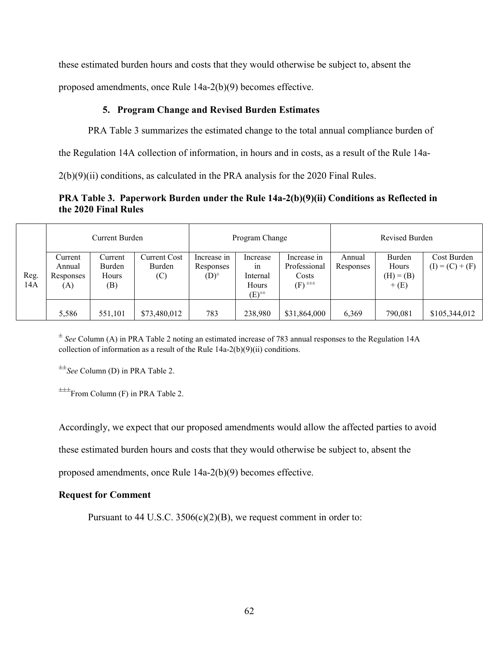these estimated burden hours and costs that they would otherwise be subject to, absent the

proposed amendments, once Rule 14a-2(b)(9) becomes effective.

## **5. Program Change and Revised Burden Estimates**

PRA Table 3 summarizes the estimated change to the total annual compliance burden of

the Regulation 14A collection of information, in hours and in costs, as a result of the Rule 14a-

2(b)(9)(ii) conditions, as calculated in the PRA analysis for the 2020 Final Rules.

# **PRA Table 3. Paperwork Burden under the Rule 14a-2(b)(9)(ii) Conditions as Reflected in the 2020 Final Rules**

|      | <b>Current Burden</b> |         |              | Program Change |                                   | Revised Burden                          |           |             |                   |
|------|-----------------------|---------|--------------|----------------|-----------------------------------|-----------------------------------------|-----------|-------------|-------------------|
|      | Current               | Current | Current Cost | Increase in    | Increase                          | Increase in                             | Annual    | Burden      | Cost Burden       |
|      | Annual                | Burden  | Burden       | Responses      | in                                | Professional                            | Responses | Hours       | $(I) = (C) + (F)$ |
| Reg. | Responses             | Hours   | $\left( $    | $(D)^{\pm}$    | Internal                          | Costs                                   |           | $(H) = (B)$ |                   |
| 14A  | (A)                   | (B)     |              |                | Hours                             | $(F)$ <sup><math>\pm\pm\pm</math></sup> |           | $+$ (E)     |                   |
|      |                       |         |              |                | $(E)$ <sup><math>\pm</math></sup> |                                         |           |             |                   |
|      |                       |         |              |                |                                   |                                         |           |             |                   |
|      | 5,586                 | 551,101 | \$73,480,012 | 783            | 238,980                           | \$31,864,000                            | 6,369     | 790,081     | \$105,344,012     |

<sup>±</sup> *See* Column (A) in PRA Table 2 noting an estimated increase of 783 annual responses to the Regulation 14A collection of information as a result of the Rule 14a-2(b)(9)(ii) conditions.

±±*See* Column (D) in PRA Table 2.

 $\pm\pm\text{From Column (F)}$  in PRA Table 2.

Accordingly, we expect that our proposed amendments would allow the affected parties to avoid

these estimated burden hours and costs that they would otherwise be subject to, absent the

proposed amendments, once Rule 14a-2(b)(9) becomes effective.

## **Request for Comment**

Pursuant to 44 U.S.C.  $3506(c)(2)(B)$ , we request comment in order to: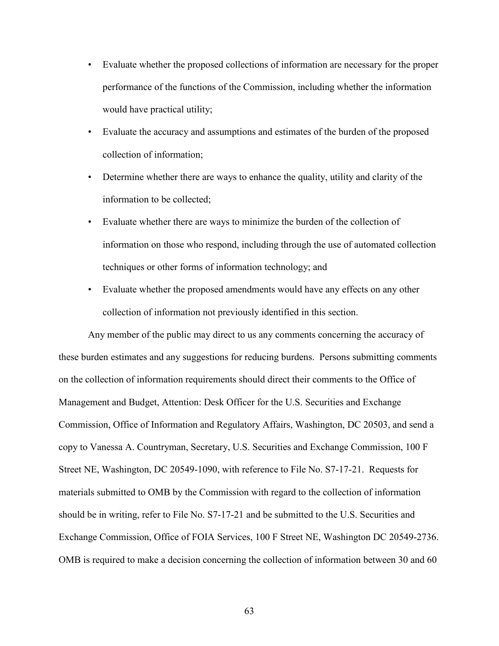- Evaluate whether the proposed collections of information are necessary for the proper performance of the functions of the Commission, including whether the information would have practical utility;
- Evaluate the accuracy and assumptions and estimates of the burden of the proposed collection of information;
- Determine whether there are ways to enhance the quality, utility and clarity of the information to be collected;
- Evaluate whether there are ways to minimize the burden of the collection of information on those who respond, including through the use of automated collection techniques or other forms of information technology; and
- Evaluate whether the proposed amendments would have any effects on any other collection of information not previously identified in this section.

Any member of the public may direct to us any comments concerning the accuracy of these burden estimates and any suggestions for reducing burdens. Persons submitting comments on the collection of information requirements should direct their comments to the Office of Management and Budget, Attention: Desk Officer for the U.S. Securities and Exchange Commission, Office of Information and Regulatory Affairs, Washington, DC 20503, and send a copy to Vanessa A. Countryman, Secretary, U.S. Securities and Exchange Commission, 100 F Street NE, Washington, DC 20549-1090, with reference to File No. S7-17-21. Requests for materials submitted to OMB by the Commission with regard to the collection of information should be in writing, refer to File No. S7-17-21 and be submitted to the U.S. Securities and Exchange Commission, Office of FOIA Services, 100 F Street NE, Washington DC 20549-2736. OMB is required to make a decision concerning the collection of information between 30 and 60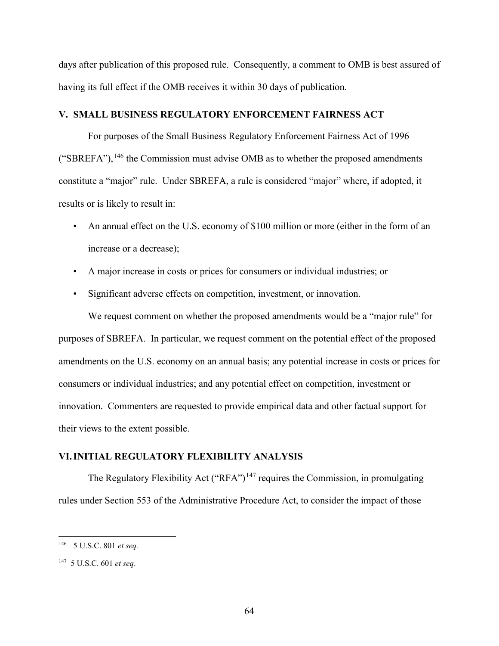days after publication of this proposed rule. Consequently, a comment to OMB is best assured of having its full effect if the OMB receives it within 30 days of publication.

## **V. SMALL BUSINESS REGULATORY ENFORCEMENT FAIRNESS ACT**

For purposes of the Small Business Regulatory Enforcement Fairness Act of 1996 ("SBREFA"),  $^{146}$  $^{146}$  $^{146}$  the Commission must advise OMB as to whether the proposed amendments constitute a "major" rule. Under SBREFA, a rule is considered "major" where, if adopted, it results or is likely to result in:

- An annual effect on the U.S. economy of \$100 million or more (either in the form of an increase or a decrease);
- A major increase in costs or prices for consumers or individual industries; or
- Significant adverse effects on competition, investment, or innovation.

We request comment on whether the proposed amendments would be a "major rule" for purposes of SBREFA. In particular, we request comment on the potential effect of the proposed amendments on the U.S. economy on an annual basis; any potential increase in costs or prices for consumers or individual industries; and any potential effect on competition, investment or innovation. Commenters are requested to provide empirical data and other factual support for their views to the extent possible.

## **VI.INITIAL REGULATORY FLEXIBILITY ANALYSIS**

The Regulatory Flexibility Act ("RFA")<sup>[147](#page-63-1)</sup> requires the Commission, in promulgating rules under Section 553 of the Administrative Procedure Act, to consider the impact of those

<span id="page-63-0"></span> <sup>146</sup> 5 U.S.C. 801 *et seq.*

<span id="page-63-1"></span><sup>147 5</sup> U.S.C. 601 *et seq*.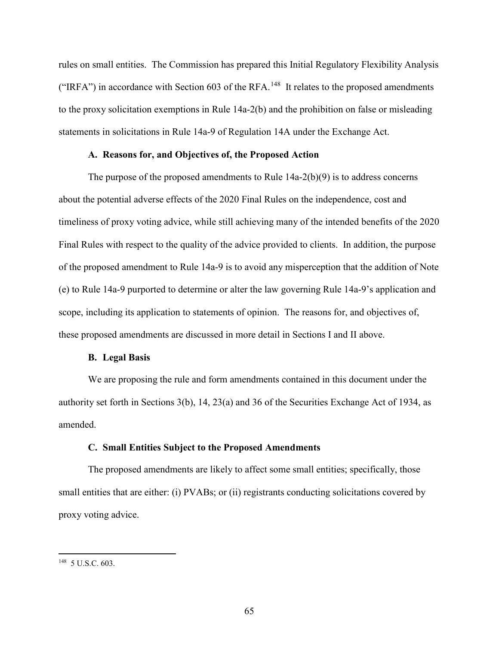rules on small entities. The Commission has prepared this Initial Regulatory Flexibility Analysis ("IRFA") in accordance with Section 603 of the RFA.<sup>[148](#page-64-0)</sup> It relates to the proposed amendments to the proxy solicitation exemptions in Rule 14a-2(b) and the prohibition on false or misleading statements in solicitations in Rule 14a-9 of Regulation 14A under the Exchange Act.

#### **A. Reasons for, and Objectives of, the Proposed Action**

The purpose of the proposed amendments to Rule  $14a-2(b)(9)$  is to address concerns about the potential adverse effects of the 2020 Final Rules on the independence, cost and timeliness of proxy voting advice, while still achieving many of the intended benefits of the 2020 Final Rules with respect to the quality of the advice provided to clients. In addition, the purpose of the proposed amendment to Rule 14a-9 is to avoid any misperception that the addition of Note (e) to Rule 14a-9 purported to determine or alter the law governing Rule 14a-9's application and scope, including its application to statements of opinion. The reasons for, and objectives of, these proposed amendments are discussed in more detail in Sections I and II above.

#### **B. Legal Basis**

We are proposing the rule and form amendments contained in this document under the authority set forth in Sections 3(b), 14, 23(a) and 36 of the Securities Exchange Act of 1934, as amended.

#### **C. Small Entities Subject to the Proposed Amendments**

The proposed amendments are likely to affect some small entities; specifically, those small entities that are either: (i) PVABs; or (ii) registrants conducting solicitations covered by proxy voting advice.

<span id="page-64-0"></span> <sup>148 5</sup> U.S.C. 603.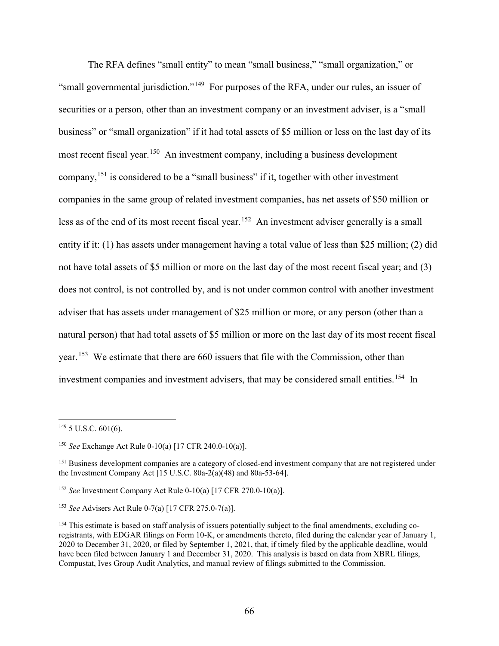The RFA defines "small entity" to mean "small business," "small organization," or "small governmental jurisdiction."[149](#page-65-0) For purposes of the RFA, under our rules, an issuer of securities or a person, other than an investment company or an investment adviser, is a "small business" or "small organization" if it had total assets of \$5 million or less on the last day of its most recent fiscal year.<sup>[150](#page-65-1)</sup> An investment company, including a business development company,[151](#page-65-2) is considered to be a "small business" if it, together with other investment companies in the same group of related investment companies, has net assets of \$50 million or less as of the end of its most recent fiscal year.<sup>[152](#page-65-3)</sup> An investment adviser generally is a small entity if it: (1) has assets under management having a total value of less than \$25 million; (2) did not have total assets of \$5 million or more on the last day of the most recent fiscal year; and (3) does not control, is not controlled by, and is not under common control with another investment adviser that has assets under management of \$25 million or more, or any person (other than a natural person) that had total assets of \$5 million or more on the last day of its most recent fiscal year.<sup>[153](#page-65-4)</sup> We estimate that there are 660 issuers that file with the Commission, other than investment companies and investment advisers, that may be considered small entities.<sup>154</sup> In

<span id="page-65-0"></span> $149$  5 U.S.C. 601(6).

<span id="page-65-1"></span><sup>150</sup> *See* Exchange Act Rule 0-10(a) [17 CFR 240.0-10(a)].

<span id="page-65-2"></span><sup>&</sup>lt;sup>151</sup> Business development companies are a category of closed-end investment company that are not registered under the Investment Company Act  $[15 \text{ U.S.C. } 80a-2(a)(48)$  and  $80a-53-64]$ .

<span id="page-65-3"></span><sup>152</sup> *See* Investment Company Act Rule 0-10(a) [17 CFR 270.0-10(a)].

<span id="page-65-4"></span><sup>153</sup> *See* Advisers Act Rule 0-7(a) [17 CFR 275.0-7(a)].

<span id="page-65-5"></span><sup>&</sup>lt;sup>154</sup> This estimate is based on staff analysis of issuers potentially subject to the final amendments, excluding coregistrants, with EDGAR filings on Form 10-K, or amendments thereto, filed during the calendar year of January 1, 2020 to December 31, 2020, or filed by September 1, 2021, that, if timely filed by the applicable deadline, would have been filed between January 1 and December 31, 2020. This analysis is based on data from XBRL filings, Compustat, Ives Group Audit Analytics, and manual review of filings submitted to the Commission.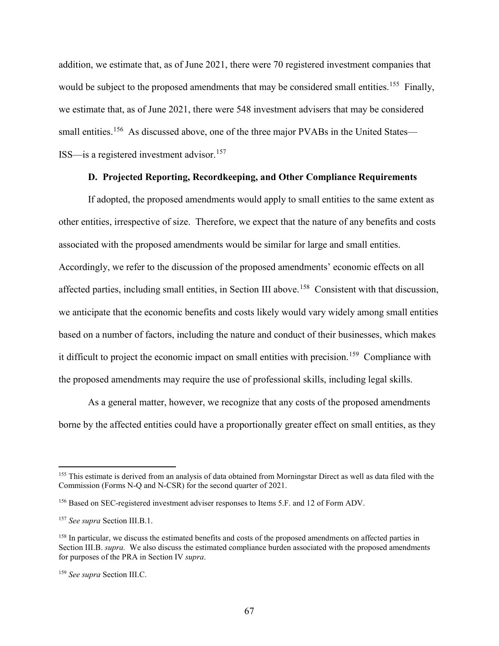addition, we estimate that, as of June 2021, there were 70 registered investment companies that would be subject to the proposed amendments that may be considered small entities.<sup>[155](#page-66-0)</sup> Finally, we estimate that, as of June 2021, there were 548 investment advisers that may be considered small entities.<sup>[156](#page-66-1)</sup> As discussed above, one of the three major PVABs in the United States— ISS—is a registered investment advisor.<sup>157</sup>

# **D. Projected Reporting, Recordkeeping, and Other Compliance Requirements**

If adopted, the proposed amendments would apply to small entities to the same extent as other entities, irrespective of size. Therefore, we expect that the nature of any benefits and costs associated with the proposed amendments would be similar for large and small entities. Accordingly, we refer to the discussion of the proposed amendments' economic effects on all affected parties, including small entities, in Section III above.[158](#page-66-3)Consistent with that discussion, we anticipate that the economic benefits and costs likely would vary widely among small entities based on a number of factors, including the nature and conduct of their businesses, which makes it difficult to project the economic impact on small entities with precision.<sup>159</sup> Compliance with the proposed amendments may require the use of professional skills, including legal skills.

As a general matter, however, we recognize that any costs of the proposed amendments borne by the affected entities could have a proportionally greater effect on small entities, as they

<span id="page-66-0"></span><sup>&</sup>lt;sup>155</sup> This estimate is derived from an analysis of data obtained from Morningstar Direct as well as data filed with the Commission (Forms N-Q and N-CSR) for the second quarter of 2021.

<span id="page-66-1"></span><sup>156</sup> Based on SEC-registered investment adviser responses to Items 5.F. and 12 of Form ADV.

<span id="page-66-2"></span><sup>157</sup> *See supra* Section III.B.1.

<span id="page-66-3"></span><sup>&</sup>lt;sup>158</sup> In particular, we discuss the estimated benefits and costs of the proposed amendments on affected parties in Section III.B. *supra.* We also discuss the estimated compliance burden associated with the proposed amendments for purposes of the PRA in Section IV *supra*.

<span id="page-66-4"></span><sup>159</sup> *See supra* Section III.C.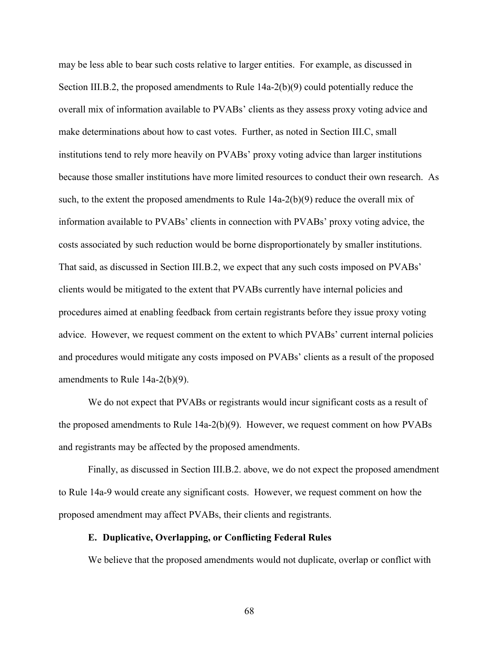may be less able to bear such costs relative to larger entities. For example, as discussed in Section III.B.2, the proposed amendments to Rule 14a-2(b)(9) could potentially reduce the overall mix of information available to PVABs' clients as they assess proxy voting advice and make determinations about how to cast votes. Further, as noted in Section III.C, small institutions tend to rely more heavily on PVABs' proxy voting advice than larger institutions because those smaller institutions have more limited resources to conduct their own research. As such, to the extent the proposed amendments to Rule 14a-2(b)(9) reduce the overall mix of information available to PVABs' clients in connection with PVABs' proxy voting advice, the costs associated by such reduction would be borne disproportionately by smaller institutions. That said, as discussed in Section III.B.2, we expect that any such costs imposed on PVABs' clients would be mitigated to the extent that PVABs currently have internal policies and procedures aimed at enabling feedback from certain registrants before they issue proxy voting advice. However, we request comment on the extent to which PVABs' current internal policies and procedures would mitigate any costs imposed on PVABs' clients as a result of the proposed amendments to Rule 14a-2(b)(9).

We do not expect that PVABs or registrants would incur significant costs as a result of the proposed amendments to Rule  $14a-2(b)(9)$ . However, we request comment on how PVABs and registrants may be affected by the proposed amendments.

Finally, as discussed in Section III.B.2. above, we do not expect the proposed amendment to Rule 14a-9 would create any significant costs. However, we request comment on how the proposed amendment may affect PVABs, their clients and registrants.

#### **E. Duplicative, Overlapping, or Conflicting Federal Rules**

We believe that the proposed amendments would not duplicate, overlap or conflict with

68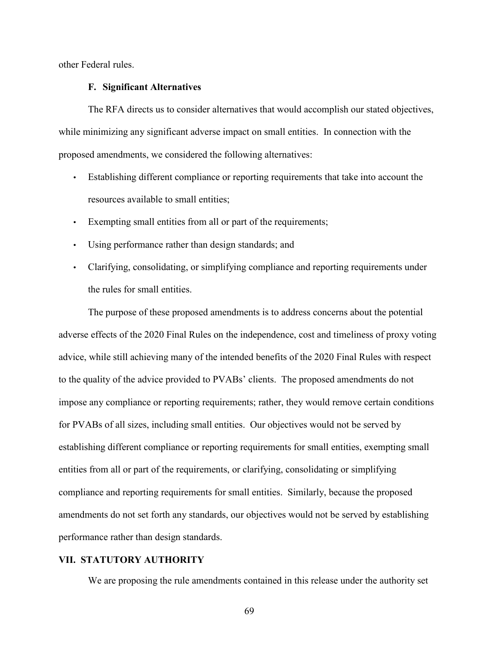other Federal rules.

#### **F. Significant Alternatives**

The RFA directs us to consider alternatives that would accomplish our stated objectives, while minimizing any significant adverse impact on small entities. In connection with the proposed amendments, we considered the following alternatives:

- Establishing different compliance or reporting requirements that take into account the resources available to small entities;
- Exempting small entities from all or part of the requirements;
- Using performance rather than design standards; and
- Clarifying, consolidating, or simplifying compliance and reporting requirements under the rules for small entities.

The purpose of these proposed amendments is to address concerns about the potential adverse effects of the 2020 Final Rules on the independence, cost and timeliness of proxy voting advice, while still achieving many of the intended benefits of the 2020 Final Rules with respect to the quality of the advice provided to PVABs' clients. The proposed amendments do not impose any compliance or reporting requirements; rather, they would remove certain conditions for PVABs of all sizes, including small entities. Our objectives would not be served by establishing different compliance or reporting requirements for small entities, exempting small entities from all or part of the requirements, or clarifying, consolidating or simplifying compliance and reporting requirements for small entities. Similarly, because the proposed amendments do not set forth any standards, our objectives would not be served by establishing performance rather than design standards.

## **VII. STATUTORY AUTHORITY**

We are proposing the rule amendments contained in this release under the authority set

69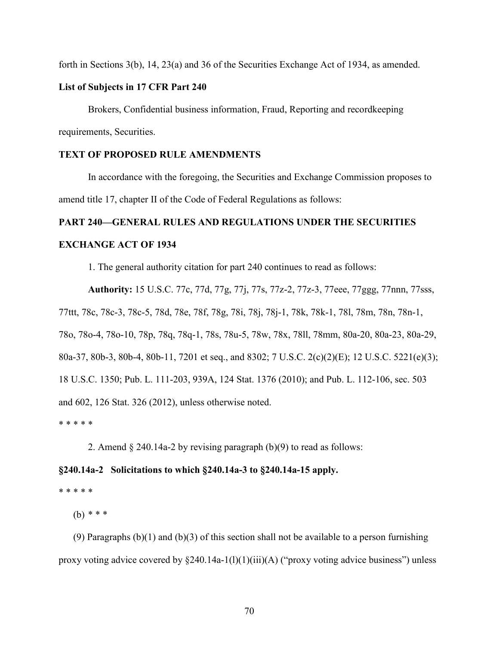forth in Sections 3(b), 14, 23(a) and 36 of the Securities Exchange Act of 1934, as amended.

#### **List of Subjects in 17 CFR Part 240**

Brokers, Confidential business information, Fraud, Reporting and recordkeeping requirements, Securities.

# **TEXT OF PROPOSED RULE AMENDMENTS**

In accordance with the foregoing, the Securities and Exchange Commission proposes to amend title 17, chapter II of the Code of Federal Regulations as follows:

# **PART 240—GENERAL RULES AND REGULATIONS UNDER THE SECURITIES**

## **EXCHANGE ACT OF 1934**

1. The general authority citation for part 240 continues to read as follows:

**Authority:** 15 U.S.C. 77c, 77d, 77g, 77j, 77s, 77z-2, 77z-3, 77eee, 77ggg, 77nnn, 77sss, 77ttt, 78c, 78c-3, 78c-5, 78d, 78e, 78f, 78g, 78i, 78j, 78j-1, 78k, 78k-1, 78l, 78m, 78n, 78n-1, 78o, 78o-4, 78o-10, 78p, 78q, 78q-1, 78s, 78u-5, 78w, 78x, 78ll, 78mm, 80a-20, 80a-23, 80a-29, 80a-37, 80b-3, 80b-4, 80b-11, 7201 et seq., and 8302; 7 U.S.C. 2(c)(2)(E); 12 U.S.C. 5221(e)(3); 18 U.S.C. 1350; Pub. L. 111-203, 939A, 124 Stat. 1376 (2010); and Pub. L. 112-106, sec. 503 and 602, 126 Stat. 326 (2012), unless otherwise noted. \* \* \* \* \*

2. Amend  $\S$  240.14a-2 by revising paragraph (b)(9) to read as follows:

## **§240.14a-2 Solicitations to which §240.14a-3 to §240.14a-15 apply.**

#### \* \* \* \* \*

(b) \* \* \*

(9) Paragraphs  $(b)(1)$  and  $(b)(3)$  of this section shall not be available to a person furnishing proxy voting advice covered by  $\S 240.14a-1(1)(1)(iii)(A)$  ("proxy voting advice business") unless